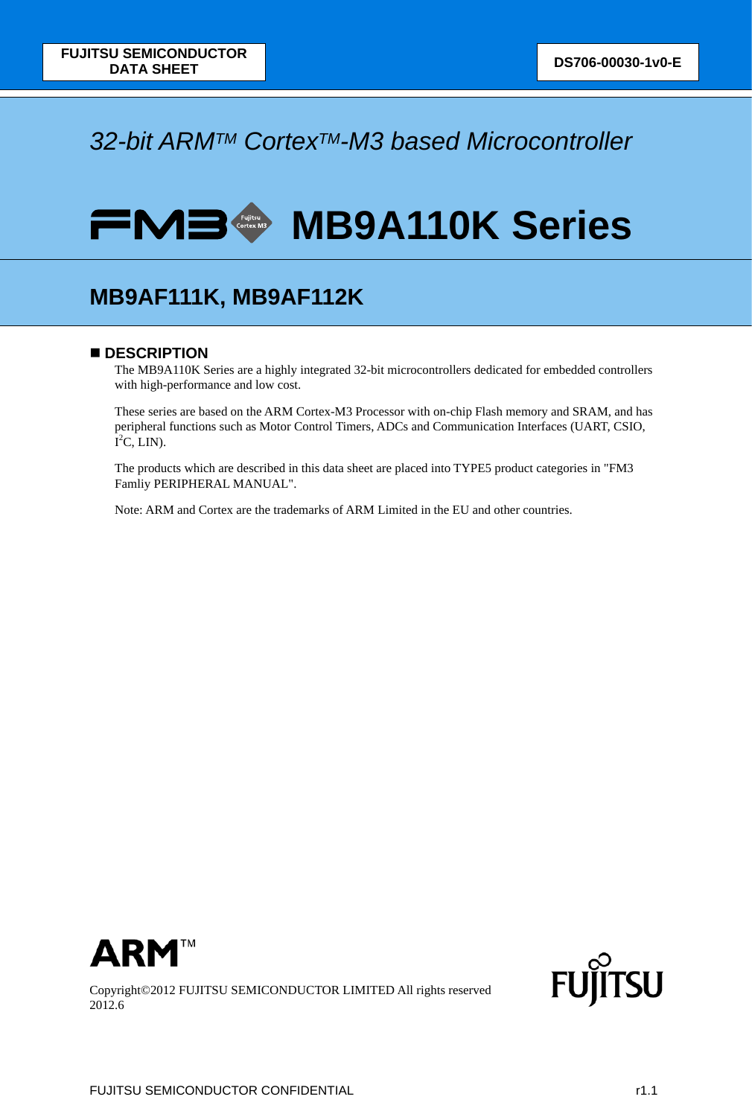### *32-bit ARMTM CortexTM-M3 based Microcontroller*

# **FMB MB9A110K Series**

### **MB9AF111K, MB9AF112K**

### ■ **DESCRIPTION**

The MB9A110K Series are a highly integrated 32-bit microcontrollers dedicated for embedded controllers with high-performance and low cost.

These series are based on the ARM Cortex-M3 Processor with on-chip Flash memory and SRAM, and has peripheral functions such as Motor Control Timers, ADCs and Communication Interfaces (UART, CSIO,  $I^2C$ , LIN).

The products which are described in this data sheet are placed into TYPE5 product categories in "FM3 Famliy PERIPHERAL MANUAL".

Note: ARM and Cortex are the trademarks of ARM Limited in the EU and other countries.



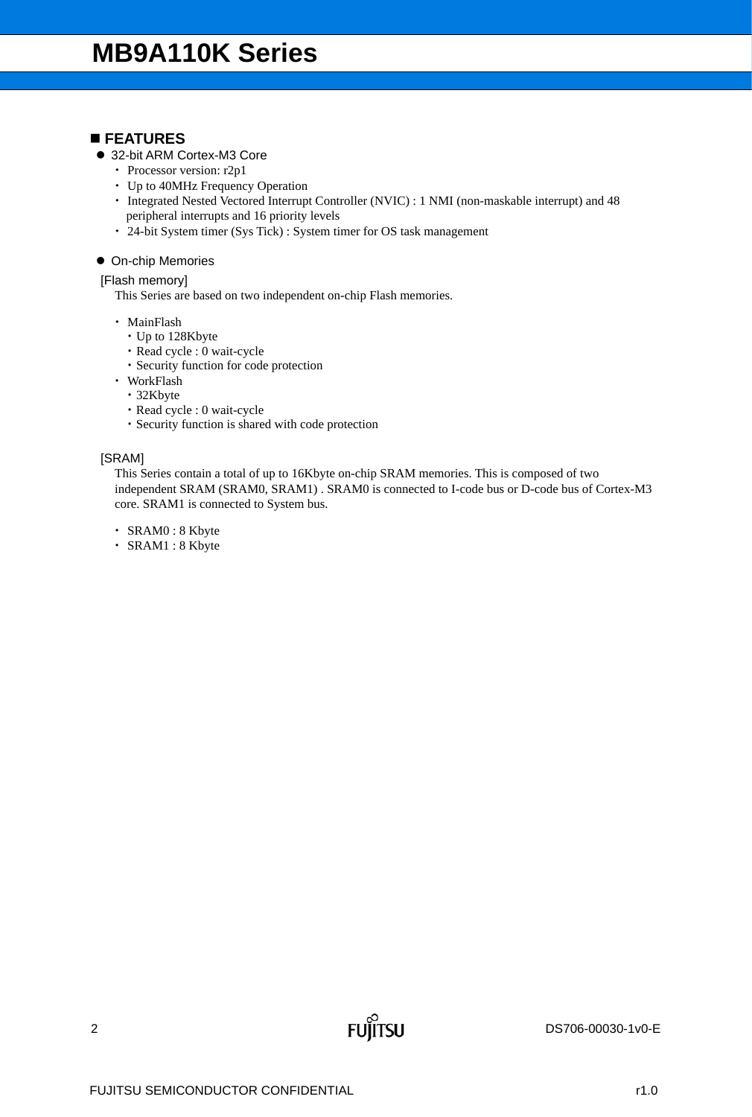### **FEATURES**

- 32-bit ARM Cortex-M3 Core
	- Processor version: r2p1
	- Up to 40MHz Frequency Operation
	- Integrated Nested Vectored Interrupt Controller (NVIC) : 1 NMI (non-maskable interrupt) and 48 peripheral interrupts and 16 priority levels
	- 24-bit System timer (Sys Tick) : System timer for OS task management

### **• On-chip Memories**

### [Flash memory]

This Series are based on two independent on-chip Flash memories.

- MainFlash
	- Up to 128Kbyte
	- Read cycle : 0 wait-cycle
	- Security function for code protection
- WorkFlash
	- 32Kbyte
	- Read cycle : 0 wait-cycle
	- Security function is shared with code protection

### [SRAM]

This Series contain a total of up to 16Kbyte on-chip SRAM memories. This is composed of two independent SRAM (SRAM0, SRAM1) . SRAM0 is connected to I-code bus or D-code bus of Cortex-M3 core. SRAM1 is connected to System bus.

- SRAM0 : 8 Kbyte
- SRAM1 : 8 Kbyte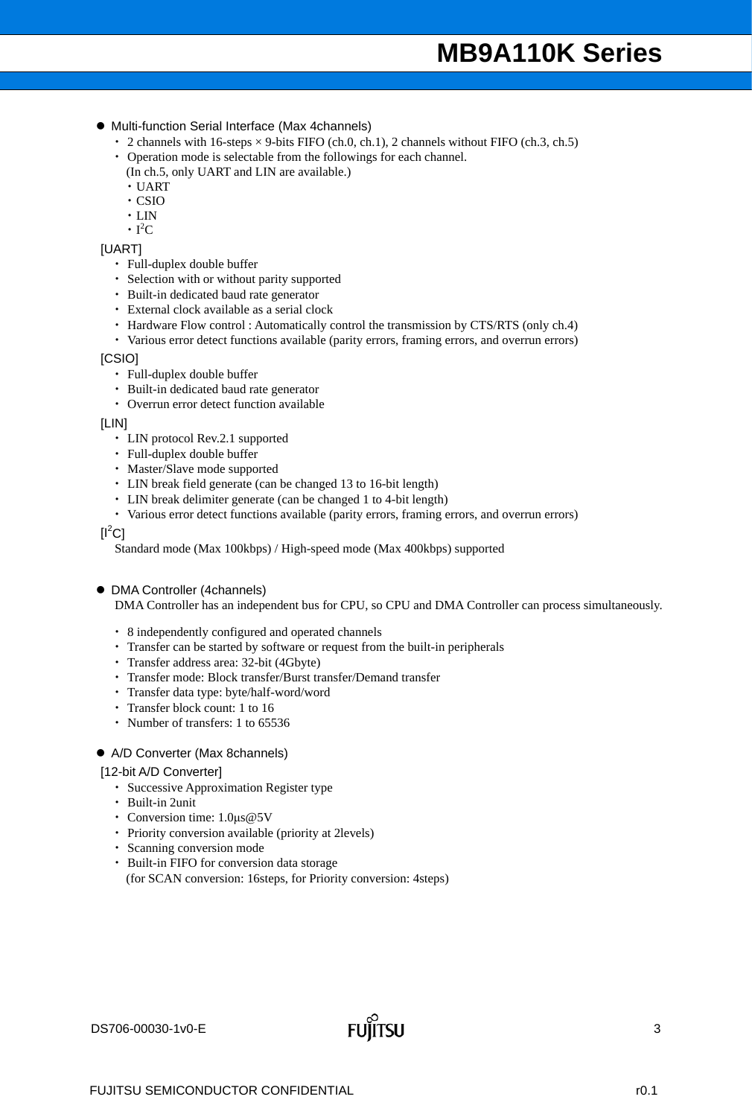- Multi-function Serial Interface (Max 4channels)
	- $\cdot$  2 channels with 16-steps  $\times$  9-bits FIFO (ch.0, ch.1), 2 channels without FIFO (ch.3, ch.5)
	- Operation mode is selectable from the followings for each channel.
	- (In ch.5, only UART and LIN are available.)
	- · UART
	- CSIO
	- $\cdot$  LIN
	- $\cdot$  I<sup>2</sup>C

### [UART]

- Full-duplex double buffer
- Selection with or without parity supported
- Built-in dedicated baud rate generator
- External clock available as a serial clock
- Hardware Flow control : Automatically control the transmission by CTS/RTS (only ch.4)
- Various error detect functions available (parity errors, framing errors, and overrun errors)

[CSIO]

- Full-duplex double buffer
- Built-in dedicated baud rate generator
- Overrun error detect function available

[LIN]

- LIN protocol Rev.2.1 supported
- Full-duplex double buffer
- Master/Slave mode supported
- LIN break field generate (can be changed 13 to 16-bit length)
- LIN break delimiter generate (can be changed 1 to 4-bit length)
- Various error detect functions available (parity errors, framing errors, and overrun errors)

### $[{\sf I}^2{\sf C}]$

Standard mode (Max 100kbps) / High-speed mode (Max 400kbps) supported

DMA Controller (4channels)

DMA Controller has an independent bus for CPU, so CPU and DMA Controller can process simultaneously.

- 8 independently configured and operated channels
- Transfer can be started by software or request from the built-in peripherals
- Transfer address area: 32-bit (4Gbyte)
- Transfer mode: Block transfer/Burst transfer/Demand transfer
- Transfer data type: byte/half-word/word
- Transfer block count: 1 to 16
- Number of transfers: 1 to 65536

#### A/D Converter (Max 8channels)

#### [12-bit A/D Converter]

- Successive Approximation Register type
- Built-in 2unit
- Conversion time: 1.0μs@5V
- Priority conversion available (priority at 2levels)
- Scanning conversion mode
- Built-in FIFO for conversion data storage (for SCAN conversion: 16steps, for Priority conversion: 4steps)

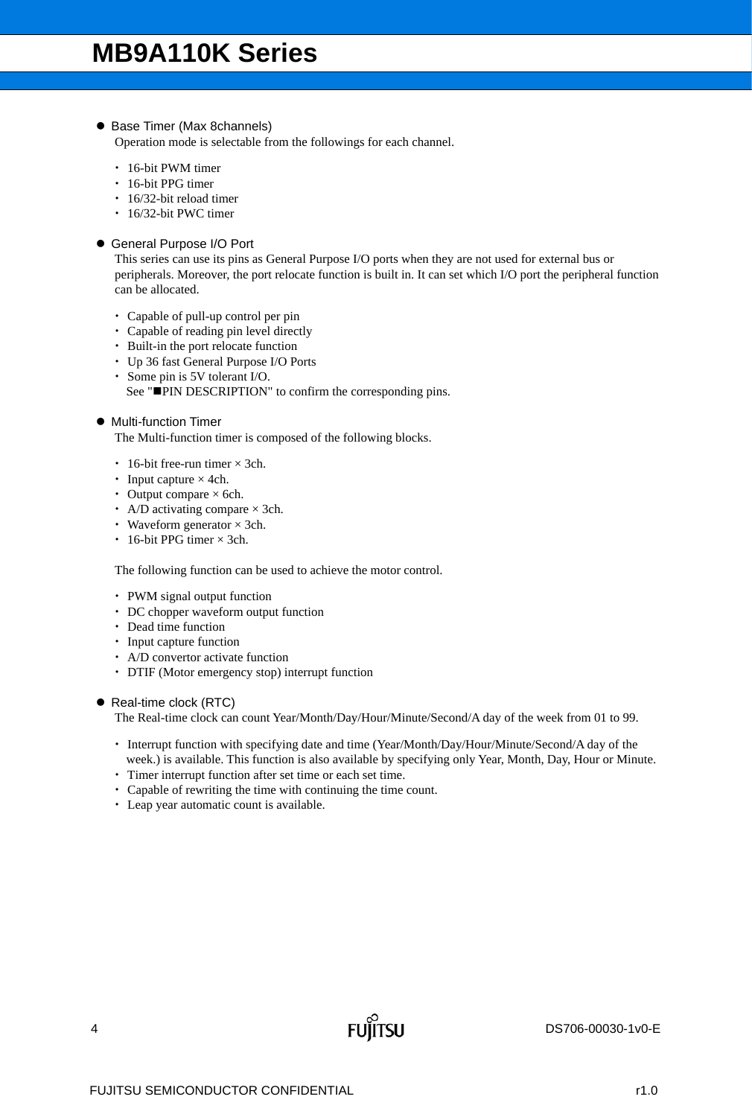### ● Base Timer (Max 8channels)

Operation mode is selectable from the followings for each channel.

- 16-bit PWM timer
- 16-bit PPG timer
- 16/32-bit reload timer
- 16/32-bit PWC timer
- General Purpose I/O Port

This series can use its pins as General Purpose I/O ports when they are not used for external bus or peripherals. Moreover, the port relocate function is built in. It can set which I/O port the peripheral function can be allocated.

- Capable of pull-up control per pin
- Capable of reading pin level directly
- Built-in the port relocate function
- Up 36 fast General Purpose I/O Ports
- Some pin is 5V tolerant I/O. See "PIN DESCRIPTION" to confirm the corresponding pins.

### $\bullet$  Multi-function Timer

The Multi-function timer is composed of the following blocks.

- $\cdot$  16-bit free-run timer  $\times$  3ch.
- Input capture  $\times$  4ch.
- Output compare  $\times$  6ch.
- A/D activating compare  $\times$  3ch.
- Waveform generator  $\times$  3ch.
- $\cdot$  16-bit PPG timer  $\times$  3ch.

The following function can be used to achieve the motor control.

- PWM signal output function
- DC chopper waveform output function
- Dead time function
- Input capture function
- A/D convertor activate function
- DTIF (Motor emergency stop) interrupt function

● Real-time clock (RTC)

The Real-time clock can count Year/Month/Day/Hour/Minute/Second/A day of the week from 01 to 99.

- Interrupt function with specifying date and time (Year/Month/Day/Hour/Minute/Second/A day of the week.) is available. This function is also available by specifying only Year, Month, Day, Hour or Minute.
- Timer interrupt function after set time or each set time.
- Capable of rewriting the time with continuing the time count.
- Leap year automatic count is available.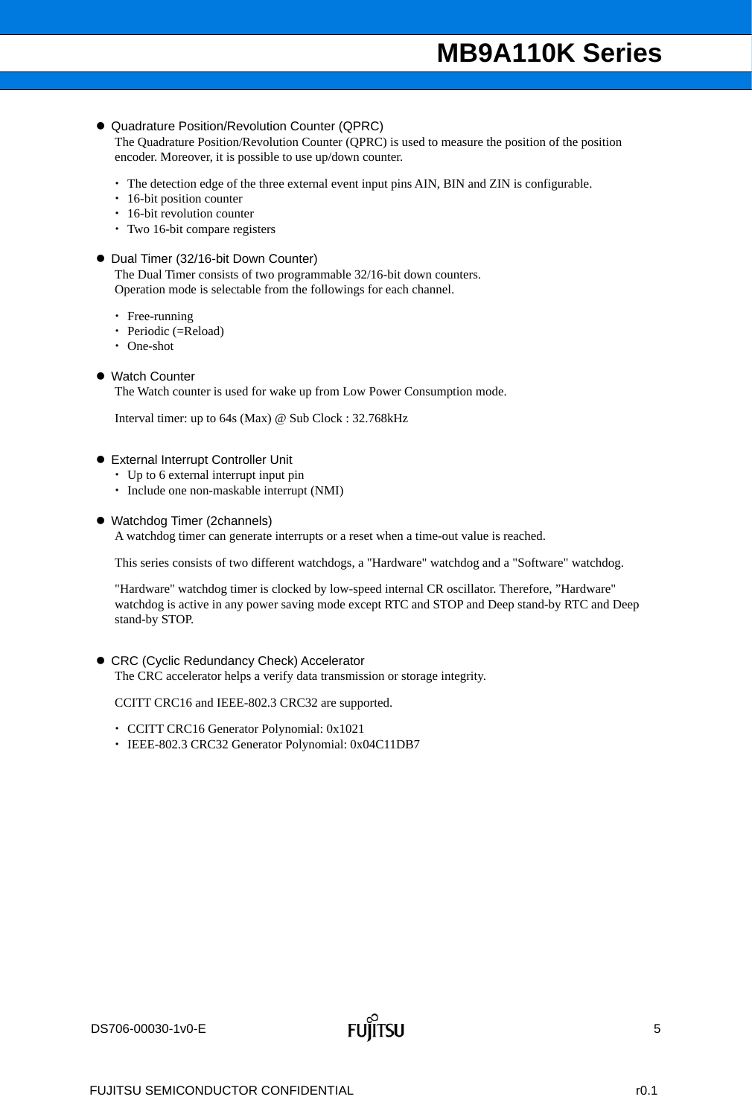### Quadrature Position/Revolution Counter (QPRC)

The Quadrature Position/Revolution Counter (QPRC) is used to measure the position of the position encoder. Moreover, it is possible to use up/down counter.

- The detection edge of the three external event input pins AIN, BIN and ZIN is configurable.
- 16-bit position counter
- 16-bit revolution counter
- Two 16-bit compare registers

### ● Dual Timer (32/16-bit Down Counter)

The Dual Timer consists of two programmable 32/16-bit down counters. Operation mode is selectable from the followings for each channel.

- Free-running
- Periodic (=Reload)
- One-shot
- Watch Counter

The Watch counter is used for wake up from Low Power Consumption mode.

Interval timer: up to 64s (Max) @ Sub Clock : 32.768kHz

- External Interrupt Controller Unit
	- Up to 6 external interrupt input pin
	- Include one non-maskable interrupt (NMI)
- Watchdog Timer (2channels)

A watchdog timer can generate interrupts or a reset when a time-out value is reached.

This series consists of two different watchdogs, a "Hardware" watchdog and a "Software" watchdog.

"Hardware" watchdog timer is clocked by low-speed internal CR oscillator. Therefore, "Hardware" watchdog is active in any power saving mode except RTC and STOP and Deep stand-by RTC and Deep stand-by STOP.

### CRC (Cyclic Redundancy Check) Accelerator

The CRC accelerator helps a verify data transmission or storage integrity.

CCITT CRC16 and IEEE-802.3 CRC32 are supported.

- CCITT CRC16 Generator Polynomial: 0x1021
- IEEE-802.3 CRC32 Generator Polynomial: 0x04C11DB7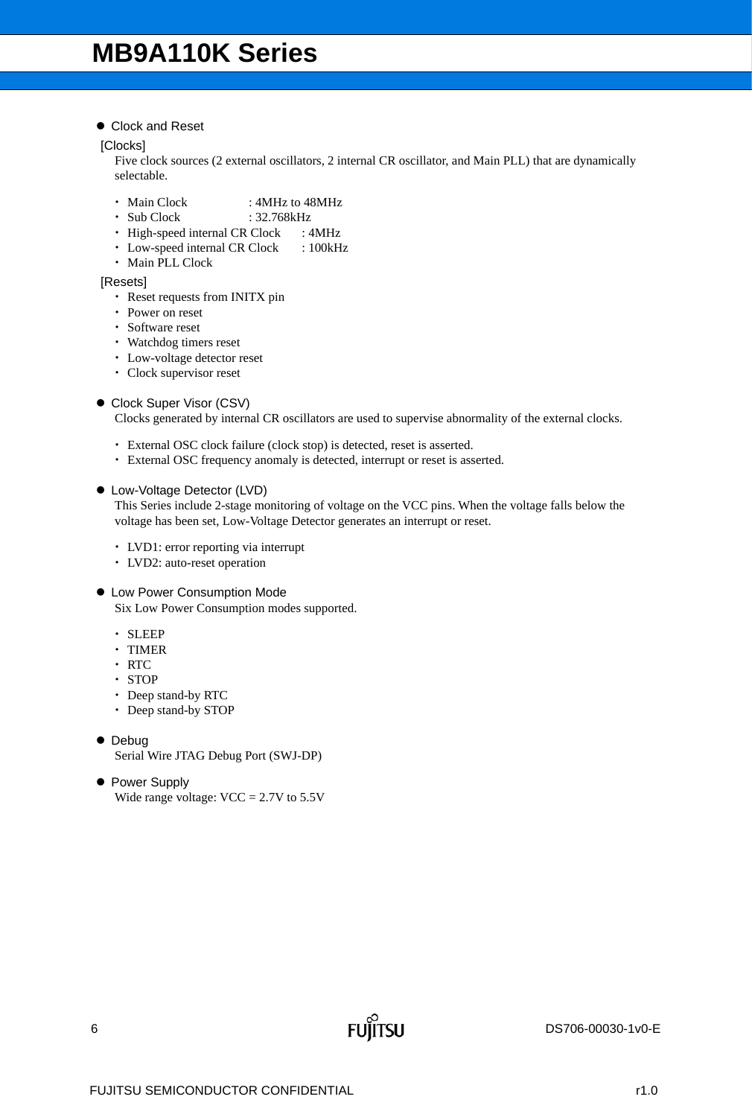Clock and Reset

[Clocks]

Five clock sources (2 external oscillators, 2 internal CR oscillator, and Main PLL) that are dynamically selectable.

- Main Clock : 4MHz to 48MHz
- Sub Clock : 32.768kHz
- High-speed internal CR Clock : 4MHz
- Low-speed internal CR Clock : 100kHz
- Main PLL Clock

[Resets]

- Reset requests from INITX pin
- Power on reset
- Software reset
- Watchdog timers reset
- Low-voltage detector reset
- Clock supervisor reset

### ● Clock Super Visor (CSV)

Clocks generated by internal CR oscillators are used to supervise abnormality of the external clocks.

- External OSC clock failure (clock stop) is detected, reset is asserted.
- External OSC frequency anomaly is detected, interrupt or reset is asserted.

Low-Voltage Detector (LVD)

This Series include 2-stage monitoring of voltage on the VCC pins. When the voltage falls below the voltage has been set, Low-Voltage Detector generates an interrupt or reset.

- LVD1: error reporting via interrupt
- LVD2: auto-reset operation
- Low Power Consumption Mode Six Low Power Consumption modes supported.
	- SLEEP
	- · TIMER
	- · RTC
	- STOP
	- Deep stand-by RTC
	- Deep stand-by STOP
- Debug Serial Wire JTAG Debug Port (SWJ-DP)
- Power Supply Wide range voltage:  $VCC = 2.7V$  to 5.5V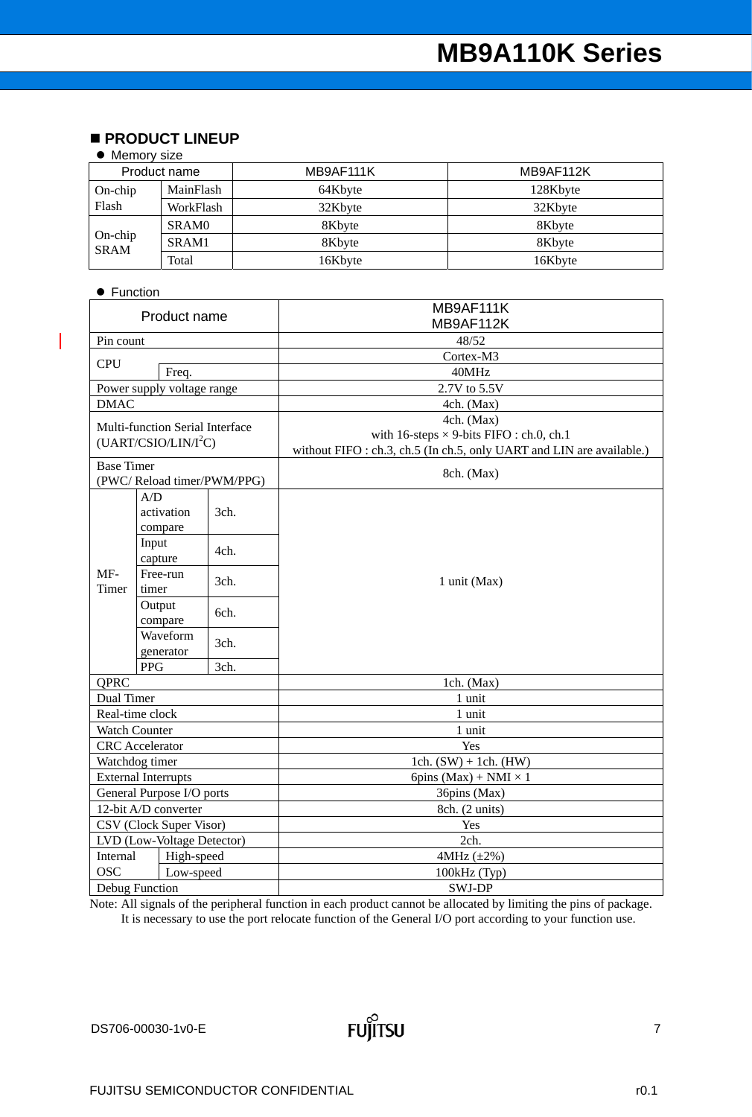### **PRODUCT LINEUP**

### • Memory size

| Product name              |              | MB9AF111K | MB9AF112K |
|---------------------------|--------------|-----------|-----------|
| $On-chip$                 | MainFlash    | 64Kbyte   | 128Kbyte  |
| Flash                     | WorkFlash    | 32Kbyte   | 32Kbyte   |
| $On$ -chip<br><b>SRAM</b> | <b>SRAMO</b> | 8Kbyte    | 8Kbyte    |
|                           | SRAM1        | 8Kbyte    | 8Kbyte    |
|                           | Total        | 16Kbyte   | 16Kbyte   |

### • Function

 $\overline{\phantom{a}}$ 

|                   | Product name                     |      | MB9AF111K                                                             |
|-------------------|----------------------------------|------|-----------------------------------------------------------------------|
|                   |                                  |      | MB9AF112K                                                             |
| Pin count         |                                  |      | 48/52                                                                 |
| <b>CPU</b>        |                                  |      | Cortex-M3                                                             |
|                   | Freq.                            |      | 40MHz                                                                 |
|                   | Power supply voltage range       |      | 2.7V to 5.5V                                                          |
| <b>DMAC</b>       |                                  |      | 4ch. (Max)                                                            |
|                   | Multi-function Serial Interface  |      | 4ch. (Max)                                                            |
|                   | (UART/CSIO/LIN/I <sup>2</sup> C) |      | with 16-steps $\times$ 9-bits FIFO : ch.0, ch.1                       |
|                   |                                  |      | without FIFO : ch.3, ch.5 (In ch.5, only UART and LIN are available.) |
| <b>Base Timer</b> |                                  |      | 8ch. (Max)                                                            |
|                   | (PWC/Reload timer/PWM/PPG)       |      |                                                                       |
|                   | A/D                              |      |                                                                       |
|                   | activation                       | 3ch. |                                                                       |
|                   | compare                          |      |                                                                       |
|                   | Input                            | 4ch. |                                                                       |
|                   | capture                          |      |                                                                       |
| $MF-$             | Free-run                         | 3ch. | 1 unit (Max)                                                          |
| Timer             | timer                            |      |                                                                       |
|                   | Output                           | 6ch. |                                                                       |
|                   | compare                          |      |                                                                       |
|                   | Waveform                         | 3ch. |                                                                       |
|                   | generator                        |      |                                                                       |
|                   | <b>PPG</b>                       | 3ch. |                                                                       |
| QPRC              |                                  |      | 1ch. (Max)                                                            |
| Dual Timer        |                                  |      | 1 unit                                                                |
|                   | Real-time clock                  |      | 1 unit                                                                |
|                   | Watch Counter                    |      | 1 unit                                                                |
|                   | <b>CRC</b> Accelerator           |      | Yes                                                                   |
|                   | Watchdog timer                   |      | 1ch. $(SW) + 1ch.$ (HW)                                               |
|                   | <b>External Interrupts</b>       |      | 6pins (Max) + NMI $\times$ 1                                          |
|                   | General Purpose I/O ports        |      | 36pins (Max)                                                          |
|                   | 12-bit A/D converter             |      | 8ch. (2 units)                                                        |
|                   | CSV (Clock Super Visor)          |      | Yes                                                                   |
|                   | LVD (Low-Voltage Detector)       |      | 2ch.                                                                  |
| Internal          | High-speed                       |      | 4MHz (±2%)                                                            |
| <b>OSC</b>        | Low-speed                        |      | 100kHz (Typ)                                                          |
|                   | <b>Debug Function</b>            |      | SWJ-DP                                                                |

Note: All signals of the peripheral function in each product cannot be allocated by limiting the pins of package.

It is necessary to use the port relocate function of the General I/O port according to your function use.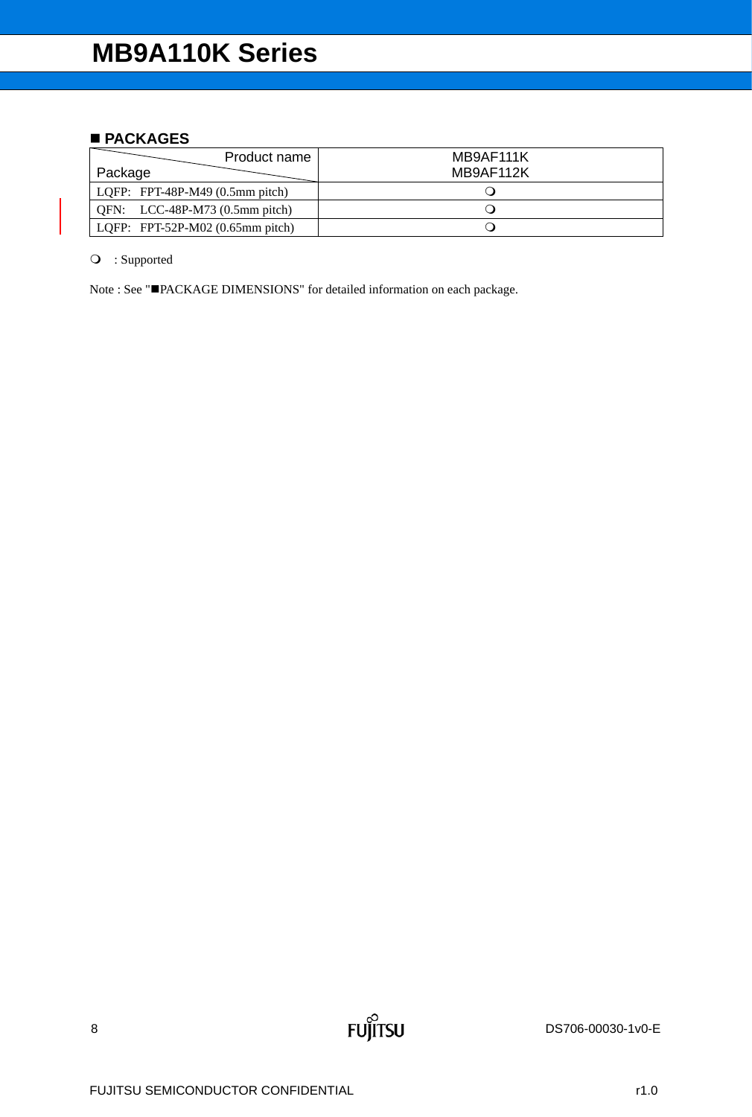### ■ **PACKAGES**

| Product name<br>Package                    | MB9AF111K<br>MB9AF112K |
|--------------------------------------------|------------------------|
| LQFP: FPT-48P-M49 $(0.5 \text{mm pitch})$  |                        |
| QFN: $LCC-48P-M73$ (0.5mm pitch)           |                        |
| LQFP: FPT-52P-M02 $(0.65 \text{mm pitch})$ |                        |

: Supported

Note : See "PACKAGE DIMENSIONS" for detailed information on each package.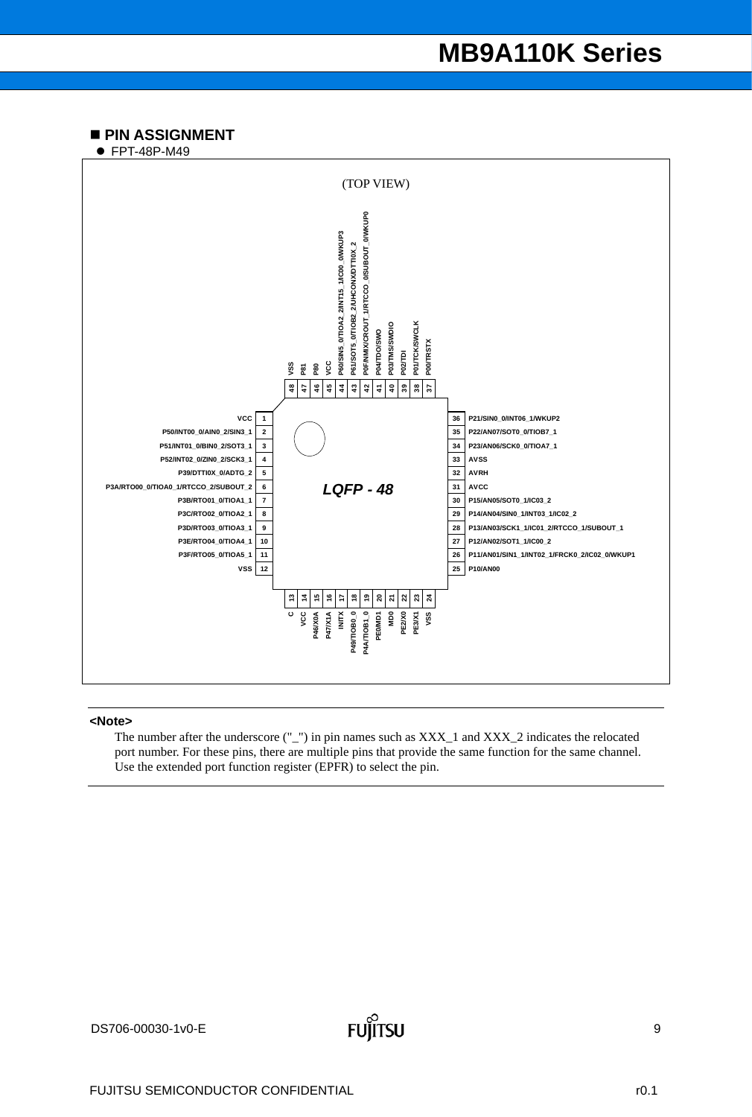### **PIN ASSIGNMENT**

● FPT-48P-M49



#### **<Note>**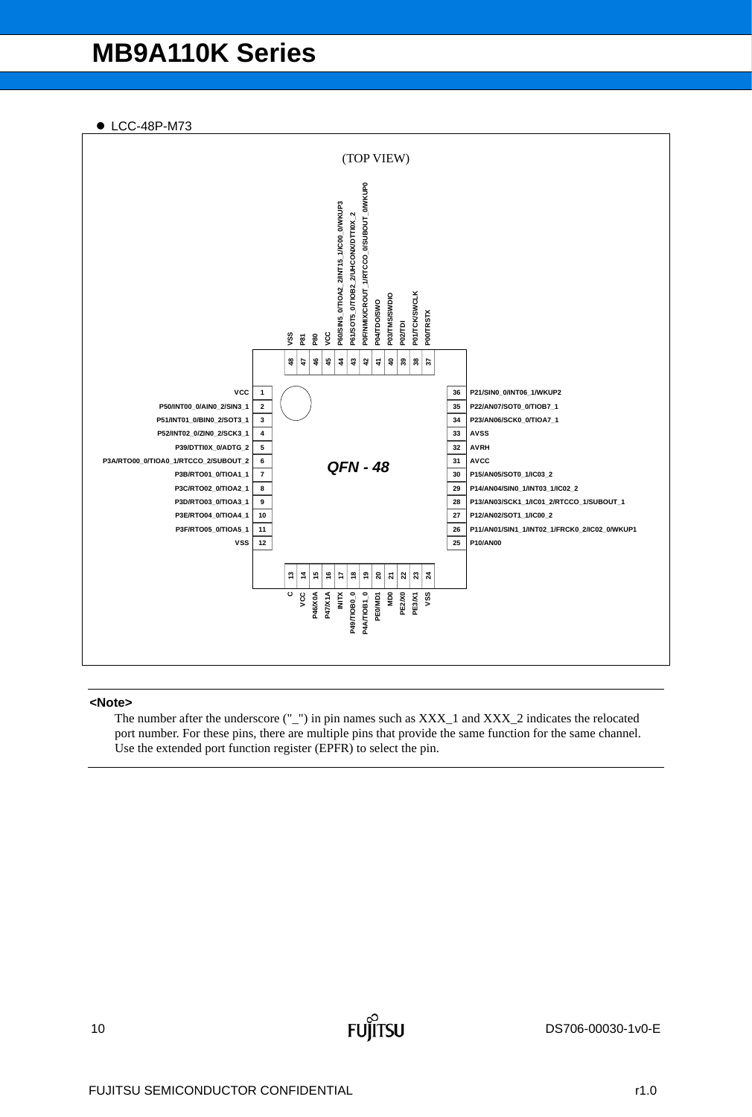● LCC-48P-M73



### **<Note>**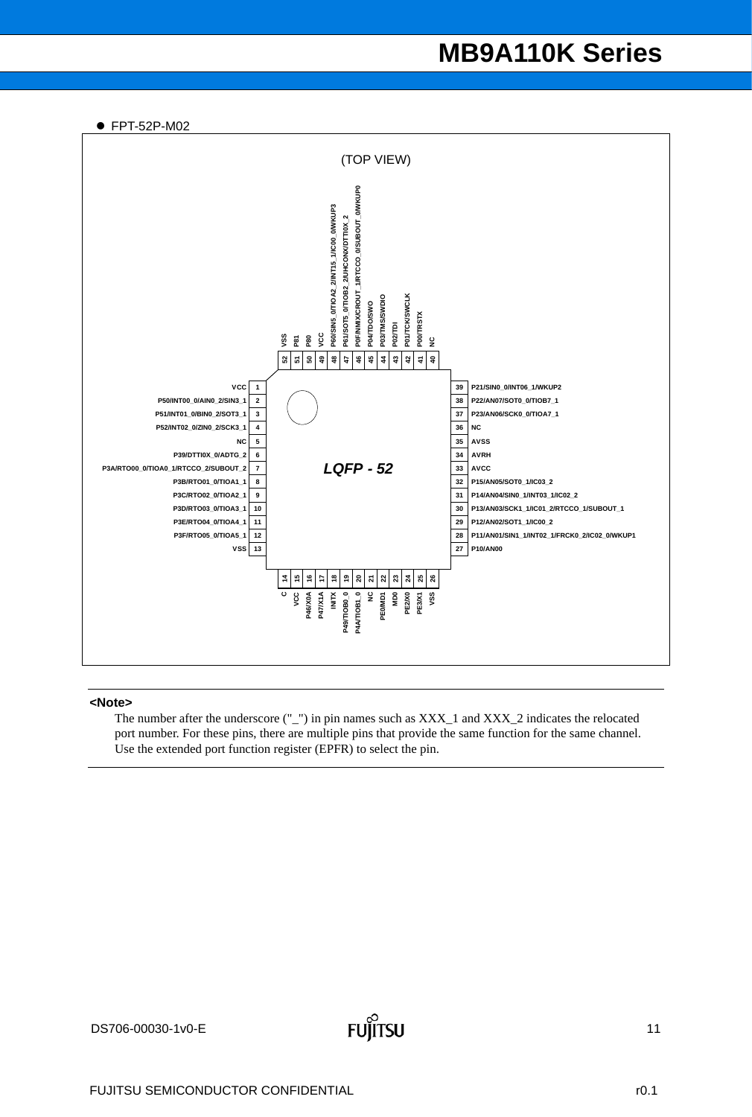● FPT-52P-M02



### **<Note>**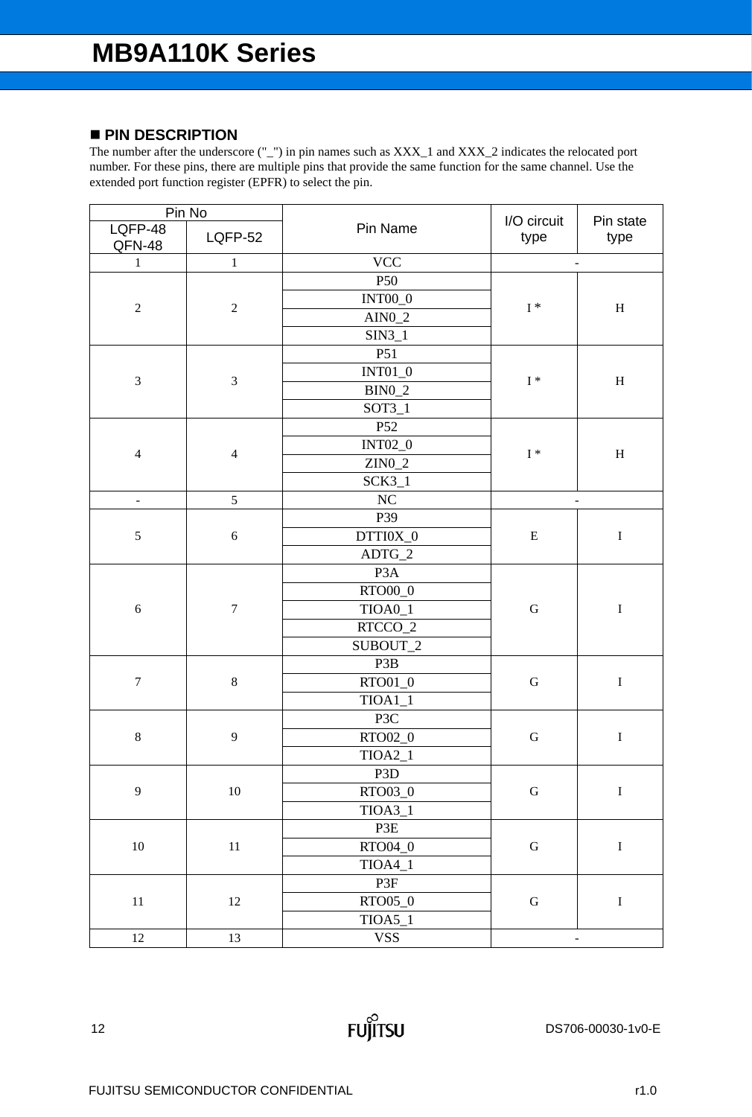### **PIN DESCRIPTION**

| Pin No            |                  |                     | I/O circuit              | Pin state                 |
|-------------------|------------------|---------------------|--------------------------|---------------------------|
| LQFP-48<br>QFN-48 | <b>LQFP-52</b>   | Pin Name            | type                     | type                      |
| $1\,$             | $\,1\,$          | <b>VCC</b>          | $\overline{\phantom{a}}$ |                           |
|                   |                  | P50                 |                          |                           |
|                   |                  | <b>INT00_0</b>      |                          |                           |
| $\sqrt{2}$        | $\sqrt{2}$       | $AIN0_2$            | $\mathrm{I}$ $\ast$      | $\mathbf H$               |
|                   |                  | $SIM3_1$            |                          |                           |
|                   |                  | P51                 |                          |                           |
|                   |                  | $INT01_0$           |                          |                           |
| $\mathfrak{Z}$    | $\mathfrak{Z}$   | $BIN0_2$            | $\mathrm{I}$ $\ast$      | $\boldsymbol{\mathrm{H}}$ |
|                   |                  | $SOT3_1$            |                          |                           |
|                   |                  | P52                 |                          |                           |
|                   |                  | <b>INT02_0</b>      |                          |                           |
| $\overline{4}$    | $\overline{4}$   | $ZIN0_2$            | $\mathrm{I}$ *           | $\mathbf H$               |
|                   |                  | $SCK3_1$            |                          |                           |
| $\overline{a}$    | 5                | NC                  | $\overline{a}$           |                           |
|                   |                  | P39                 |                          |                           |
| $\sqrt{5}$        | $\sqrt{6}$       | DTTI0X_0            | ${\bf E}$                | $\bf I$                   |
|                   |                  | $ADTG_2$            |                          |                           |
|                   | $\boldsymbol{7}$ | P <sub>3</sub> A    |                          |                           |
|                   |                  | $\mathrm{RTO00\_0}$ |                          |                           |
| $\sqrt{6}$        |                  | $TIOA0_1$           | ${\bf G}$                | $\bf I$                   |
|                   |                  | RTCCO_2             |                          |                           |
|                   |                  | SUBOUT_2            |                          |                           |
|                   |                  | P3B                 |                          |                           |
| $\boldsymbol{7}$  | $\,8\,$          | RTO01_0             | ${\bf G}$                | $\mathbf I$               |
|                   |                  | $TIOA1_1$           |                          |                           |
|                   |                  | P3C                 |                          |                           |
| $\,8\,$           | 9                | RTO02_0             | ${\bf G}$                | $\mathbf I$               |
|                   |                  | $TIOA2_1$           |                          |                           |
|                   |                  | P3D                 |                          |                           |
| $\mathbf{9}$      | $10\,$           | RTO03_0             | ${\bf G}$                | $\mathbf I$               |
|                   |                  | $TIOA3_1$           |                          |                           |
|                   |                  | P3E                 |                          |                           |
| $10\,$            | $11\,$           | RTO04_0             | ${\bf G}$                | $\bf I$                   |
|                   |                  | $TIOA4_1$           |                          |                           |
|                   |                  | P3F                 |                          |                           |
| $11\,$            | $12\,$           | RTO05_0             | ${\bf G}$                | $\mathbf I$               |
|                   |                  | $TIOA5_1$           |                          |                           |
| $12\,$            | 13               | <b>VSS</b>          | $\overline{\phantom{m}}$ |                           |

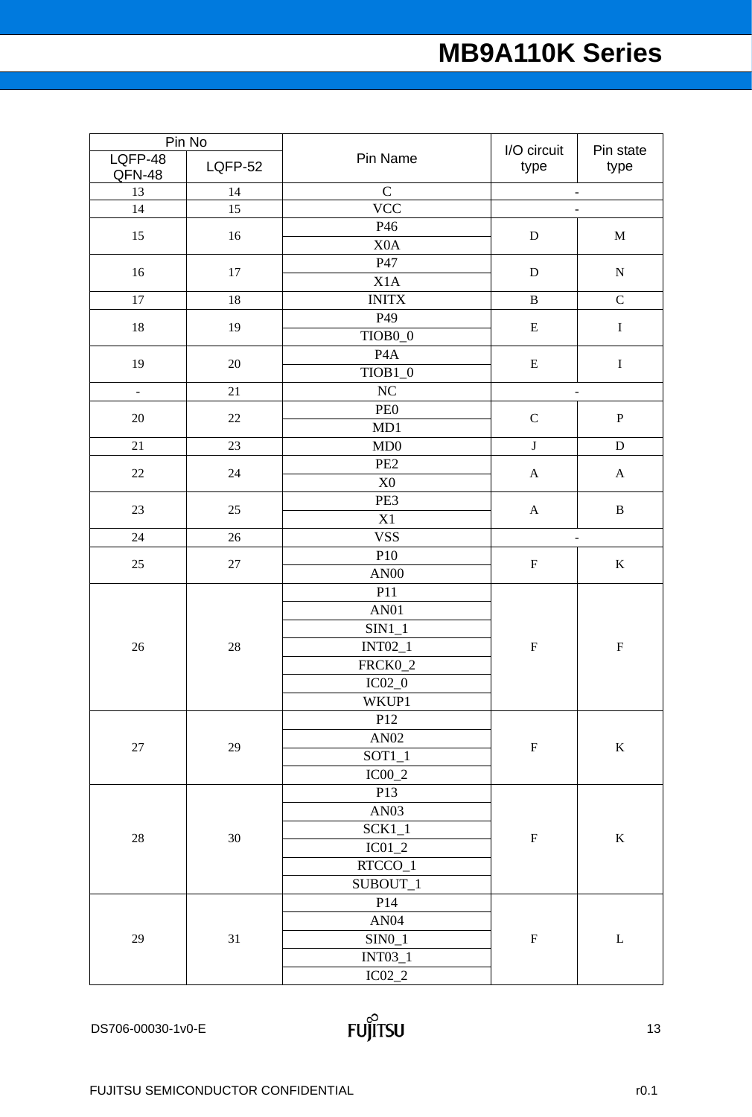| Pin No            |                |                     | I/O circuit               |                           |
|-------------------|----------------|---------------------|---------------------------|---------------------------|
| LQFP-48<br>QFN-48 | <b>LQFP-52</b> | Pin Name            | type                      | Pin state<br>type         |
| 13                | 14             | $\mathbf C$         |                           | $\overline{\phantom{a}}$  |
| 14                | 15             | <b>VCC</b>          |                           | $\overline{a}$            |
| 15                | 16             | P46                 | ${\bf D}$                 | $\mathbf M$               |
|                   |                | X <sub>0</sub> A    |                           |                           |
| 16                | 17             | P47                 | ${\bf D}$                 | ${\bf N}$                 |
|                   |                | X1A                 |                           |                           |
| $17\,$            | 18             | <b>INITX</b>        | $\, {\bf B}$              | $\mathbf C$               |
|                   |                | P49                 |                           |                           |
| 18                | 19             | TIOB <sub>0_0</sub> | $\mathbf E$               | $\bf I$                   |
|                   |                | P <sub>4</sub> A    |                           |                           |
| 19                | $20\,$         | $TIOB1_0$           | ${\bf E}$                 | $\mathbf I$               |
| $\Box$            | 21             | $\rm NC$            |                           | $\overline{a}$            |
|                   |                | PE <sub>0</sub>     |                           |                           |
| $20\,$            | $22\,$         | MD1                 | ${\bf C}$                 | ${\bf P}$                 |
| 21                | 23             | MD0                 | $\bf J$                   | $\mathbf D$               |
|                   |                | PE <sub>2</sub>     |                           |                           |
| $22\,$            | 24             | $\rm X0$            | $\mathbf{A}$              | $\mathbf{A}$              |
|                   |                | PE3                 |                           |                           |
| 23                | 25             | X1                  | $\boldsymbol{\mathsf{A}}$ | $\, {\bf B}$              |
| 24                | 26             | <b>VSS</b>          |                           | $\overline{\phantom{a}}$  |
|                   | $27\,$         | P10                 | ${\bf F}$                 |                           |
| 25                |                | <b>AN00</b>         |                           | $\bf K$                   |
|                   | 28             | P11                 |                           |                           |
|                   |                | AN01                |                           | $\boldsymbol{\mathrm{F}}$ |
|                   |                | $SIM1_1$            |                           |                           |
| 26                |                | $INT02_1$           | ${\bf F}$                 |                           |
|                   |                | FRCK0_2             |                           |                           |
|                   |                | $\rm IC02\_0$       |                           |                           |
|                   |                | WKUP1               |                           |                           |
|                   |                | P12                 |                           |                           |
|                   |                | AN02                |                           |                           |
| $27\,$            | 29             | $SOT1_1$            | ${\bf F}$                 | $\bf K$                   |
|                   |                | $IC00_2$            |                           |                           |
|                   |                | P13                 |                           |                           |
|                   |                | AN <sub>03</sub>    |                           |                           |
| $28\,$            |                | $SCK1_1$            |                           |                           |
|                   | $30\,$         | $IC01_2$            | ${\bf F}$                 | $\mathbf K$               |
|                   |                | $RTCCO_1$           |                           |                           |
|                   |                | SUBOUT_1            |                           |                           |
|                   |                | P14                 |                           |                           |
|                   |                | AN04                |                           |                           |
| 29                | 31             | $SINO_1$            | $\boldsymbol{\mathrm{F}}$ | $\mathbf L$               |
|                   |                | $INT03\_1$          |                           |                           |
|                   |                | $IC02\_2$           |                           |                           |
|                   |                |                     |                           |                           |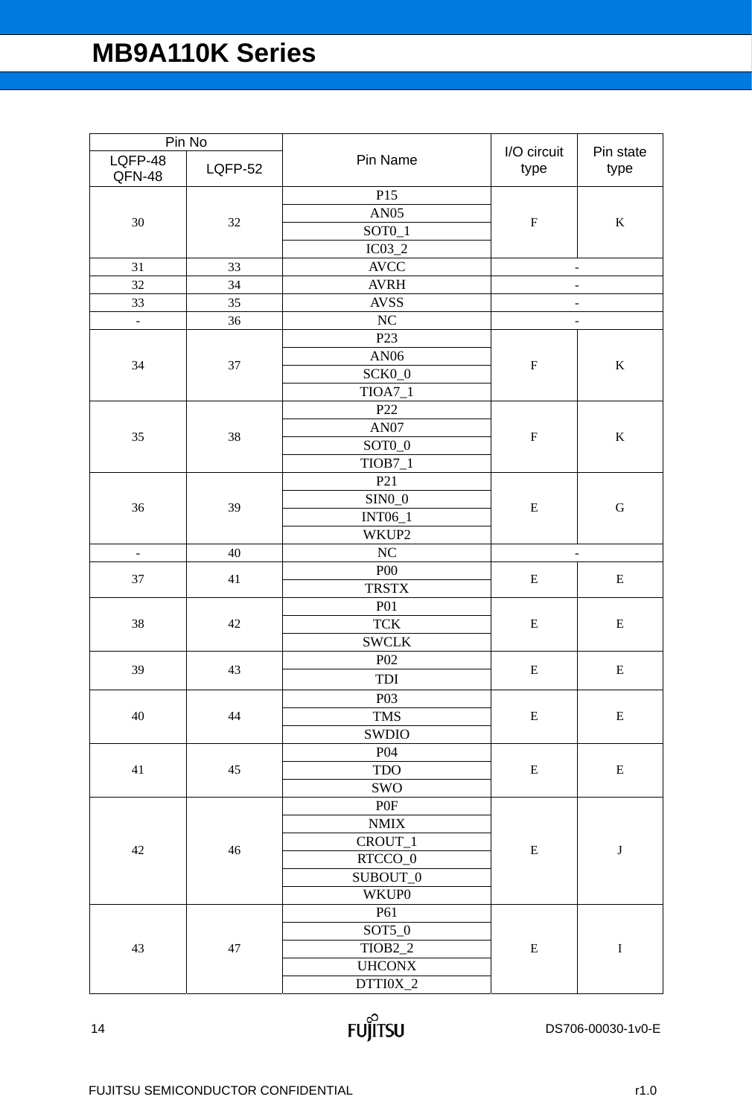| Pin Name<br>LQFP-48<br>LQFP-52<br>type<br>type<br>QFN-48<br>P15<br><b>AN05</b><br>30<br>32<br>$\boldsymbol{\mathrm{F}}$<br>$\bf K$<br>$SOT0_1$<br>$IC03_2$<br><b>AVCC</b><br>31<br>33<br>-<br><b>AVRH</b><br>32<br>34<br>$\overline{\phantom{0}}$<br>33<br>35<br><b>AVSS</b><br>$\overline{a}$<br>$\rm NC$<br>36<br>$\bar{\mathcal{L}}$<br>$\overline{\phantom{a}}$<br>P <sub>23</sub><br>AN06<br>${\bf F}$<br>$\bf K$<br>34<br>37<br>SCK0_0<br>$TIOA7_1$<br>P22<br>AN07<br>35<br>38<br>${\bf F}$<br>$\bf K$<br>SOT <sub>0</sub> _0<br>$TIOB7_1$<br>P21<br>$\mathrm{SIN0}\_0$<br>36<br>39<br>${\bf E}$<br>${\bf G}$<br><b>INT06_1</b><br>WKUP2<br>$\rm NC$<br>40<br>$\overline{\phantom{a}}$<br><b>P00</b><br>37<br>41<br>E<br>E<br><b>TRSTX</b><br><b>P01</b><br><b>TCK</b><br>38<br>42<br>${\bf E}$<br>${\bf E}$<br><b>SWCLK</b><br>P <sub>02</sub><br>39<br>43<br>${\bf E}$<br>$\bf E$<br>TDI<br>P03<br>$40\,$<br><b>TMS</b><br>44<br>${\bf E}$<br>${\bf E}$<br>SWDIO<br>P04<br><b>TDO</b><br>$41\,$<br>45<br>${\bf E}$<br>${\bf E}$<br>SWO<br>P0F<br>$\operatorname{NMIX}$<br>CROUT_1<br>$42\,$<br>$46\,$<br>${\bf E}$<br>$\bf J$<br>RTCCO_0<br>SUBOUT_0<br>WKUP0<br>P61<br>$SOT5_0$<br>43<br>TIOB <sub>2_2</sub><br>${\bf E}$<br>$\bf I$<br>47<br><b>UHCONX</b> | Pin No |  |          | I/O circuit | Pin state |
|----------------------------------------------------------------------------------------------------------------------------------------------------------------------------------------------------------------------------------------------------------------------------------------------------------------------------------------------------------------------------------------------------------------------------------------------------------------------------------------------------------------------------------------------------------------------------------------------------------------------------------------------------------------------------------------------------------------------------------------------------------------------------------------------------------------------------------------------------------------------------------------------------------------------------------------------------------------------------------------------------------------------------------------------------------------------------------------------------------------------------------------------------------------------------------------------------------------------------------------------------------------------|--------|--|----------|-------------|-----------|
|                                                                                                                                                                                                                                                                                                                                                                                                                                                                                                                                                                                                                                                                                                                                                                                                                                                                                                                                                                                                                                                                                                                                                                                                                                                                      |        |  |          |             |           |
|                                                                                                                                                                                                                                                                                                                                                                                                                                                                                                                                                                                                                                                                                                                                                                                                                                                                                                                                                                                                                                                                                                                                                                                                                                                                      |        |  |          |             |           |
|                                                                                                                                                                                                                                                                                                                                                                                                                                                                                                                                                                                                                                                                                                                                                                                                                                                                                                                                                                                                                                                                                                                                                                                                                                                                      |        |  |          |             |           |
|                                                                                                                                                                                                                                                                                                                                                                                                                                                                                                                                                                                                                                                                                                                                                                                                                                                                                                                                                                                                                                                                                                                                                                                                                                                                      |        |  |          |             |           |
|                                                                                                                                                                                                                                                                                                                                                                                                                                                                                                                                                                                                                                                                                                                                                                                                                                                                                                                                                                                                                                                                                                                                                                                                                                                                      |        |  |          |             |           |
|                                                                                                                                                                                                                                                                                                                                                                                                                                                                                                                                                                                                                                                                                                                                                                                                                                                                                                                                                                                                                                                                                                                                                                                                                                                                      |        |  |          |             |           |
|                                                                                                                                                                                                                                                                                                                                                                                                                                                                                                                                                                                                                                                                                                                                                                                                                                                                                                                                                                                                                                                                                                                                                                                                                                                                      |        |  |          |             |           |
|                                                                                                                                                                                                                                                                                                                                                                                                                                                                                                                                                                                                                                                                                                                                                                                                                                                                                                                                                                                                                                                                                                                                                                                                                                                                      |        |  |          |             |           |
|                                                                                                                                                                                                                                                                                                                                                                                                                                                                                                                                                                                                                                                                                                                                                                                                                                                                                                                                                                                                                                                                                                                                                                                                                                                                      |        |  |          |             |           |
|                                                                                                                                                                                                                                                                                                                                                                                                                                                                                                                                                                                                                                                                                                                                                                                                                                                                                                                                                                                                                                                                                                                                                                                                                                                                      |        |  |          |             |           |
|                                                                                                                                                                                                                                                                                                                                                                                                                                                                                                                                                                                                                                                                                                                                                                                                                                                                                                                                                                                                                                                                                                                                                                                                                                                                      |        |  |          |             |           |
|                                                                                                                                                                                                                                                                                                                                                                                                                                                                                                                                                                                                                                                                                                                                                                                                                                                                                                                                                                                                                                                                                                                                                                                                                                                                      |        |  |          |             |           |
|                                                                                                                                                                                                                                                                                                                                                                                                                                                                                                                                                                                                                                                                                                                                                                                                                                                                                                                                                                                                                                                                                                                                                                                                                                                                      |        |  |          |             |           |
|                                                                                                                                                                                                                                                                                                                                                                                                                                                                                                                                                                                                                                                                                                                                                                                                                                                                                                                                                                                                                                                                                                                                                                                                                                                                      |        |  |          |             |           |
|                                                                                                                                                                                                                                                                                                                                                                                                                                                                                                                                                                                                                                                                                                                                                                                                                                                                                                                                                                                                                                                                                                                                                                                                                                                                      |        |  |          |             |           |
|                                                                                                                                                                                                                                                                                                                                                                                                                                                                                                                                                                                                                                                                                                                                                                                                                                                                                                                                                                                                                                                                                                                                                                                                                                                                      |        |  |          |             |           |
|                                                                                                                                                                                                                                                                                                                                                                                                                                                                                                                                                                                                                                                                                                                                                                                                                                                                                                                                                                                                                                                                                                                                                                                                                                                                      |        |  |          |             |           |
|                                                                                                                                                                                                                                                                                                                                                                                                                                                                                                                                                                                                                                                                                                                                                                                                                                                                                                                                                                                                                                                                                                                                                                                                                                                                      |        |  |          |             |           |
|                                                                                                                                                                                                                                                                                                                                                                                                                                                                                                                                                                                                                                                                                                                                                                                                                                                                                                                                                                                                                                                                                                                                                                                                                                                                      |        |  |          |             |           |
|                                                                                                                                                                                                                                                                                                                                                                                                                                                                                                                                                                                                                                                                                                                                                                                                                                                                                                                                                                                                                                                                                                                                                                                                                                                                      |        |  |          |             |           |
|                                                                                                                                                                                                                                                                                                                                                                                                                                                                                                                                                                                                                                                                                                                                                                                                                                                                                                                                                                                                                                                                                                                                                                                                                                                                      |        |  |          |             |           |
|                                                                                                                                                                                                                                                                                                                                                                                                                                                                                                                                                                                                                                                                                                                                                                                                                                                                                                                                                                                                                                                                                                                                                                                                                                                                      |        |  |          |             |           |
|                                                                                                                                                                                                                                                                                                                                                                                                                                                                                                                                                                                                                                                                                                                                                                                                                                                                                                                                                                                                                                                                                                                                                                                                                                                                      |        |  |          |             |           |
|                                                                                                                                                                                                                                                                                                                                                                                                                                                                                                                                                                                                                                                                                                                                                                                                                                                                                                                                                                                                                                                                                                                                                                                                                                                                      |        |  |          |             |           |
|                                                                                                                                                                                                                                                                                                                                                                                                                                                                                                                                                                                                                                                                                                                                                                                                                                                                                                                                                                                                                                                                                                                                                                                                                                                                      |        |  |          |             |           |
|                                                                                                                                                                                                                                                                                                                                                                                                                                                                                                                                                                                                                                                                                                                                                                                                                                                                                                                                                                                                                                                                                                                                                                                                                                                                      |        |  |          |             |           |
|                                                                                                                                                                                                                                                                                                                                                                                                                                                                                                                                                                                                                                                                                                                                                                                                                                                                                                                                                                                                                                                                                                                                                                                                                                                                      |        |  |          |             |           |
|                                                                                                                                                                                                                                                                                                                                                                                                                                                                                                                                                                                                                                                                                                                                                                                                                                                                                                                                                                                                                                                                                                                                                                                                                                                                      |        |  |          |             |           |
|                                                                                                                                                                                                                                                                                                                                                                                                                                                                                                                                                                                                                                                                                                                                                                                                                                                                                                                                                                                                                                                                                                                                                                                                                                                                      |        |  |          |             |           |
|                                                                                                                                                                                                                                                                                                                                                                                                                                                                                                                                                                                                                                                                                                                                                                                                                                                                                                                                                                                                                                                                                                                                                                                                                                                                      |        |  |          |             |           |
|                                                                                                                                                                                                                                                                                                                                                                                                                                                                                                                                                                                                                                                                                                                                                                                                                                                                                                                                                                                                                                                                                                                                                                                                                                                                      |        |  |          |             |           |
|                                                                                                                                                                                                                                                                                                                                                                                                                                                                                                                                                                                                                                                                                                                                                                                                                                                                                                                                                                                                                                                                                                                                                                                                                                                                      |        |  |          |             |           |
|                                                                                                                                                                                                                                                                                                                                                                                                                                                                                                                                                                                                                                                                                                                                                                                                                                                                                                                                                                                                                                                                                                                                                                                                                                                                      |        |  |          |             |           |
|                                                                                                                                                                                                                                                                                                                                                                                                                                                                                                                                                                                                                                                                                                                                                                                                                                                                                                                                                                                                                                                                                                                                                                                                                                                                      |        |  |          |             |           |
|                                                                                                                                                                                                                                                                                                                                                                                                                                                                                                                                                                                                                                                                                                                                                                                                                                                                                                                                                                                                                                                                                                                                                                                                                                                                      |        |  |          |             |           |
|                                                                                                                                                                                                                                                                                                                                                                                                                                                                                                                                                                                                                                                                                                                                                                                                                                                                                                                                                                                                                                                                                                                                                                                                                                                                      |        |  |          |             |           |
|                                                                                                                                                                                                                                                                                                                                                                                                                                                                                                                                                                                                                                                                                                                                                                                                                                                                                                                                                                                                                                                                                                                                                                                                                                                                      |        |  |          |             |           |
|                                                                                                                                                                                                                                                                                                                                                                                                                                                                                                                                                                                                                                                                                                                                                                                                                                                                                                                                                                                                                                                                                                                                                                                                                                                                      |        |  |          |             |           |
|                                                                                                                                                                                                                                                                                                                                                                                                                                                                                                                                                                                                                                                                                                                                                                                                                                                                                                                                                                                                                                                                                                                                                                                                                                                                      |        |  |          |             |           |
|                                                                                                                                                                                                                                                                                                                                                                                                                                                                                                                                                                                                                                                                                                                                                                                                                                                                                                                                                                                                                                                                                                                                                                                                                                                                      |        |  |          |             |           |
|                                                                                                                                                                                                                                                                                                                                                                                                                                                                                                                                                                                                                                                                                                                                                                                                                                                                                                                                                                                                                                                                                                                                                                                                                                                                      |        |  |          |             |           |
|                                                                                                                                                                                                                                                                                                                                                                                                                                                                                                                                                                                                                                                                                                                                                                                                                                                                                                                                                                                                                                                                                                                                                                                                                                                                      |        |  |          |             |           |
|                                                                                                                                                                                                                                                                                                                                                                                                                                                                                                                                                                                                                                                                                                                                                                                                                                                                                                                                                                                                                                                                                                                                                                                                                                                                      |        |  |          |             |           |
|                                                                                                                                                                                                                                                                                                                                                                                                                                                                                                                                                                                                                                                                                                                                                                                                                                                                                                                                                                                                                                                                                                                                                                                                                                                                      |        |  |          |             |           |
|                                                                                                                                                                                                                                                                                                                                                                                                                                                                                                                                                                                                                                                                                                                                                                                                                                                                                                                                                                                                                                                                                                                                                                                                                                                                      |        |  |          |             |           |
|                                                                                                                                                                                                                                                                                                                                                                                                                                                                                                                                                                                                                                                                                                                                                                                                                                                                                                                                                                                                                                                                                                                                                                                                                                                                      |        |  | DTTI0X_2 |             |           |

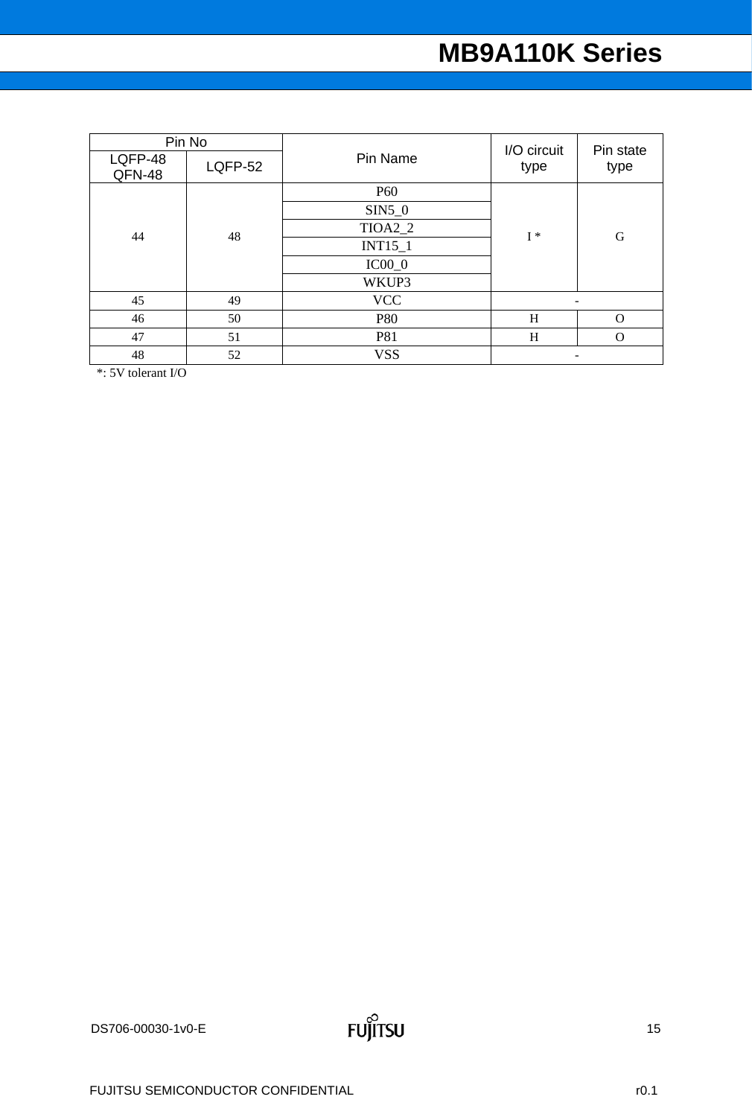| Pin No            |         |            | I/O circuit | Pin state                |
|-------------------|---------|------------|-------------|--------------------------|
| LQFP-48<br>QFN-48 | LQFP-52 | Pin Name   | type        | type                     |
|                   |         | <b>P60</b> |             | G                        |
|                   |         | $SIN5_0$   |             |                          |
| 44                | 48      | TIOA2_2    | $I^*$       |                          |
|                   |         | $INT15_1$  |             |                          |
|                   |         | $IC00_0$   |             |                          |
|                   |         | WKUP3      |             |                          |
| 45                | 49      | <b>VCC</b> |             | $\overline{\phantom{a}}$ |
| 46                | 50      | <b>P80</b> | H           | $\Omega$                 |
| 47                | 51      | P81        | H           | $\Omega$                 |
| 48                | 52      | <b>VSS</b> |             | $\overline{\phantom{0}}$ |

\*: 5V tolerant I/O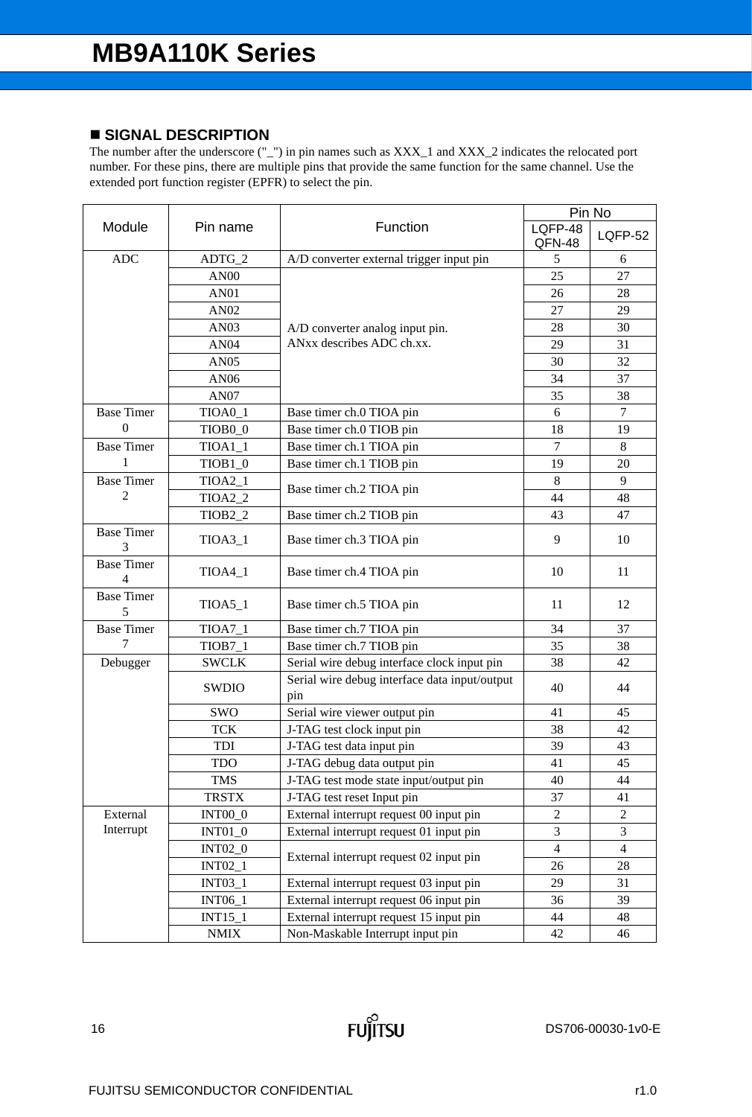### **SIGNAL DESCRIPTION**

|                        |                     |                                                      | Pin No            |                |  |
|------------------------|---------------------|------------------------------------------------------|-------------------|----------------|--|
| Module                 | Pin name            | Function                                             | LQFP-48<br>QFN-48 | <b>LQFP-52</b> |  |
| <b>ADC</b>             | $ADTG_2$            | A/D converter external trigger input pin             | 5                 | 6              |  |
|                        | AN <sub>00</sub>    |                                                      | 25                | 27             |  |
|                        | <b>AN01</b>         |                                                      | 26                | 28             |  |
|                        | AN02                |                                                      | 27                | 29             |  |
|                        | AN <sub>03</sub>    | A/D converter analog input pin.                      | 28                | 30             |  |
|                        | <b>AN04</b>         | ANxx describes ADC ch.xx.                            | 29                | 31             |  |
|                        | <b>AN05</b>         |                                                      | 30                | 32             |  |
|                        | AN06                |                                                      | 34                | 37             |  |
|                        | <b>AN07</b>         |                                                      | 35                | 38             |  |
| <b>Base Timer</b>      | TIOA0_1             | Base timer ch.0 TIOA pin                             | 6                 | $\tau$         |  |
| $\Omega$               | TIOB <sub>0_0</sub> | Base timer ch.0 TIOB pin                             | 18                | 19             |  |
| <b>Base Timer</b>      | $TIOA1_1$           | Base timer ch.1 TIOA pin                             | 7                 | 8              |  |
| 1                      | $TIOB1_0$           | Base timer ch.1 TIOB pin                             | 19                | 20             |  |
| <b>Base Timer</b>      | $TIOA2_1$           |                                                      | $\,8\,$           | 9              |  |
| 2                      | TIOA2_2             | Base timer ch.2 TIOA pin                             | 44                | 48             |  |
|                        | TIOB <sub>2_2</sub> | Base timer ch.2 TIOB pin                             | 43                | 47             |  |
| <b>Base Timer</b><br>3 | TIOA3_1             | Base timer ch.3 TIOA pin                             | 9                 | 10             |  |
| <b>Base Timer</b><br>4 | $TIOA4_1$           | Base timer ch.4 TIOA pin                             | 10                | 11             |  |
| <b>Base Timer</b><br>5 | $TIOA5_1$           | Base timer ch.5 TIOA pin                             | 11                | 12             |  |
| <b>Base Timer</b>      | $TIOA7_1$           | Base timer ch.7 TIOA pin                             | 34                | 37             |  |
| 7                      | $TIOB7_1$           | Base timer ch.7 TIOB pin                             | 35                | 38             |  |
| Debugger               | <b>SWCLK</b>        | Serial wire debug interface clock input pin          | 38                | 42             |  |
|                        | SWDIO               | Serial wire debug interface data input/output<br>pin | 40                | 44             |  |
|                        | SWO                 | Serial wire viewer output pin                        | 41                | 45             |  |
|                        | <b>TCK</b>          | J-TAG test clock input pin                           | 38                | 42             |  |
|                        | <b>TDI</b>          | J-TAG test data input pin                            | 39                | 43             |  |
|                        | <b>TDO</b>          | J-TAG debug data output pin                          | 41                | 45             |  |
|                        | <b>TMS</b>          | J-TAG test mode state input/output pin               | 40                | 44             |  |
|                        | <b>TRSTX</b>        | J-TAG test reset Input pin                           | 37                | 41             |  |
| External               | <b>INT00_0</b>      | External interrupt request 00 input pin              | $\overline{c}$    | $\overline{c}$ |  |
| Interrupt              | $INT01_0$           | External interrupt request 01 input pin              | 3                 | 3              |  |
|                        | <b>INT02_0</b>      |                                                      | $\overline{4}$    | $\overline{4}$ |  |
|                        | <b>INT02_1</b>      | External interrupt request 02 input pin              | 26                | $28\,$         |  |
|                        | <b>INT03_1</b>      | External interrupt request 03 input pin              | 29                | 31             |  |
|                        | <b>INT06_1</b>      | External interrupt request 06 input pin              | 36                | 39             |  |
|                        | $INT15_1$           | External interrupt request 15 input pin              | 44                | 48             |  |
|                        | <b>NMIX</b>         | Non-Maskable Interrupt input pin                     | 42                | 46             |  |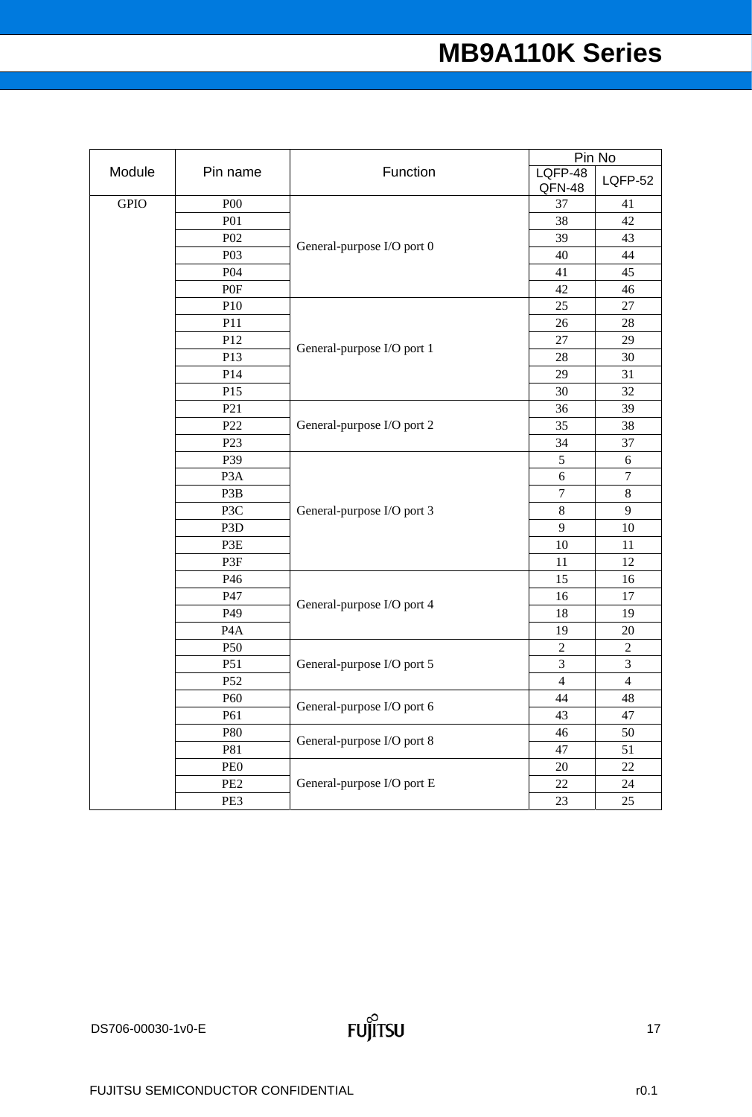|             |                  |                            | Pin No            |                  |  |
|-------------|------------------|----------------------------|-------------------|------------------|--|
| Module      | Pin name         | Function                   | LQFP-48<br>QFN-48 | <b>LQFP-52</b>   |  |
| <b>GPIO</b> | P <sub>00</sub>  |                            | 37                | 41               |  |
|             | <b>P01</b>       |                            | 38                | 42               |  |
|             | P <sub>02</sub>  |                            | 39                | 43               |  |
|             | P03              | General-purpose I/O port 0 | 40                | 44               |  |
|             | P04              |                            | 41                | 45               |  |
|             | P0F              |                            | 42                | 46               |  |
|             | P10              |                            | 25                | 27               |  |
|             | P11              |                            | 26                | 28               |  |
|             | P12              |                            | $27\,$            | 29               |  |
|             | P13              | General-purpose I/O port 1 | 28                | 30               |  |
|             | P14              |                            | 29                | 31               |  |
|             | P15              |                            | 30                | 32               |  |
|             | P21              |                            | 36                | 39               |  |
|             | P <sub>22</sub>  | General-purpose I/O port 2 | 35                | 38               |  |
|             | P <sub>23</sub>  |                            | 34                | 37               |  |
|             | P39              |                            | 5                 | $\sqrt{6}$       |  |
|             | P <sub>3</sub> A |                            | 6                 | $\boldsymbol{7}$ |  |
|             | P3B              |                            | $\boldsymbol{7}$  | $\,8\,$          |  |
|             | P3C              | General-purpose I/O port 3 | $\,8\,$           | 9                |  |
|             | P <sub>3</sub> D |                            | 9                 | 10               |  |
|             | P3E              |                            | 10                | 11               |  |
|             | P3F              |                            | 11                | 12               |  |
|             | P46              |                            | 15                | 16               |  |
|             | P47              | General-purpose I/O port 4 | 16                | $17\,$           |  |
|             | P49              |                            | 18                | 19               |  |
|             | P <sub>4</sub> A |                            | 19                | $20\,$           |  |
|             | P50              |                            | $\overline{2}$    | $\sqrt{2}$       |  |
|             | P51              | General-purpose I/O port 5 | $\overline{3}$    | $\mathfrak{Z}$   |  |
|             | P52              |                            | $\overline{4}$    | $\overline{4}$   |  |
|             | P <sub>60</sub>  | General-purpose I/O port 6 | 44                | 48               |  |
|             | P61              |                            | 43                | $47\,$           |  |
|             | P80              | General-purpose I/O port 8 | 46                | 50               |  |
|             | P81              |                            | 47                | 51               |  |
|             | PE <sub>0</sub>  |                            | $20\,$            | 22               |  |
|             | PE <sub>2</sub>  | General-purpose I/O port E | 22                | 24               |  |
|             | PE3              |                            | 23                | 25               |  |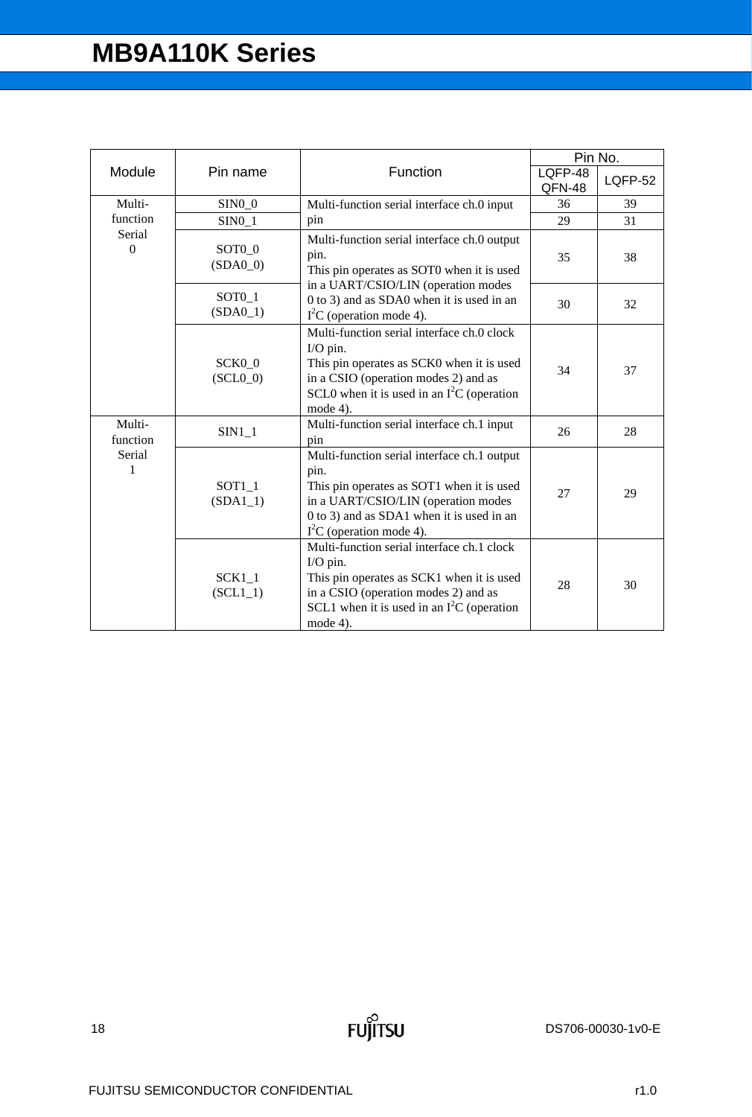|                        |                        |                                                                                                                                                                                                                   | Pin No.           |         |
|------------------------|------------------------|-------------------------------------------------------------------------------------------------------------------------------------------------------------------------------------------------------------------|-------------------|---------|
| Module                 | Pin name               | Function                                                                                                                                                                                                          | LQFP-48<br>QFN-48 | LQFP-52 |
| Multi-                 | $SIM0_0$               | Multi-function serial interface ch.0 input                                                                                                                                                                        | 36                | 39      |
| function               | $SIM0_1$               | pin                                                                                                                                                                                                               | 29                | 31      |
| Serial<br>$\mathbf{0}$ | SOTO_0<br>$(SDA0_0)$   | Multi-function serial interface ch.0 output<br>pin.<br>This pin operates as SOT0 when it is used                                                                                                                  | 35                | 38      |
|                        | $SOT0_1$<br>$(SDA0_1)$ | in a UART/CSIO/LIN (operation modes<br>0 to 3) and as SDA0 when it is used in an<br>$I2C$ (operation mode 4).                                                                                                     | 30                | 32      |
|                        | SCK0 0<br>$(SCL0_0)$   | Multi-function serial interface ch.0 clock<br>I/O pin.<br>This pin operates as SCK0 when it is used<br>in a CSIO (operation modes 2) and as<br>SCL0 when it is used in an $I2C$ (operation<br>mode $4$ ).         | 34                | 37      |
| Multi-<br>function     | $SIM1_1$               | Multi-function serial interface ch.1 input<br>pin                                                                                                                                                                 | 26                | 28      |
| Serial<br>1            | SOT1 1<br>$(SDA1_1)$   | Multi-function serial interface ch.1 output<br>pin.<br>This pin operates as SOT1 when it is used<br>in a UART/CSIO/LIN (operation modes<br>0 to 3) and as SDA1 when it is used in an<br>$I2C$ (operation mode 4). | 27                | 29      |
|                        | $SCK1_1$<br>$(SCL1_1)$ | Multi-function serial interface ch.1 clock<br>I/O pin.<br>This pin operates as SCK1 when it is used<br>in a CSIO (operation modes 2) and as<br>SCL1 when it is used in an $I2C$ (operation<br>mode 4).            | 28                | 30      |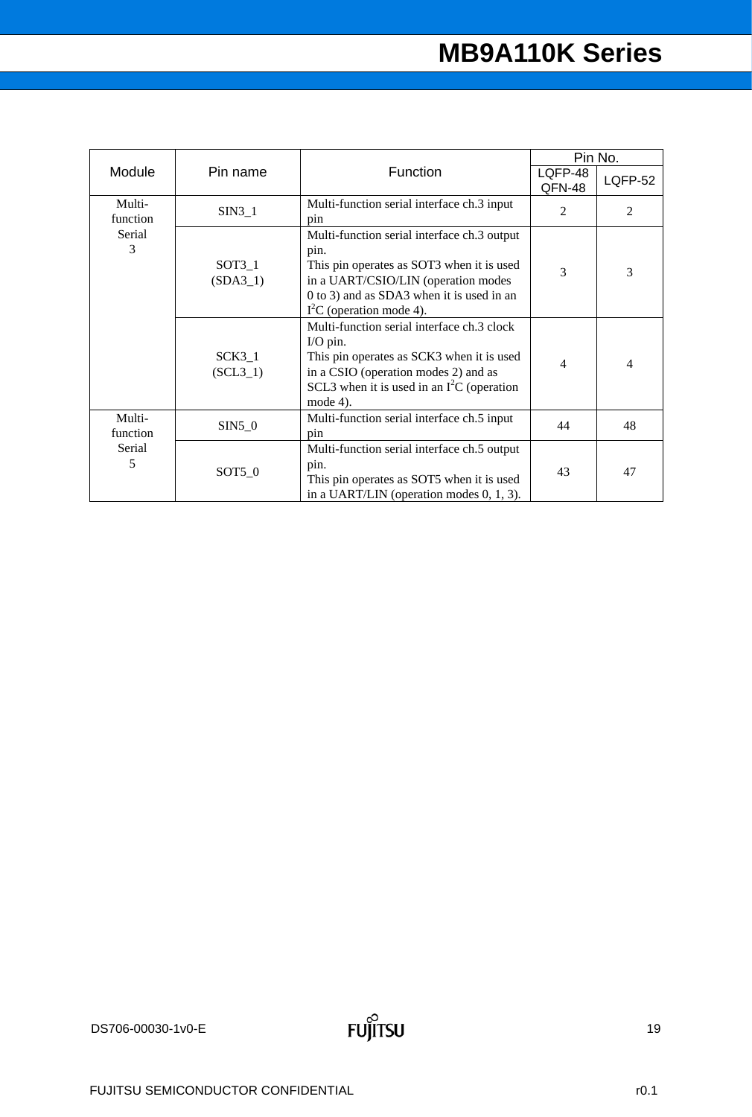|                    |                        |                                                                                                                                                                                                                   | Pin No.           |                |
|--------------------|------------------------|-------------------------------------------------------------------------------------------------------------------------------------------------------------------------------------------------------------------|-------------------|----------------|
| Module             | Pin name               | Function                                                                                                                                                                                                          | LQFP-48<br>QFN-48 | <b>LQFP-52</b> |
| Multi-<br>function | $SIN3_1$               | Multi-function serial interface ch.3 input<br>pin                                                                                                                                                                 | 2                 | $\overline{2}$ |
| Serial<br>3        | $SOT3_1$<br>$(SDA3_1)$ | Multi-function serial interface ch.3 output<br>pin.<br>This pin operates as SOT3 when it is used<br>in a UART/CSIO/LIN (operation modes<br>0 to 3) and as SDA3 when it is used in an<br>$I2C$ (operation mode 4). | 3                 | 3              |
|                    | $SCK3_1$<br>$(SCL3_1)$ | Multi-function serial interface ch.3 clock<br>I/O pin.<br>This pin operates as SCK3 when it is used<br>in a CSIO (operation modes 2) and as<br>SCL3 when it is used in an $I2C$ (operation<br>mode $4$ ).         | 4                 | 4              |
| Multi-<br>function | $SIN5_0$               | Multi-function serial interface ch.5 input<br>pin                                                                                                                                                                 | 44                | 48             |
| Serial<br>5        | $SOT5_0$               | Multi-function serial interface ch.5 output<br>pin.<br>This pin operates as SOT5 when it is used<br>in a UART/LIN (operation modes $0, 1, 3$ ).                                                                   | 43                | 47             |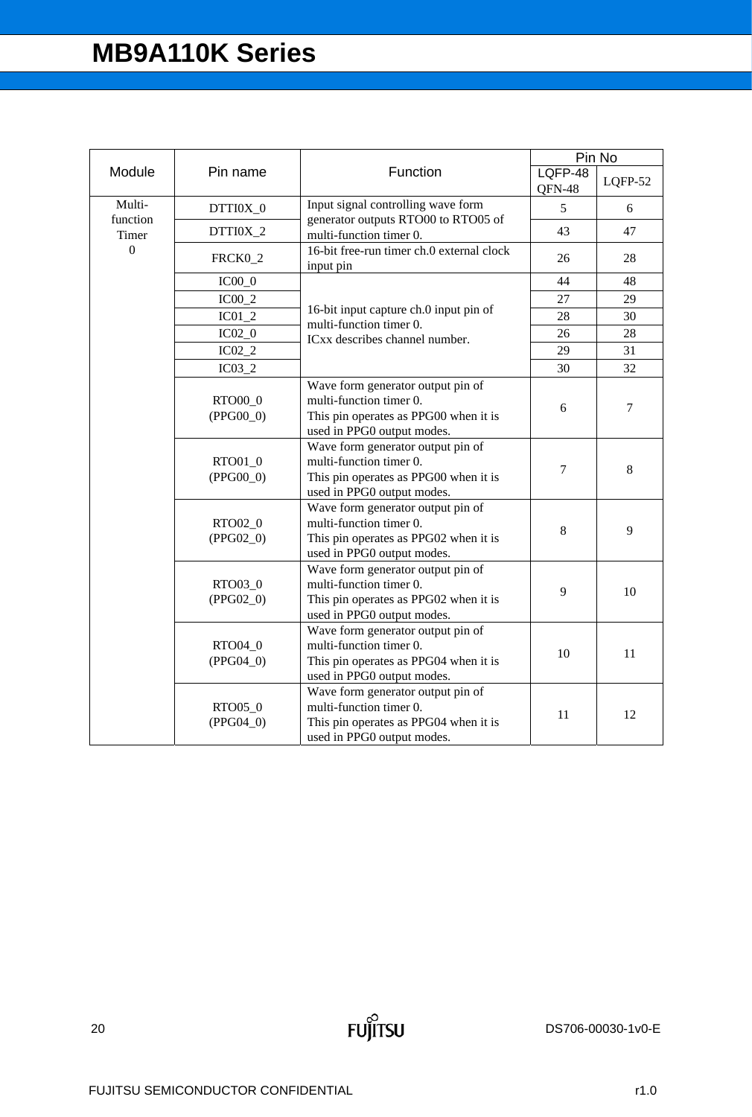|                   |                        |                                                                                                                                     |                   | Pin No  |
|-------------------|------------------------|-------------------------------------------------------------------------------------------------------------------------------------|-------------------|---------|
| Module            | Pin name               | Function                                                                                                                            | LQFP-48<br>QFN-48 | LQFP-52 |
| Multi-            | DTTI0X_0               | Input signal controlling wave form                                                                                                  | 5                 | 6       |
| function<br>Timer | DTTI0X_2               | generator outputs RTO00 to RTO05 of<br>multi-function timer 0.                                                                      | 43                | 47      |
| $\mathbf{0}$      | FRCK0_2                | 16-bit free-run timer ch.0 external clock<br>input pin                                                                              | 26                | 28      |
|                   | $IC00_0$               |                                                                                                                                     | 44                | 48      |
|                   | $IC00_2$               |                                                                                                                                     | 27                | 29      |
|                   | $IC01_2$               | 16-bit input capture ch.0 input pin of                                                                                              | 28                | 30      |
|                   | $IC02_0$               | multi-function timer 0.<br>ICxx describes channel number.                                                                           | 26                | 28      |
|                   | $IC02_2$               |                                                                                                                                     | 29                | 31      |
|                   | IC03 2                 |                                                                                                                                     | 30                | 32      |
|                   | RTO00_0<br>$(PPG00_0)$ | Wave form generator output pin of<br>multi-function timer 0.<br>This pin operates as PPG00 when it is<br>used in PPG0 output modes. | 6                 | 7       |
|                   | RTO01_0<br>$(PPG00_0)$ | Wave form generator output pin of<br>multi-function timer 0.<br>This pin operates as PPG00 when it is<br>used in PPG0 output modes. | $\overline{7}$    | 8       |
|                   | RTO02_0<br>$(PPG02_0)$ | Wave form generator output pin of<br>multi-function timer 0.<br>This pin operates as PPG02 when it is<br>used in PPG0 output modes. | 8                 | 9       |
|                   | RTO03_0<br>$(PPG02_0)$ | Wave form generator output pin of<br>multi-function timer 0.<br>This pin operates as PPG02 when it is<br>used in PPG0 output modes. | 9                 | 10      |
|                   | RTO04_0<br>$(PPG04_0)$ | Wave form generator output pin of<br>multi-function timer 0.<br>This pin operates as PPG04 when it is<br>used in PPG0 output modes. | 10                | 11      |
|                   | RTO05_0<br>$(PPG04_0)$ | Wave form generator output pin of<br>multi-function timer 0.<br>This pin operates as PPG04 when it is<br>used in PPG0 output modes. | 11                | 12      |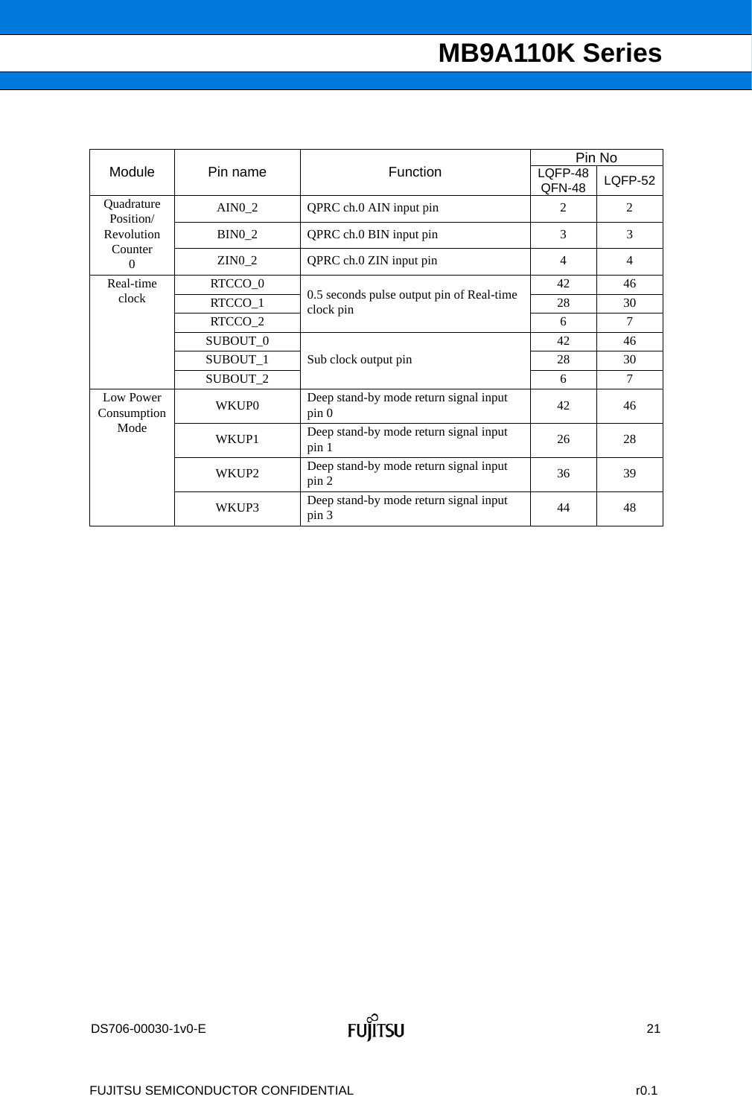| Module                                                | Pin name            | Function                                                   | Pin No            |                |
|-------------------------------------------------------|---------------------|------------------------------------------------------------|-------------------|----------------|
|                                                       |                     |                                                            | LQFP-48<br>QFN-48 | <b>LQFP-52</b> |
| Quadrature<br>Position/<br>Revolution<br>Counter<br>0 | AIN <sub>0</sub> 2  | QPRC ch.0 AIN input pin                                    | 2                 | 2              |
|                                                       | $BIN0_2$            | QPRC ch.0 BIN input pin                                    | 3                 | 3              |
|                                                       | <b>ZINO 2</b>       | QPRC ch.0 ZIN input pin                                    | $\overline{4}$    | $\overline{4}$ |
| Real-time<br>clock                                    | RTCCO <sub>_0</sub> | 0.5 seconds pulse output pin of Real-time<br>clock pin     | 42                | 46             |
|                                                       | RTCCO_1             |                                                            | 28                | 30             |
|                                                       | RTCCO <sub>2</sub>  |                                                            | 6                 | $\tau$         |
|                                                       | SUBOUT 0            | Sub clock output pin                                       | 42                | 46             |
|                                                       | SUBOUT_1            |                                                            | 28                | 30             |
|                                                       | SUBOUT <sub>2</sub> |                                                            | 6                 | 7              |
| Low Power<br>Consumption<br>Mode                      | <b>WKUP0</b>        | Deep stand-by mode return signal input<br>pin <sub>0</sub> | 42                | 46             |
|                                                       | WKUP1               | Deep stand-by mode return signal input<br>pin 1            | 26                | 28             |
|                                                       | WKUP <sub>2</sub>   | Deep stand-by mode return signal input<br>pin 2            | 36                | 39             |
|                                                       | WKUP3               | Deep stand-by mode return signal input<br>pin 3            | 44                | 48             |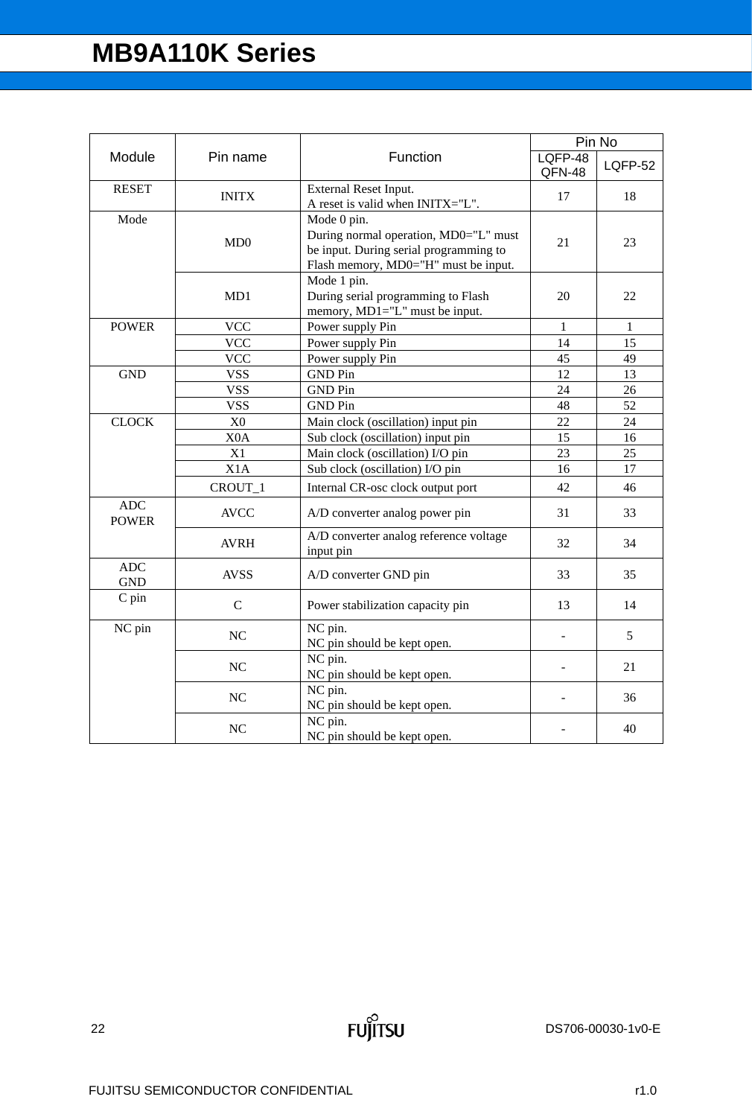| Module                     | Pin name         | Function                                                                                                                               | Pin No            |              |
|----------------------------|------------------|----------------------------------------------------------------------------------------------------------------------------------------|-------------------|--------------|
|                            |                  |                                                                                                                                        | LQFP-48<br>QFN-48 | LQFP-52      |
| <b>RESET</b>               | <b>INITX</b>     | External Reset Input.<br>A reset is valid when INITX="L".                                                                              | 17                | 18           |
| Mode                       | MD0              | Mode 0 pin.<br>During normal operation, MD0="L" must<br>be input. During serial programming to<br>Flash memory, MD0="H" must be input. | 21                | 23           |
|                            | MD1              | Mode 1 pin.<br>During serial programming to Flash<br>memory, MD1="L" must be input.                                                    | 20                | 22           |
| <b>POWER</b>               | <b>VCC</b>       | Power supply Pin                                                                                                                       | $\mathbf{1}$      | $\mathbf{1}$ |
|                            | <b>VCC</b>       | Power supply Pin                                                                                                                       | 14                | 15           |
|                            | <b>VCC</b>       | Power supply Pin                                                                                                                       | 45                | 49           |
| <b>GND</b>                 | <b>VSS</b>       | <b>GND Pin</b>                                                                                                                         | 12                | 13           |
|                            | <b>VSS</b>       | <b>GND Pin</b>                                                                                                                         | 24                | 26           |
|                            | <b>VSS</b>       | <b>GND Pin</b>                                                                                                                         | 48                | 52           |
| <b>CLOCK</b>               | X <sub>0</sub>   | Main clock (oscillation) input pin                                                                                                     | 22                | 24           |
|                            | X <sub>0</sub> A | Sub clock (oscillation) input pin                                                                                                      | 15                | 16           |
|                            | X1               | Main clock (oscillation) I/O pin                                                                                                       | 23                | 25           |
|                            | X1A              | Sub clock (oscillation) I/O pin                                                                                                        | 16                | 17           |
|                            | CROUT_1          | Internal CR-osc clock output port                                                                                                      | 42                | 46           |
| <b>ADC</b><br><b>POWER</b> | <b>AVCC</b>      | A/D converter analog power pin                                                                                                         | 31                | 33           |
|                            | <b>AVRH</b>      | A/D converter analog reference voltage<br>input pin                                                                                    | 32                | 34           |
| ADC<br><b>GND</b>          | <b>AVSS</b>      | A/D converter GND pin                                                                                                                  | 33                | 35           |
| $C$ pin                    | $\mathbf C$      | Power stabilization capacity pin                                                                                                       | 13                | 14           |
| NC pin                     | NC               | NC pin.<br>NC pin should be kept open.                                                                                                 | $\blacksquare$    | 5            |
|                            | NC               | NC pin.<br>NC pin should be kept open.                                                                                                 |                   | 21           |
|                            | NC               | NC pin.<br>NC pin should be kept open.                                                                                                 |                   | 36           |
|                            | NC               | NC pin.<br>NC pin should be kept open.                                                                                                 |                   | 40           |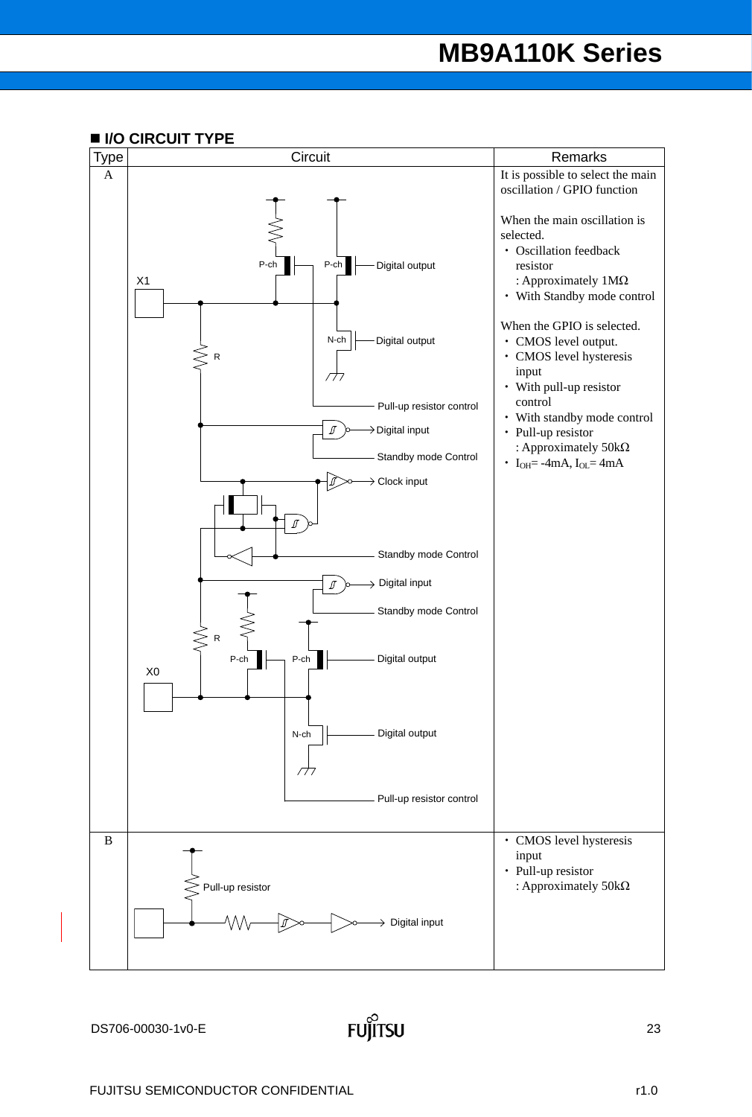### **I/O CIRCUIT TYPE**

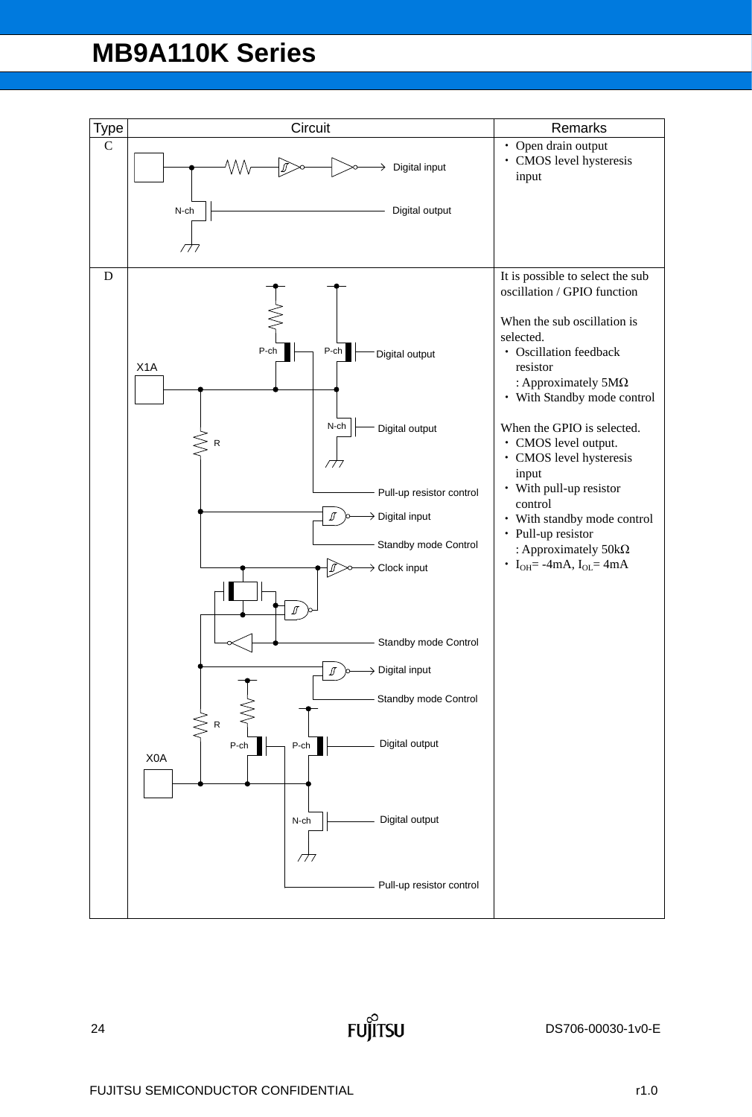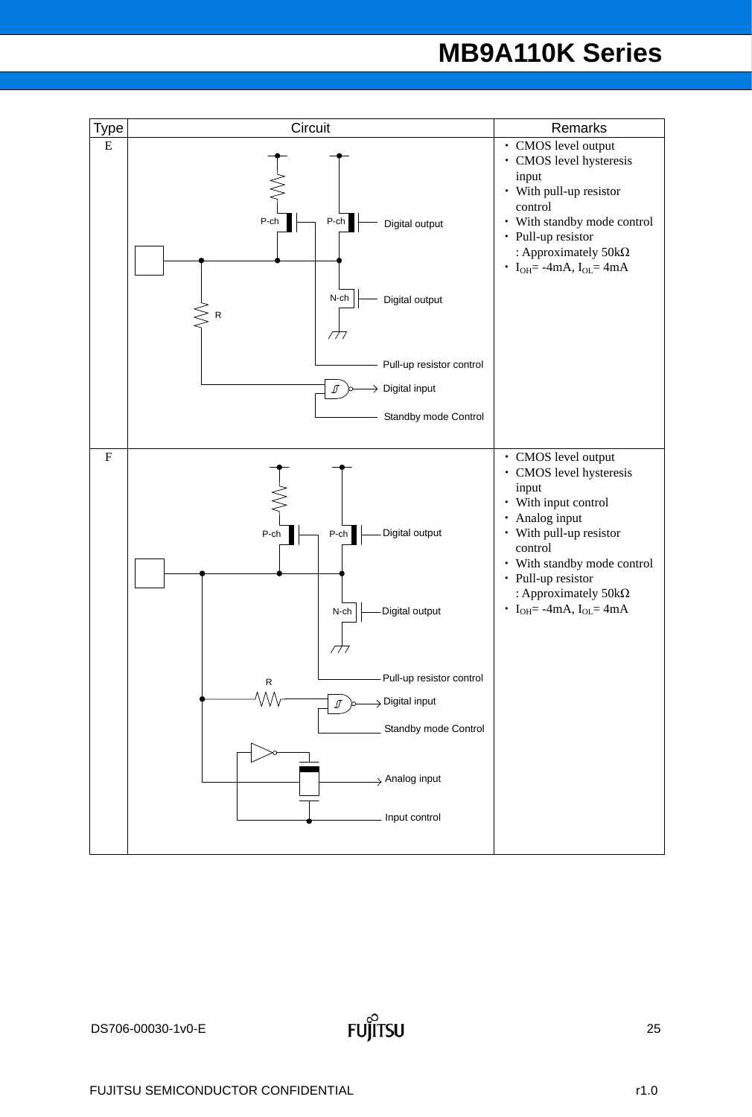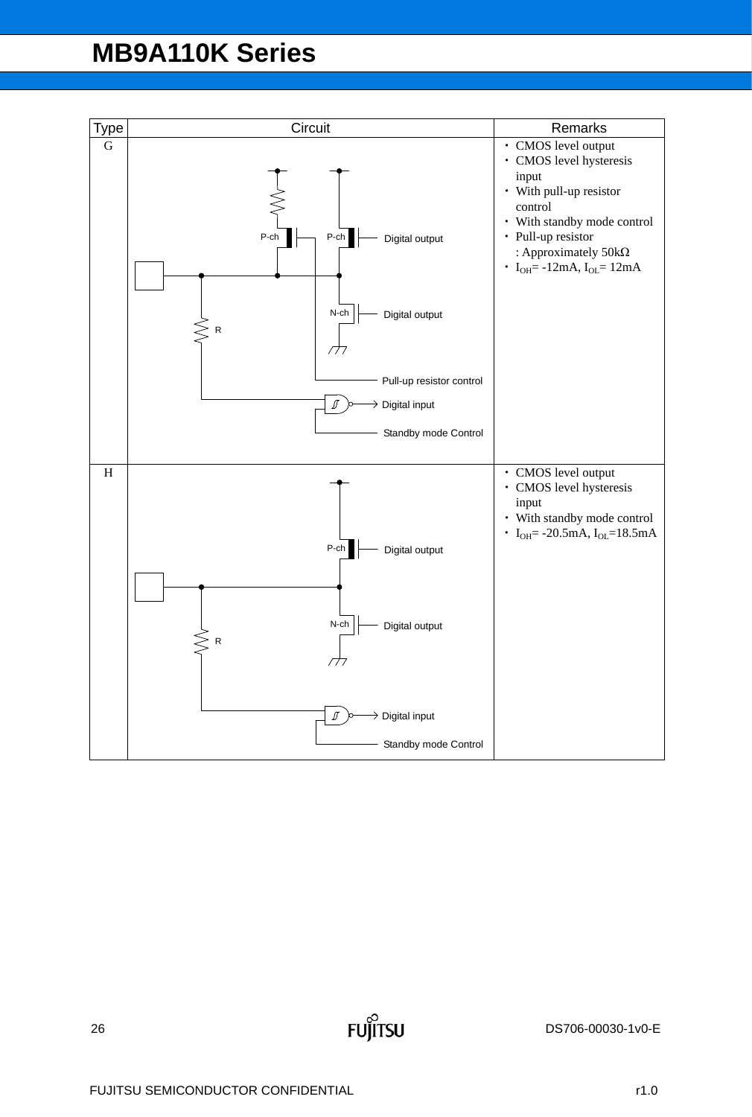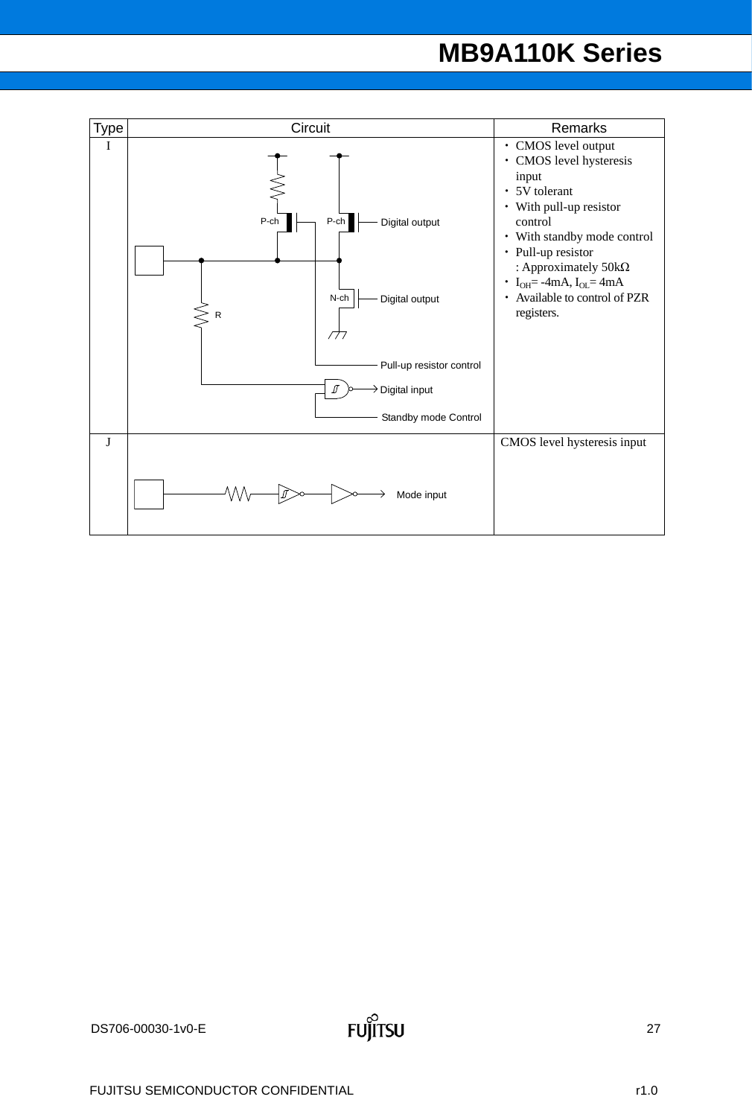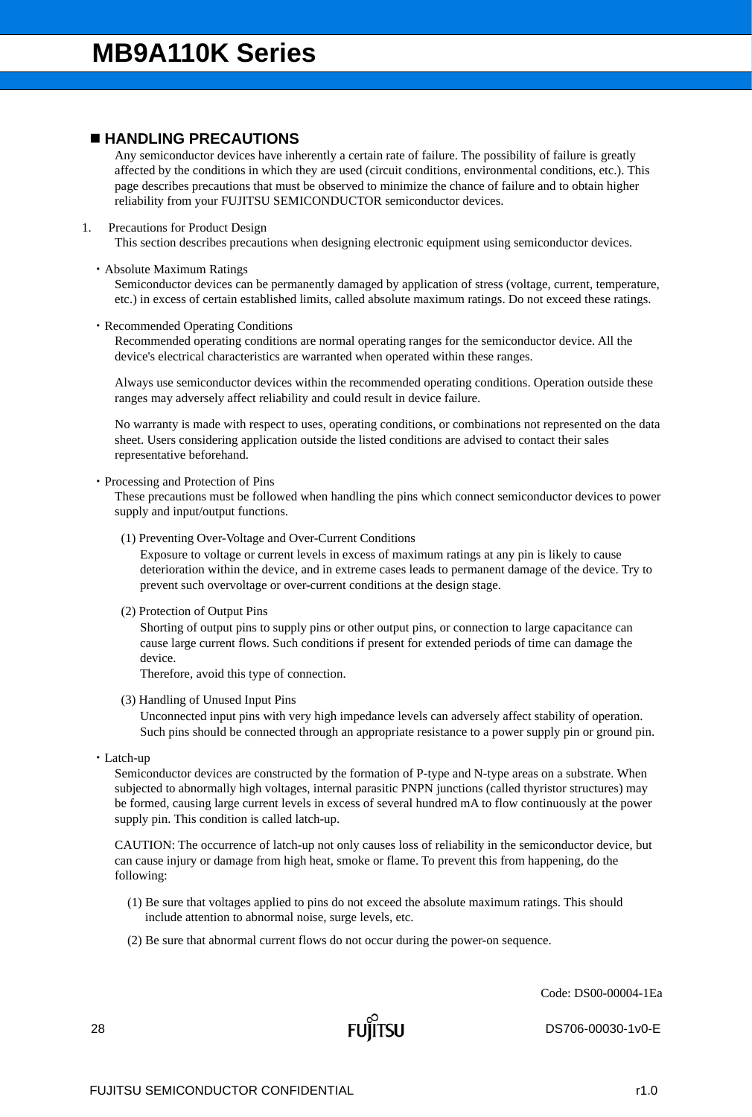### **HANDLING PRECAUTIONS**

Any semiconductor devices have inherently a certain rate of failure. The possibility of failure is greatly affected by the conditions in which they are used (circuit conditions, environmental conditions, etc.). This page describes precautions that must be observed to minimize the chance of failure and to obtain higher reliability from your FUJITSU SEMICONDUCTOR semiconductor devices.

### 1. Precautions for Product Design

This section describes precautions when designing electronic equipment using semiconductor devices.

### Absolute Maximum Ratings

Semiconductor devices can be permanently damaged by application of stress (voltage, current, temperature, etc.) in excess of certain established limits, called absolute maximum ratings. Do not exceed these ratings.

### Recommended Operating Conditions

Recommended operating conditions are normal operating ranges for the semiconductor device. All the device's electrical characteristics are warranted when operated within these ranges.

Always use semiconductor devices within the recommended operating conditions. Operation outside these ranges may adversely affect reliability and could result in device failure.

No warranty is made with respect to uses, operating conditions, or combinations not represented on the data sheet. Users considering application outside the listed conditions are advised to contact their sales representative beforehand.

### • Processing and Protection of Pins

These precautions must be followed when handling the pins which connect semiconductor devices to power supply and input/output functions.

(1) Preventing Over-Voltage and Over-Current Conditions

Exposure to voltage or current levels in excess of maximum ratings at any pin is likely to cause deterioration within the device, and in extreme cases leads to permanent damage of the device. Try to prevent such overvoltage or over-current conditions at the design stage.

(2) Protection of Output Pins

Shorting of output pins to supply pins or other output pins, or connection to large capacitance can cause large current flows. Such conditions if present for extended periods of time can damage the device.

Therefore, avoid this type of connection.

(3) Handling of Unused Input Pins

Unconnected input pins with very high impedance levels can adversely affect stability of operation. Such pins should be connected through an appropriate resistance to a power supply pin or ground pin.

Latch-up

Semiconductor devices are constructed by the formation of P-type and N-type areas on a substrate. When subjected to abnormally high voltages, internal parasitic PNPN junctions (called thyristor structures) may be formed, causing large current levels in excess of several hundred mA to flow continuously at the power supply pin. This condition is called latch-up.

CAUTION: The occurrence of latch-up not only causes loss of reliability in the semiconductor device, but can cause injury or damage from high heat, smoke or flame. To prevent this from happening, do the following:

- (1) Be sure that voltages applied to pins do not exceed the absolute maximum ratings. This should include attention to abnormal noise, surge levels, etc.
- (2) Be sure that abnormal current flows do not occur during the power-on sequence.

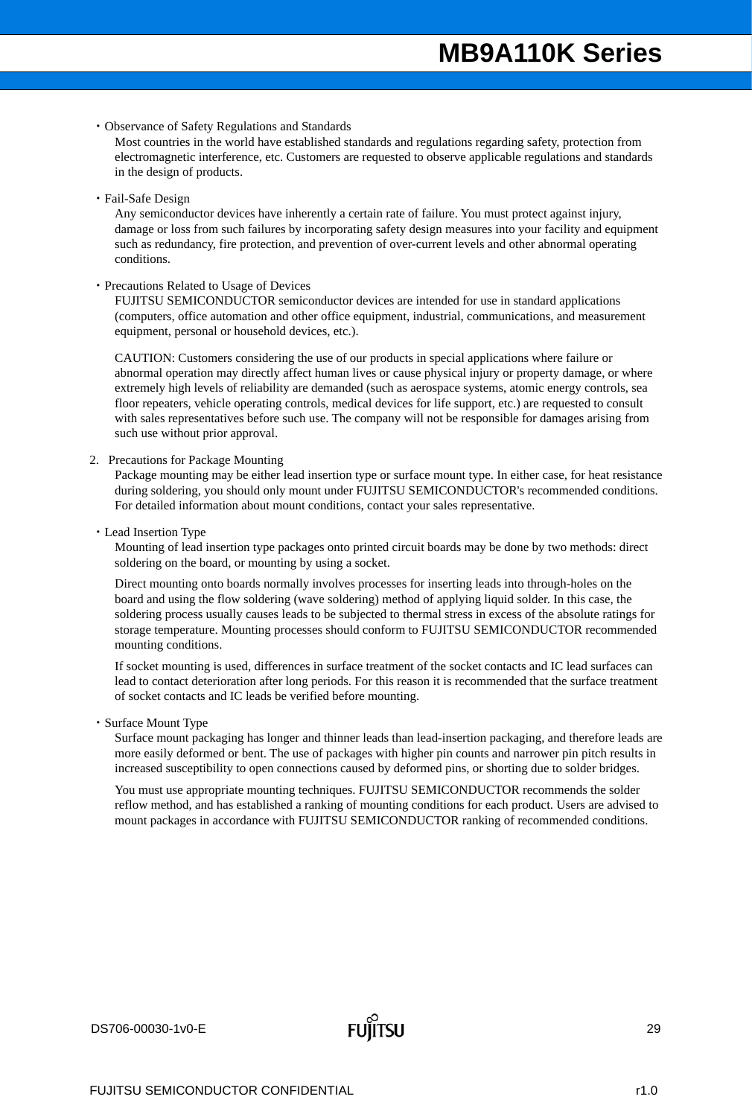Observance of Safety Regulations and Standards

Most countries in the world have established standards and regulations regarding safety, protection from electromagnetic interference, etc. Customers are requested to observe applicable regulations and standards in the design of products.

Fail-Safe Design

Any semiconductor devices have inherently a certain rate of failure. You must protect against injury, damage or loss from such failures by incorporating safety design measures into your facility and equipment such as redundancy, fire protection, and prevention of over-current levels and other abnormal operating conditions.

#### Precautions Related to Usage of Devices

FUJITSU SEMICONDUCTOR semiconductor devices are intended for use in standard applications (computers, office automation and other office equipment, industrial, communications, and measurement equipment, personal or household devices, etc.).

CAUTION: Customers considering the use of our products in special applications where failure or abnormal operation may directly affect human lives or cause physical injury or property damage, or where extremely high levels of reliability are demanded (such as aerospace systems, atomic energy controls, sea floor repeaters, vehicle operating controls, medical devices for life support, etc.) are requested to consult with sales representatives before such use. The company will not be responsible for damages arising from such use without prior approval.

2. Precautions for Package Mounting

Package mounting may be either lead insertion type or surface mount type. In either case, for heat resistance during soldering, you should only mount under FUJITSU SEMICONDUCTOR's recommended conditions. For detailed information about mount conditions, contact your sales representative.

Lead Insertion Type

Mounting of lead insertion type packages onto printed circuit boards may be done by two methods: direct soldering on the board, or mounting by using a socket.

Direct mounting onto boards normally involves processes for inserting leads into through-holes on the board and using the flow soldering (wave soldering) method of applying liquid solder. In this case, the soldering process usually causes leads to be subjected to thermal stress in excess of the absolute ratings for storage temperature. Mounting processes should conform to FUJITSU SEMICONDUCTOR recommended mounting conditions.

If socket mounting is used, differences in surface treatment of the socket contacts and IC lead surfaces can lead to contact deterioration after long periods. For this reason it is recommended that the surface treatment of socket contacts and IC leads be verified before mounting.

Surface Mount Type

Surface mount packaging has longer and thinner leads than lead-insertion packaging, and therefore leads are more easily deformed or bent. The use of packages with higher pin counts and narrower pin pitch results in increased susceptibility to open connections caused by deformed pins, or shorting due to solder bridges.

You must use appropriate mounting techniques. FUJITSU SEMICONDUCTOR recommends the solder reflow method, and has established a ranking of mounting conditions for each product. Users are advised to mount packages in accordance with FUJITSU SEMICONDUCTOR ranking of recommended conditions.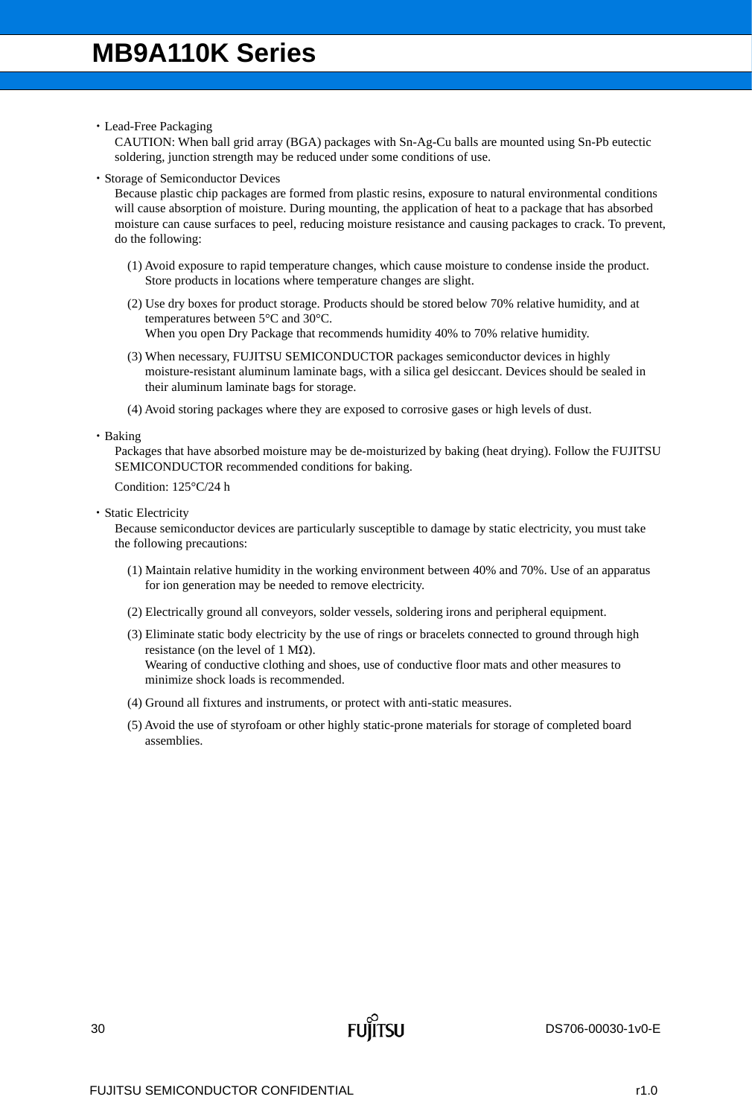Lead-Free Packaging

CAUTION: When ball grid array (BGA) packages with Sn-Ag-Cu balls are mounted using Sn-Pb eutectic soldering, junction strength may be reduced under some conditions of use.

Storage of Semiconductor Devices

Because plastic chip packages are formed from plastic resins, exposure to natural environmental conditions will cause absorption of moisture. During mounting, the application of heat to a package that has absorbed moisture can cause surfaces to peel, reducing moisture resistance and causing packages to crack. To prevent, do the following:

- (1) Avoid exposure to rapid temperature changes, which cause moisture to condense inside the product. Store products in locations where temperature changes are slight.
- (2) Use dry boxes for product storage. Products should be stored below 70% relative humidity, and at temperatures between 5°C and 30°C. When you open Dry Package that recommends humidity 40% to 70% relative humidity.
- (3) When necessary, FUJITSU SEMICONDUCTOR packages semiconductor devices in highly moisture-resistant aluminum laminate bags, with a silica gel desiccant. Devices should be sealed in their aluminum laminate bags for storage.
- (4) Avoid storing packages where they are exposed to corrosive gases or high levels of dust.

• Baking

Packages that have absorbed moisture may be de-moisturized by baking (heat drying). Follow the FUJITSU SEMICONDUCTOR recommended conditions for baking.

Condition: 125°C/24 h

Static Electricity

Because semiconductor devices are particularly susceptible to damage by static electricity, you must take the following precautions:

- (1) Maintain relative humidity in the working environment between 40% and 70%. Use of an apparatus for ion generation may be needed to remove electricity.
- (2) Electrically ground all conveyors, solder vessels, soldering irons and peripheral equipment.
- (3) Eliminate static body electricity by the use of rings or bracelets connected to ground through high resistance (on the level of 1 M $\Omega$ ). Wearing of conductive clothing and shoes, use of conductive floor mats and other measures to minimize shock loads is recommended.
- (4) Ground all fixtures and instruments, or protect with anti-static measures.
- (5) Avoid the use of styrofoam or other highly static-prone materials for storage of completed board assemblies.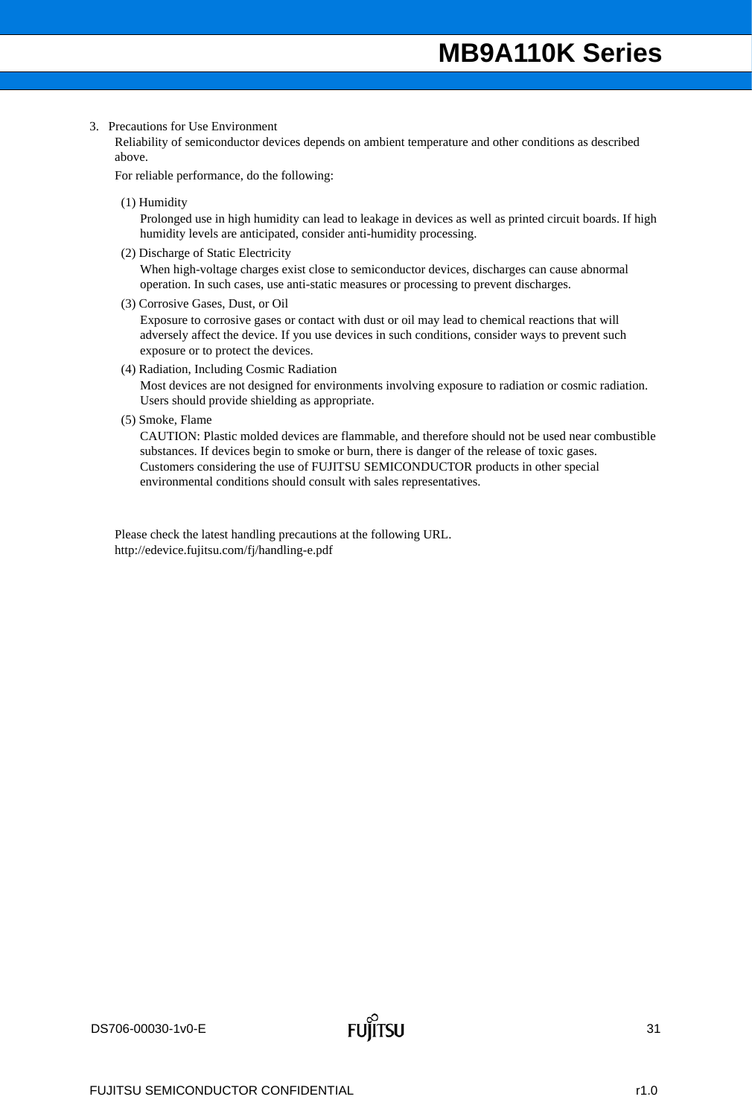### 3. Precautions for Use Environment

Reliability of semiconductor devices depends on ambient temperature and other conditions as described above.

For reliable performance, do the following:

(1) Humidity

Prolonged use in high humidity can lead to leakage in devices as well as printed circuit boards. If high humidity levels are anticipated, consider anti-humidity processing.

(2) Discharge of Static Electricity

When high-voltage charges exist close to semiconductor devices, discharges can cause abnormal operation. In such cases, use anti-static measures or processing to prevent discharges.

(3) Corrosive Gases, Dust, or Oil

Exposure to corrosive gases or contact with dust or oil may lead to chemical reactions that will adversely affect the device. If you use devices in such conditions, consider ways to prevent such exposure or to protect the devices.

(4) Radiation, Including Cosmic Radiation

Most devices are not designed for environments involving exposure to radiation or cosmic radiation. Users should provide shielding as appropriate.

(5) Smoke, Flame

CAUTION: Plastic molded devices are flammable, and therefore should not be used near combustible substances. If devices begin to smoke or burn, there is danger of the release of toxic gases. Customers considering the use of FUJITSU SEMICONDUCTOR products in other special environmental conditions should consult with sales representatives.

Please check the latest handling precautions at the following URL. http://edevice.fujitsu.com/fj/handling-e.pdf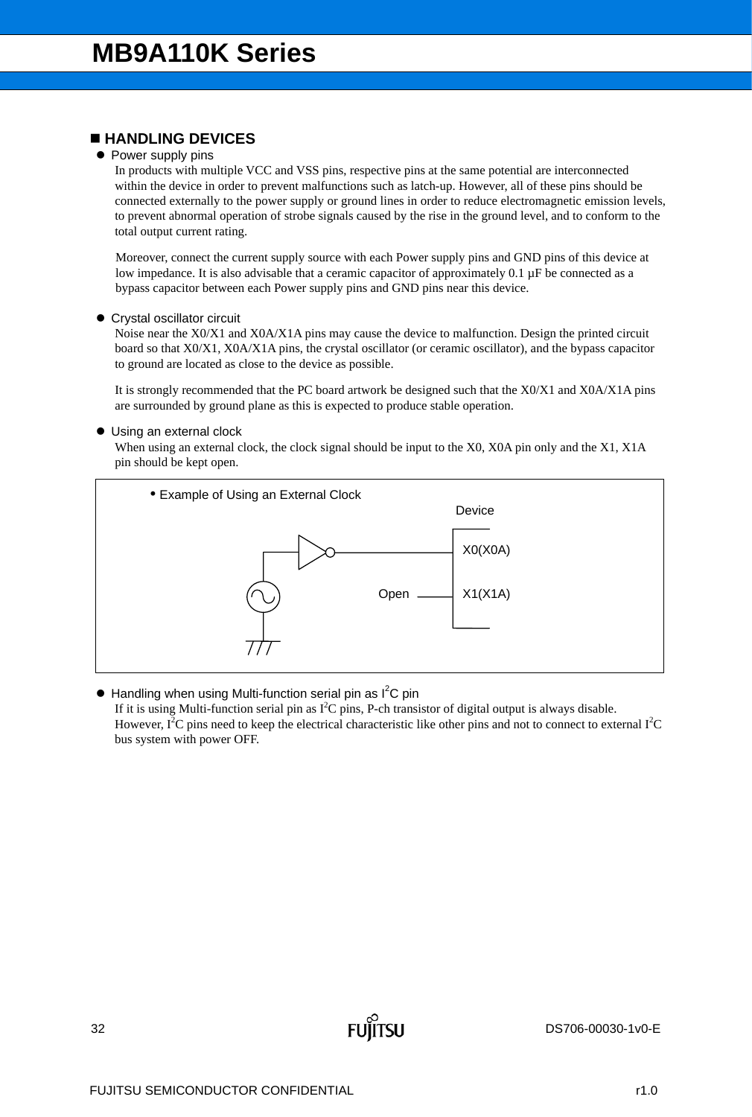### **HANDLING DEVICES**

### • Power supply pins

In products with multiple VCC and VSS pins, respective pins at the same potential are interconnected within the device in order to prevent malfunctions such as latch-up. However, all of these pins should be connected externally to the power supply or ground lines in order to reduce electromagnetic emission levels, to prevent abnormal operation of strobe signals caused by the rise in the ground level, and to conform to the total output current rating.

Moreover, connect the current supply source with each Power supply pins and GND pins of this device at low impedance. It is also advisable that a ceramic capacitor of approximately 0.1 µF be connected as a bypass capacitor between each Power supply pins and GND pins near this device.

### Crystal oscillator circuit

Noise near the X0/X1 and X0A/X1A pins may cause the device to malfunction. Design the printed circuit board so that X0/X1, X0A/X1A pins, the crystal oscillator (or ceramic oscillator), and the bypass capacitor to ground are located as close to the device as possible.

It is strongly recommended that the PC board artwork be designed such that the X0/X1 and X0A/X1A pins are surrounded by ground plane as this is expected to produce stable operation.

### ● Using an external clock

When using an external clock, the clock signal should be input to the X0, X0A pin only and the X1, X1A pin should be kept open.



 $\bullet$  Handling when using Multi-function serial pin as  $I^2C$  pin If it is using Multi-function serial pin as  $I^2C$  pins, P-ch transistor of digital output is always disable. However,  $I^2C$  pins need to keep the electrical characteristic like other pins and not to connect to external  $I^2C$ bus system with power OFF.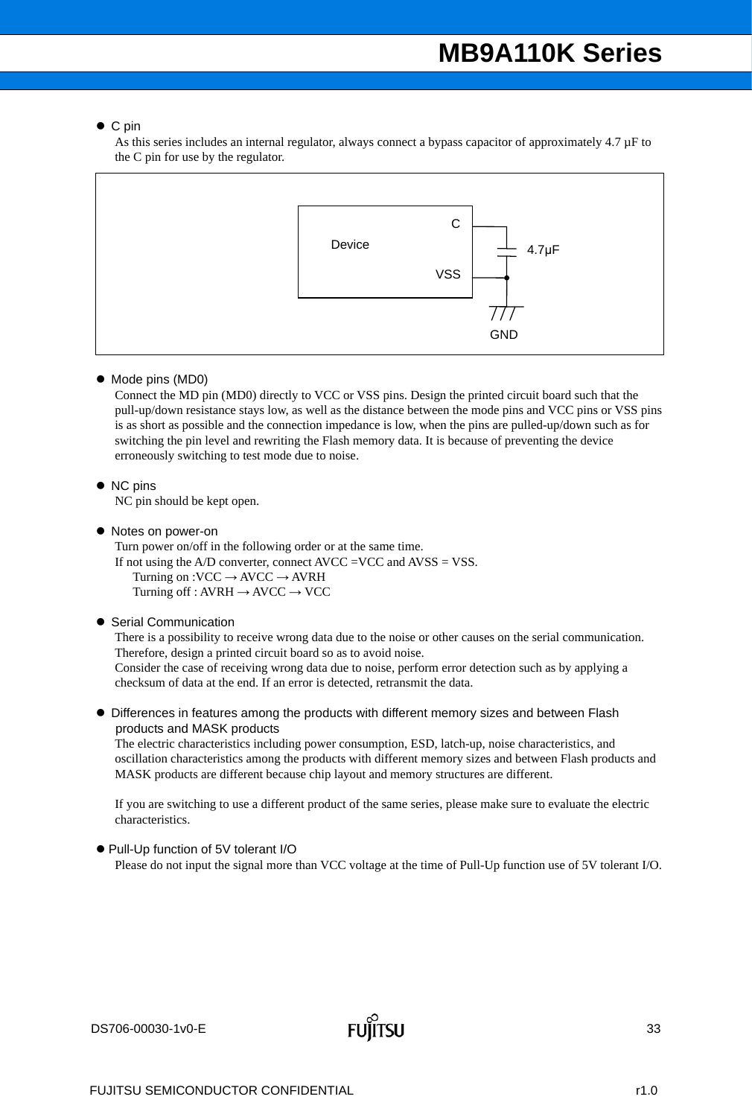### ● C pin

As this series includes an internal regulator, always connect a bypass capacitor of approximately 4.7 µF to the C pin for use by the regulator.



 $\bullet$  Mode pins (MD0)

Connect the MD pin (MD0) directly to VCC or VSS pins. Design the printed circuit board such that the pull-up/down resistance stays low, as well as the distance between the mode pins and VCC pins or VSS pins is as short as possible and the connection impedance is low, when the pins are pulled-up/down such as for switching the pin level and rewriting the Flash memory data. It is because of preventing the device erroneously switching to test mode due to noise.

• NC pins

NC pin should be kept open.

• Notes on power-on

Turn power on/off in the following order or at the same time. If not using the A/D converter, connect AVCC =VCC and AVSS = VSS. Turning on :VCC  $\rightarrow$  AVCC  $\rightarrow$  AVRH Turning off : AVRH  $\rightarrow$  AVCC  $\rightarrow$  VCC

● Serial Communication

There is a possibility to receive wrong data due to the noise or other causes on the serial communication. Therefore, design a printed circuit board so as to avoid noise.

Consider the case of receiving wrong data due to noise, perform error detection such as by applying a checksum of data at the end. If an error is detected, retransmit the data.

 Differences in features among the products with different memory sizes and between Flash products and MASK products

The electric characteristics including power consumption, ESD, latch-up, noise characteristics, and oscillation characteristics among the products with different memory sizes and between Flash products and MASK products are different because chip layout and memory structures are different.

If you are switching to use a different product of the same series, please make sure to evaluate the electric characteristics.

● Pull-Up function of 5V tolerant I/O Please do not input the signal more than VCC voltage at the time of Pull-Up function use of 5V tolerant I/O.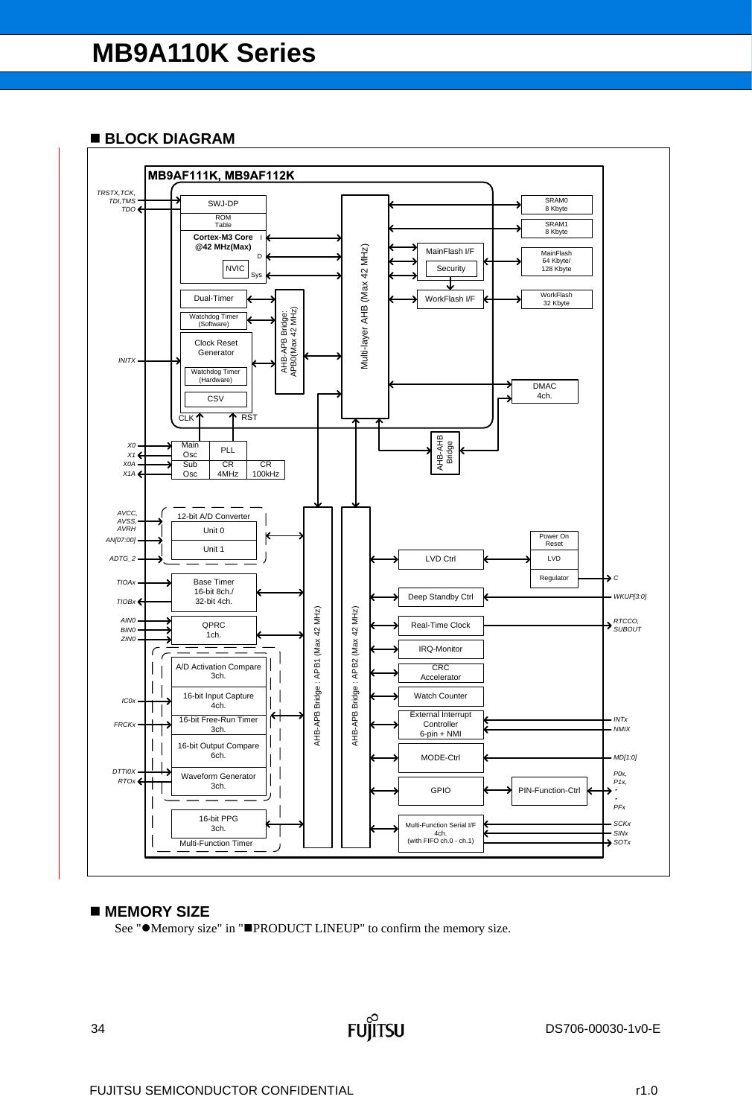### **BLOCK DIAGRAM**



### ■ MEMORY SIZE

See " $\bullet$ Memory size" in " $\blacksquare$ PRODUCT LINEUP" to confirm the memory size.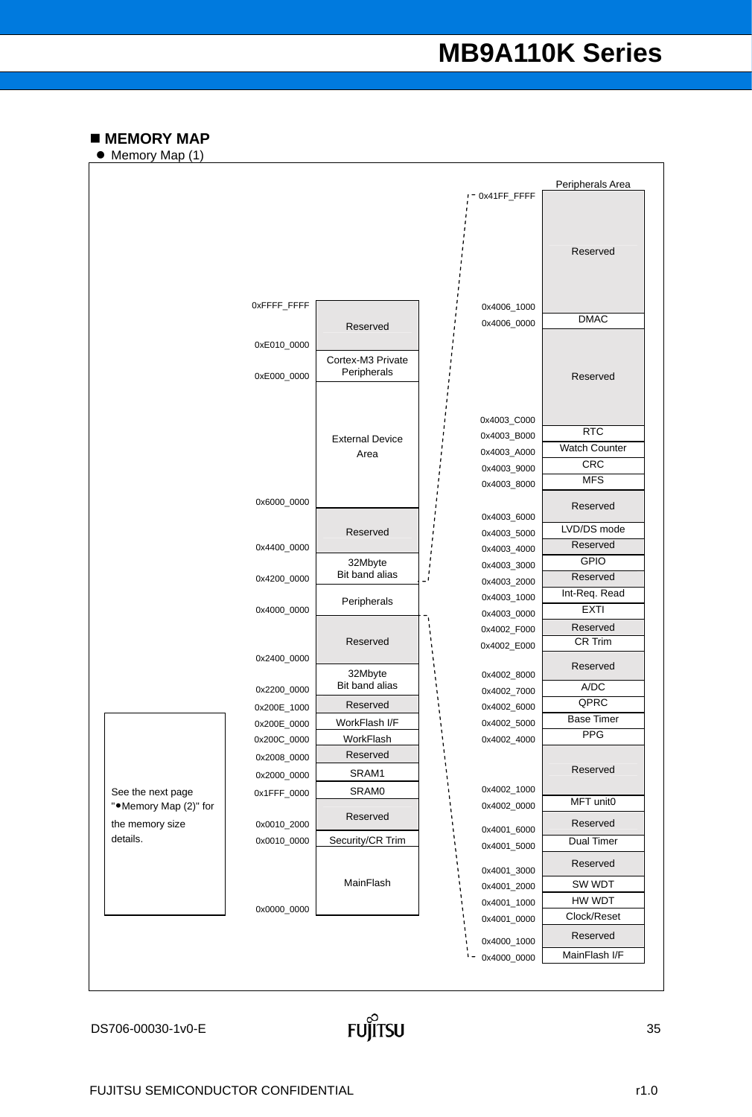### $M$  **MEMORY MAP**

● Memory Map (1)



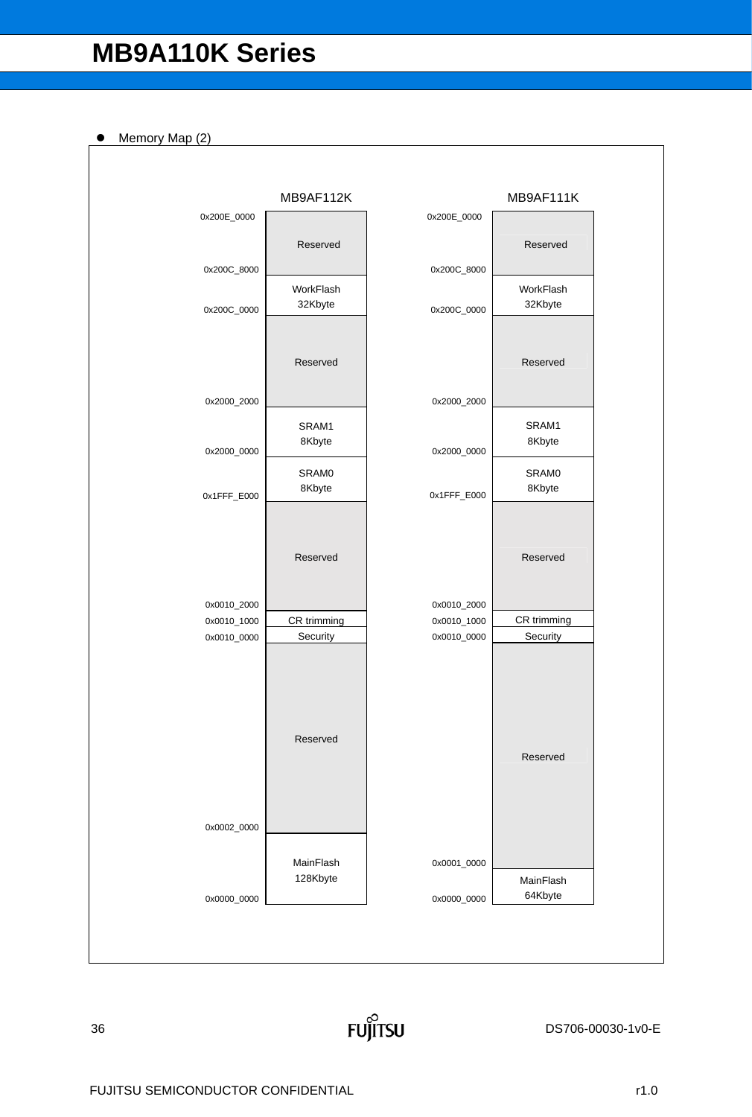Memory Map (2)

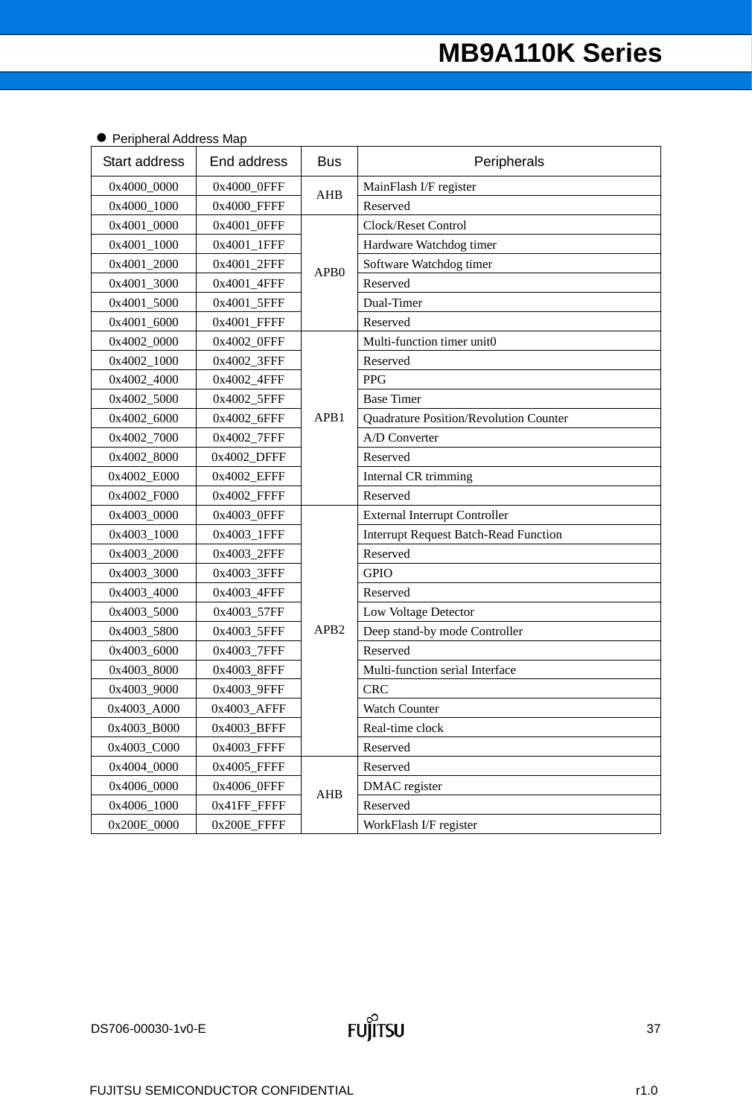| Start address | End address | <b>Bus</b>       | Peripherals                                  |
|---------------|-------------|------------------|----------------------------------------------|
| 0x4000_0000   | 0x4000_0FFF |                  | MainFlash I/F register                       |
| 0x4000_1000   | 0x4000_FFFF | AHB              | Reserved                                     |
| 0x4001_0000   | 0x4001_0FFF |                  | Clock/Reset Control                          |
| 0x4001_1000   | 0x4001_1FFF |                  | Hardware Watchdog timer                      |
| 0x4001_2000   | 0x4001_2FFF | APB <sub>0</sub> | Software Watchdog timer                      |
| 0x4001_3000   | 0x4001_4FFF |                  | Reserved                                     |
| 0x4001_5000   | 0x4001_5FFF |                  | Dual-Timer                                   |
| 0x4001_6000   | 0x4001_FFFF |                  | Reserved                                     |
| 0x4002_0000   | 0x4002_0FFF |                  | Multi-function timer unit0                   |
| 0x4002_1000   | 0x4002_3FFF |                  | Reserved                                     |
| 0x4002_4000   | 0x4002_4FFF |                  | <b>PPG</b>                                   |
| 0x4002_5000   | 0x4002_5FFF |                  | <b>Base Timer</b>                            |
| 0x4002_6000   | 0x4002_6FFF | APB1             | Quadrature Position/Revolution Counter       |
| 0x4002_7000   | 0x4002_7FFF |                  | A/D Converter                                |
| 0x4002_8000   | 0x4002_DFFF |                  | Reserved                                     |
| 0x4002_E000   | 0x4002_EFFF |                  | Internal CR trimming                         |
| 0x4002_F000   | 0x4002_FFFF |                  | Reserved                                     |
| 0x4003_0000   | 0x4003_0FFF |                  | <b>External Interrupt Controller</b>         |
| 0x4003_1000   | 0x4003_1FFF |                  | <b>Interrupt Request Batch-Read Function</b> |
| 0x4003_2000   | 0x4003_2FFF |                  | Reserved                                     |
| 0x4003_3000   | 0x4003_3FFF |                  | <b>GPIO</b>                                  |
| 0x4003_4000   | 0x4003_4FFF |                  | Reserved                                     |
| 0x4003_5000   | 0x4003_57FF |                  | Low Voltage Detector                         |
| 0x4003_5800   | 0x4003_5FFF | APB <sub>2</sub> | Deep stand-by mode Controller                |
| 0x4003_6000   | 0x4003_7FFF |                  | Reserved                                     |
| 0x4003_8000   | 0x4003_8FFF |                  | Multi-function serial Interface              |
| 0x4003_9000   | 0x4003_9FFF |                  | <b>CRC</b>                                   |
| 0x4003_A000   | 0x4003_AFFF |                  | <b>Watch Counter</b>                         |
| 0x4003_B000   | 0x4003_BFFF |                  | Real-time clock                              |
| 0x4003 C000   | 0x4003_FFFF |                  | Reserved                                     |
| 0x4004_0000   | 0x4005_FFFF |                  | Reserved                                     |
| 0x4006_0000   | 0x4006 0FFF | AHB              | DMAC register                                |
| 0x4006_1000   | 0x41FF_FFFF |                  | Reserved                                     |
| 0x200E_0000   | 0x200E_FFFF |                  | WorkFlash I/F register                       |

### **• Peripheral Address Map**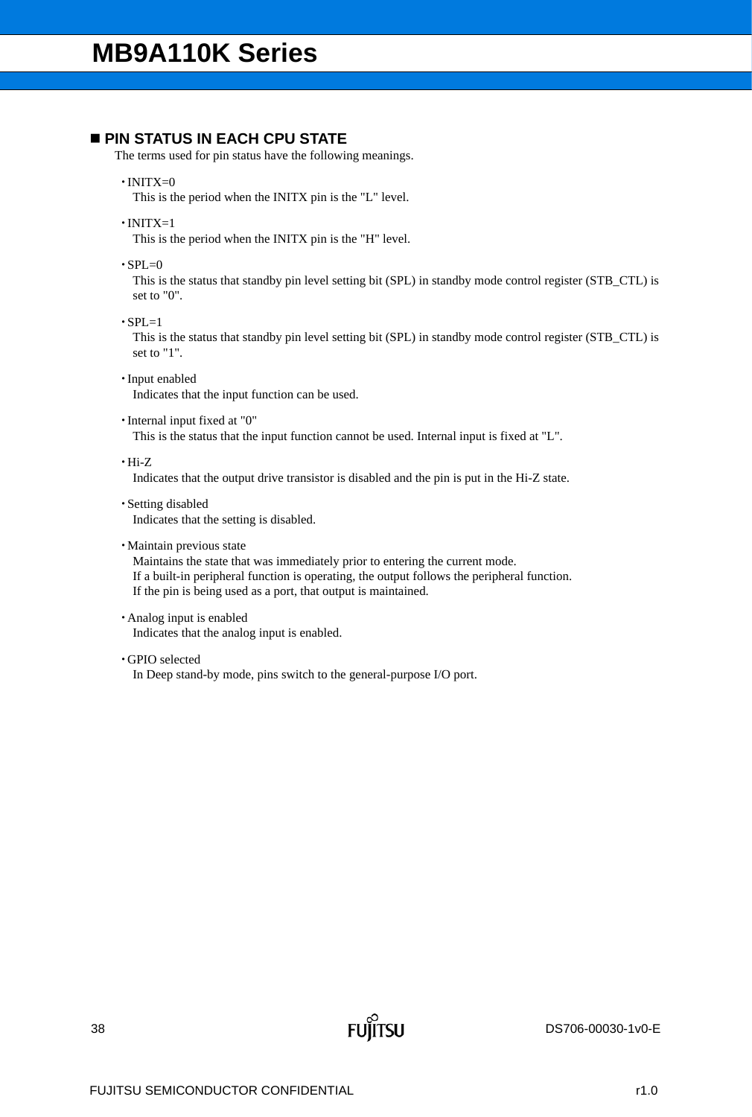### **PIN STATUS IN EACH CPU STATE**

The terms used for pin status have the following meanings.

 $\cdot$ INITX=0

This is the period when the INITX pin is the "L" level.

 $\cdot$ INITX=1

This is the period when the INITX pin is the "H" level.

 $\cdot$ SPL=0

This is the status that standby pin level setting bit (SPL) in standby mode control register (STB\_CTL) is set to "0".

 $\cdot$ SPL=1

This is the status that standby pin level setting bit (SPL) in standby mode control register (STB\_CTL) is set to "1".

- Input enabled Indicates that the input function can be used.
- Internal input fixed at "0"

This is the status that the input function cannot be used. Internal input is fixed at "L".

Hi-Z

Indicates that the output drive transistor is disabled and the pin is put in the Hi-Z state.

- Setting disabled Indicates that the setting is disabled.
- Maintain previous state

Maintains the state that was immediately prior to entering the current mode. If a built-in peripheral function is operating, the output follows the peripheral function. If the pin is being used as a port, that output is maintained.

Analog input is enabled

Indicates that the analog input is enabled.

GPIO selected

In Deep stand-by mode, pins switch to the general-purpose I/O port.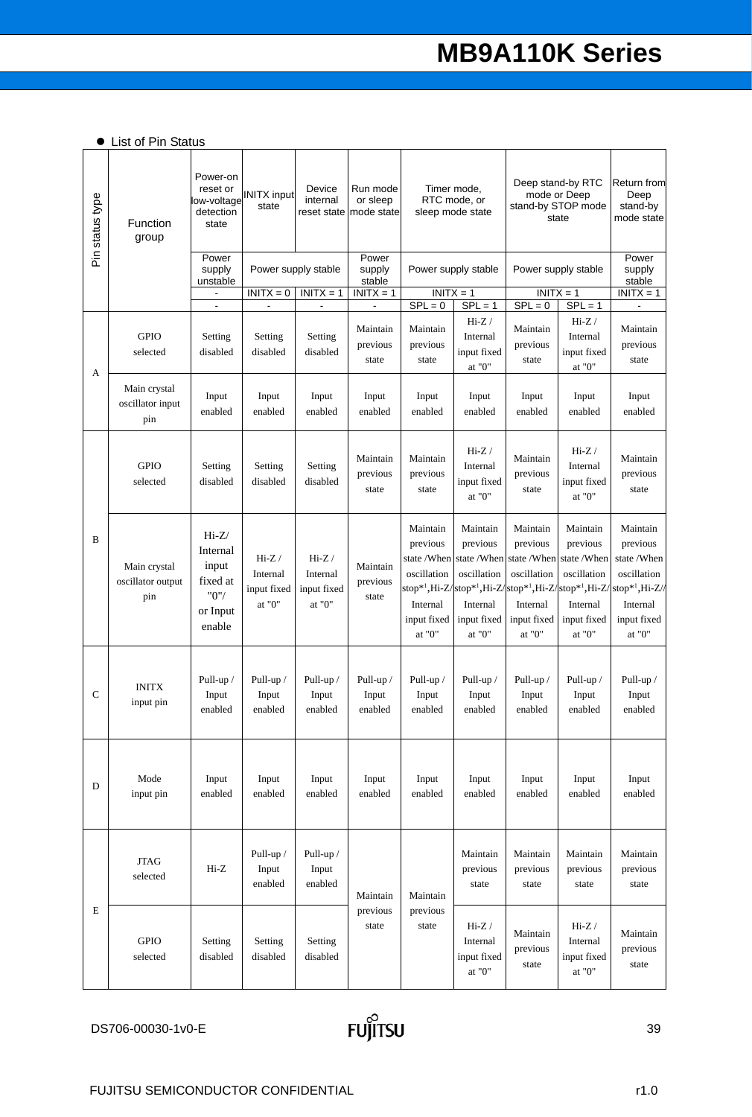|  |  |  |  | • List of Pin Status |
|--|--|--|--|----------------------|
|--|--|--|--|----------------------|

| Pin status type | Function<br>group                        | Power-on<br>reset or<br>low-voltage<br>detection<br>state              | <b>INITX</b> input<br>state                       | Device<br>internal<br>reset state            | Run mode<br>or sleep<br>mode state | Deep stand-by RTC<br>Timer mode.<br>mode or Deep<br>RTC mode, or<br>stand-by STOP mode<br>sleep mode state<br>state |                                                                                                                                                    |                                                                                              | <b>Return from</b><br>Deep<br>stand-by<br>mode state                                                                                             |                                                                                                                       |
|-----------------|------------------------------------------|------------------------------------------------------------------------|---------------------------------------------------|----------------------------------------------|------------------------------------|---------------------------------------------------------------------------------------------------------------------|----------------------------------------------------------------------------------------------------------------------------------------------------|----------------------------------------------------------------------------------------------|--------------------------------------------------------------------------------------------------------------------------------------------------|-----------------------------------------------------------------------------------------------------------------------|
|                 |                                          | Power<br>supply<br>unstable                                            |                                                   | Power supply stable                          | Power<br>supply<br>stable          |                                                                                                                     | Power supply stable                                                                                                                                |                                                                                              | Power supply stable                                                                                                                              | Power<br>supply<br>stable                                                                                             |
|                 |                                          | $\blacksquare$                                                         | $INTX = 0$                                        | $INITX = 1$<br>$\qquad \qquad \blacksquare$  | $INITX = 1$<br>$\blacksquare$      | $SPL = 0$                                                                                                           | $INITX = 1$<br>$SPL = 1$                                                                                                                           | $SPL = 0$                                                                                    | $INITX = 1$<br>$SPL = 1$                                                                                                                         | $INITX = 1$                                                                                                           |
| A               | <b>GPIO</b><br>selected                  | Setting<br>disabled                                                    | Setting<br>disabled                               | Setting<br>disabled                          | Maintain<br>previous<br>state      | Maintain<br>previous<br>state                                                                                       | $Hi-Z/$<br>Internal<br>input fixed<br>at " $0$ "                                                                                                   | Maintain<br>previous<br>state                                                                | $Hi-Z/$<br>Internal<br>input fixed<br>at " $0$ "                                                                                                 | Maintain<br>previous<br>state                                                                                         |
|                 | Main crystal<br>oscillator input<br>pin  | Input<br>enabled                                                       | Input<br>enabled                                  | Input<br>enabled                             | Input<br>enabled                   | Input<br>enabled                                                                                                    | Input<br>enabled                                                                                                                                   | Input<br>enabled                                                                             | Input<br>enabled                                                                                                                                 | Input<br>enabled                                                                                                      |
|                 | <b>GPIO</b><br>selected                  | Setting<br>disabled                                                    | Setting<br>disabled                               | Setting<br>disabled                          | Maintain<br>previous<br>state      | Maintain<br>previous<br>state                                                                                       | $Hi-Z/$<br>Internal<br>input fixed<br>at "0"                                                                                                       | Maintain<br>previous<br>state                                                                | $Hi-Z/$<br>Internal<br>input fixed<br>at "0"                                                                                                     | Maintain<br>previous<br>state                                                                                         |
| B               | Main crystal<br>oscillator output<br>pin | $Hi-Z/$<br>Internal<br>input<br>fixed at<br>"0"/<br>or Input<br>enable | $Hi-Z /$<br>Internal<br>input fixed<br>at " $0$ " | $Hi-Z/$<br>Internal<br>input fixed<br>at "0" | Maintain<br>previous<br>state      | Maintain<br>previous<br>state /When<br>oscillation<br>Internal<br>input fixed<br>at "0"                             | Maintain<br>previous<br>state /When<br>oscillation<br>stop* <sup>1</sup> ,Hi-Z/stop* <sup>1</sup> ,Hi-Z/<br>Internal<br>input fixed<br>at "0" $\,$ | Maintain<br>previous<br>state /When<br>oscillation<br>Internal<br>input fixed<br>at "0" $\,$ | Maintain<br>previous<br>state /When<br>oscillation<br>stop* <sup>1</sup> ,Hi-Z/stop* <sup>1</sup> ,Hi-Z<br>Internal<br>input fixed<br>at " $0$ " | Maintain<br>previous<br>state /When<br>oscillation<br>stop <sup>*1</sup> ,Hi-Z//<br>Internal<br>input fixed<br>at "0" |
| C               | <b>INITX</b><br>input pin                | Pull-up /<br>Input<br>enabled                                          | Pull-up /<br>Input<br>enabled                     | Pull-up /<br>Input<br>enabled                | Pull-up /<br>Input<br>enabled      | Pull-up /<br>Input<br>enabled                                                                                       | Pull-up /<br>Input<br>enabled                                                                                                                      | Pull-up /<br>Input<br>enabled                                                                | Pull-up /<br>Input<br>enabled                                                                                                                    | Pull-up /<br>Input<br>enabled                                                                                         |
| D               | Mode<br>input pin                        | Input<br>enabled                                                       | Input<br>enabled                                  | Input<br>enabled                             | Input<br>enabled                   | Input<br>enabled                                                                                                    | Input<br>enabled                                                                                                                                   | Input<br>enabled                                                                             | Input<br>enabled                                                                                                                                 | Input<br>enabled                                                                                                      |
|                 | <b>JTAG</b><br>selected                  | $Hi-Z$                                                                 | Pull-up /<br>Input<br>enabled                     | Pull-up /<br>Input<br>enabled                | Maintain                           | Maintain                                                                                                            | Maintain<br>previous<br>state                                                                                                                      | Maintain<br>previous<br>state                                                                | Maintain<br>previous<br>state                                                                                                                    | Maintain<br>previous<br>state                                                                                         |
| E               | <b>GPIO</b><br>selected                  | Setting<br>disabled                                                    | Setting<br>disabled                               | Setting<br>disabled                          | previous<br>state                  | previous<br>state                                                                                                   | $Hi-Z/$<br>Internal<br>input fixed<br>at " $0$ "                                                                                                   | Maintain<br>previous<br>state                                                                | $Hi-Z/$<br>Internal<br>input fixed<br>at "0" $\,$                                                                                                | Maintain<br>previous<br>state                                                                                         |

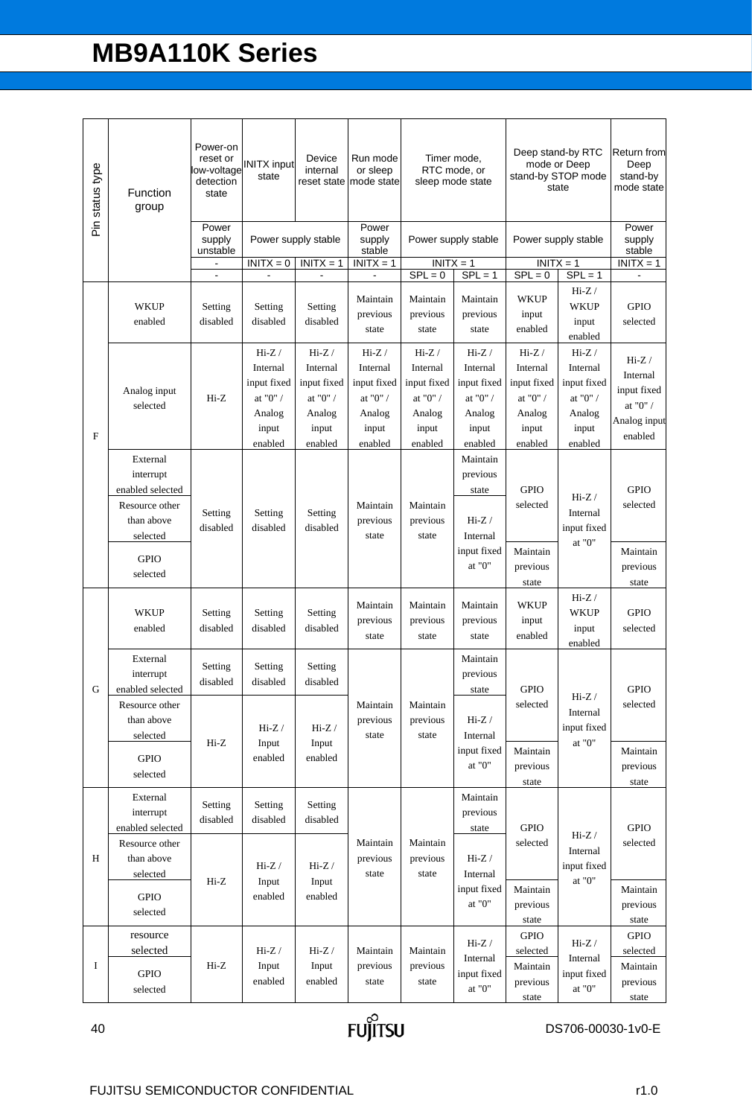| Pin status type | Function<br>group                                                                                                | Power-on<br>detection<br>state | low-voltage INITX input                                                              | Device<br>internal<br>reset state                                                    | Run mode<br>or sleep<br>mode state                                                   |                                                                                      | Timer mode,<br>RTC mode, or<br>sleep mode state                                      |                                                                                      | Deep stand-by RTC<br><b>Return from</b><br>mode or Deep<br>stand-by STOP mode<br>mode state<br>state |                                                                                   |
|-----------------|------------------------------------------------------------------------------------------------------------------|--------------------------------|--------------------------------------------------------------------------------------|--------------------------------------------------------------------------------------|--------------------------------------------------------------------------------------|--------------------------------------------------------------------------------------|--------------------------------------------------------------------------------------|--------------------------------------------------------------------------------------|------------------------------------------------------------------------------------------------------|-----------------------------------------------------------------------------------|
|                 |                                                                                                                  | Power<br>supply<br>unstable    |                                                                                      | Power supply stable                                                                  | Power<br>supply<br>stable                                                            |                                                                                      | Power supply stable                                                                  |                                                                                      | Power supply stable                                                                                  | Power<br>supply<br>stable                                                         |
|                 |                                                                                                                  | $\blacksquare$                 | $INITX = 0$                                                                          | $INITX = 1$                                                                          | $INITX = 1$                                                                          | $INITX = 1$<br>$SPL = 0$                                                             | $SPL = 1$                                                                            | $INITX = 1$<br>$SPL = 0$                                                             | $SPL = 1$                                                                                            | $INITX = 1$                                                                       |
|                 | <b>WKUP</b><br>enabled                                                                                           | Setting<br>disabled            | Setting<br>disabled                                                                  | Setting<br>disabled                                                                  | Maintain<br>previous<br>state                                                        | Maintain<br>previous<br>state                                                        | Maintain<br>previous<br>state                                                        | <b>WKUP</b><br>input<br>enabled                                                      | $Hi-Z /$<br><b>WKUP</b><br>input<br>enabled                                                          | <b>GPIO</b><br>selected                                                           |
| $\mathbf{F}$    | Analog input<br>selected                                                                                         | $Hi-Z$                         | $Hi-Z /$<br>Internal<br>input fixed<br>at "0" $\prime$<br>Analog<br>input<br>enabled | $Hi-Z /$<br>Internal<br>input fixed<br>at "0" $\prime$<br>Analog<br>input<br>enabled | $Hi-Z /$<br>Internal<br>input fixed<br>at "0" $\prime$<br>Analog<br>input<br>enabled | $Hi-Z /$<br>Internal<br>input fixed<br>at "0" $\prime$<br>Analog<br>input<br>enabled | $Hi-Z /$<br>Internal<br>input fixed<br>at "0" $\prime$<br>Analog<br>input<br>enabled | $Hi-Z /$<br>Internal<br>input fixed<br>at "0" $\prime$<br>Analog<br>input<br>enabled | $Hi-Z /$<br>Internal<br>input fixed<br>at "0" / $\,$<br>Analog<br>input<br>enabled                   | $Hi-Z /$<br>Internal<br>input fixed<br>at "0" $\prime$<br>Analog input<br>enabled |
|                 | External<br>interrupt<br>enabled selected<br>Resource other<br>than above<br>selected<br><b>GPIO</b><br>selected | Setting<br>disabled            | Setting<br>disabled                                                                  | Setting<br>disabled                                                                  | Maintain<br>previous<br>state                                                        | Maintain<br>previous<br>state                                                        | Maintain<br>previous<br>state<br>$Hi-Z/$<br>Internal<br>input fixed<br>at "0"        | <b>GPIO</b><br>selected<br>Maintain<br>previous<br>state                             | $Hi-Z/$<br>Internal<br>input fixed<br>at "0"                                                         | <b>GPIO</b><br>selected<br>Maintain<br>previous<br>state                          |
|                 | <b>WKUP</b><br>enabled                                                                                           | Setting<br>disabled            | Setting<br>disabled                                                                  | Setting<br>disabled                                                                  | Maintain<br>previous<br>state                                                        | Maintain<br>previous<br>state                                                        | Maintain<br>previous<br>state                                                        | WKUP<br>input<br>enabled                                                             | $Hi-Z /$<br><b>WKUP</b><br>input<br>enabled                                                          | <b>GPIO</b><br>selected                                                           |
| G               | External<br>interrupt<br>enabled selected<br>Resource other<br>than above                                        | Setting<br>disabled            | Setting<br>disabled<br>$Hi-Z /$                                                      | Setting<br>disabled<br>$Hi-Z /$                                                      | Maintain<br>previous                                                                 | Maintain<br>previous                                                                 | Maintain<br>previous<br>state<br>$Hi-Z /$                                            | <b>GPIO</b><br>selected                                                              | $\mathrm{Hi}\text{-}\mathrm{Z}$ /<br>Internal<br>input fixed                                         | <b>GPIO</b><br>selected                                                           |
|                 | selected<br><b>GPIO</b><br>selected                                                                              | $Hi-Z$                         | Input<br>enabled                                                                     | Input<br>enabled                                                                     | state                                                                                | state                                                                                | Internal<br>input fixed<br>at "0" $\,$                                               | Maintain<br>previous<br>state                                                        | at "0" $\,$                                                                                          | Maintain<br>previous<br>state                                                     |
|                 | External<br>interrupt<br>enabled selected<br>Resource other                                                      | Setting<br>disabled            | Setting<br>disabled                                                                  | Setting<br>disabled                                                                  | Maintain                                                                             | Maintain                                                                             | Maintain<br>previous<br>state                                                        | <b>GPIO</b><br>selected                                                              | $Hi-Z /$                                                                                             | <b>GPIO</b><br>selected                                                           |
| H               | than above<br>selected<br><b>GPIO</b>                                                                            | $Hi-Z$                         | $Hi-Z /$<br>Input<br>enabled                                                         | $Hi-Z/$<br>Input<br>enabled                                                          | previous<br>state                                                                    | previous<br>state                                                                    | $Hi-Z /$<br>Internal<br>input fixed                                                  | Maintain                                                                             | Internal<br>input fixed<br>at " $0$ "                                                                | Maintain                                                                          |
|                 | selected                                                                                                         |                                |                                                                                      |                                                                                      |                                                                                      |                                                                                      | at "0" $\,$                                                                          | previous                                                                             |                                                                                                      | previous                                                                          |
| I               | resource<br>selected<br><b>GPIO</b>                                                                              | $Hi-Z$                         | $Hi-Z /$<br>Input                                                                    | $Hi-Z /$<br>Input                                                                    | Maintain<br>previous                                                                 | Maintain<br>previous                                                                 | $Hi-Z /$<br>Internal<br>input fixed                                                  | state<br><b>GPIO</b><br>selected<br>Maintain                                         | $Hi-Z /$<br>Internal<br>input fixed                                                                  | state<br><b>GPIO</b><br>selected<br>Maintain                                      |
|                 | selected                                                                                                         |                                | enabled                                                                              | enabled                                                                              | state                                                                                | state                                                                                | at "0" $\,$                                                                          | previous<br>$\operatorname{state}$                                                   | at "0" $\,$                                                                                          | previous<br>$\rm state$                                                           |

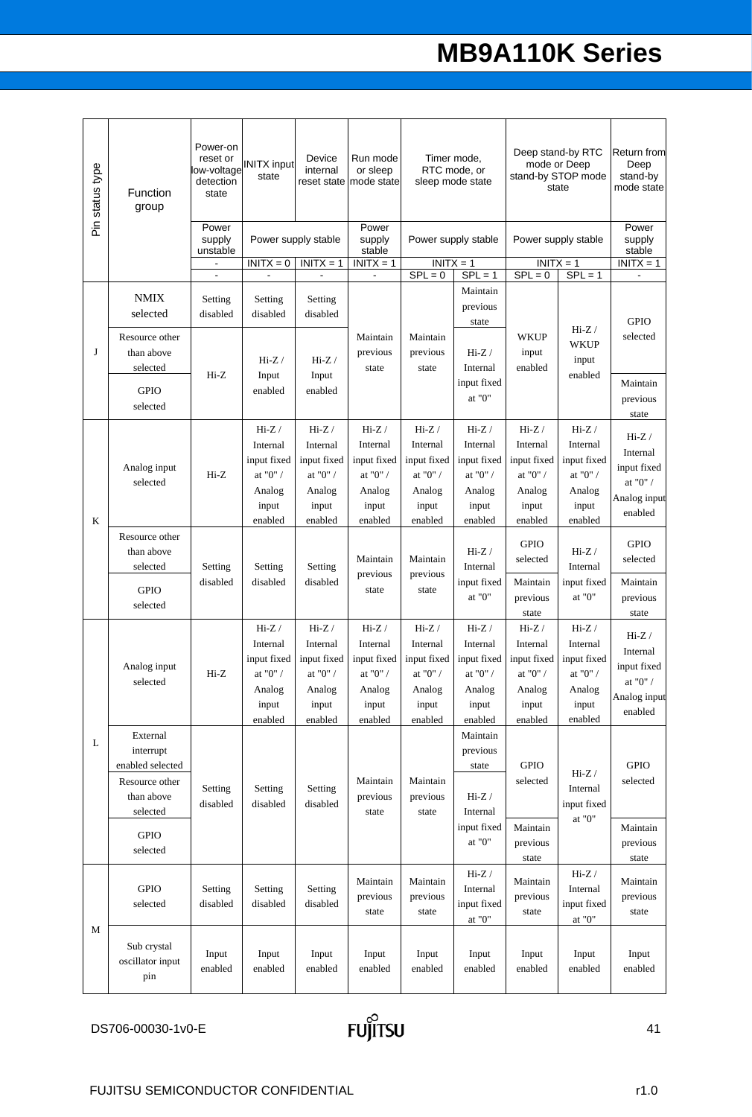| Pin status type | <b>Function</b><br>group                                                              | Power-on<br>reset or<br>low-voltage<br>detection<br>state | <b>INITX input</b><br>state                                                          | Device<br>internal<br>reset state                                                    | Run mode<br>or sleep<br>mode state                                                   | Timer mode,<br>RTC mode, or<br>sleep mode state                                     |                                                                                               |                                                                                               | Deep stand-by RTC<br>mode or Deep<br>stand-by STOP mode<br>state                     | <b>Return from</b><br>Deep<br>stand-by<br>mode state                                  |
|-----------------|---------------------------------------------------------------------------------------|-----------------------------------------------------------|--------------------------------------------------------------------------------------|--------------------------------------------------------------------------------------|--------------------------------------------------------------------------------------|-------------------------------------------------------------------------------------|-----------------------------------------------------------------------------------------------|-----------------------------------------------------------------------------------------------|--------------------------------------------------------------------------------------|---------------------------------------------------------------------------------------|
|                 |                                                                                       | Power<br>supply<br>unstable                               |                                                                                      | Power supply stable                                                                  | Power<br>supply<br>stable                                                            |                                                                                     | Power supply stable                                                                           |                                                                                               | Power supply stable                                                                  | Power<br>supply<br>stable                                                             |
|                 |                                                                                       | $\overline{\phantom{a}}$                                  | $INTX = 0$<br>$\blacksquare$                                                         | $INITX = 1$<br>$\blacksquare$                                                        | $INITX = 1$<br>$\overline{\phantom{a}}$                                              | $SPL = 0$                                                                           | $INITX = 1$<br>$SPL = 1$                                                                      | $INITX = 1$<br>$SPL = 0$                                                                      | $SPL = 1$                                                                            | $INITX = 1$<br>$\mathbf{r}$                                                           |
|                 | <b>NMIX</b><br>selected                                                               | Setting<br>disabled                                       | Setting<br>disabled                                                                  | Setting<br>disabled                                                                  |                                                                                      |                                                                                     | Maintain<br>previous<br>state                                                                 |                                                                                               | $Hi-Z /$                                                                             | <b>GPIO</b>                                                                           |
| J               | Resource other<br>than above<br>selected<br><b>GPIO</b>                               | Hi-Z                                                      | $Hi-Z/$<br>Input<br>enabled                                                          | $Hi-Z/$<br>Input<br>enabled                                                          | Maintain<br>previous<br>state                                                        | Maintain<br>previous<br>state                                                       | $Hi-Z/$<br>Internal<br>input fixed                                                            | WKUP<br>input<br>enabled                                                                      | WKUP<br>input<br>enabled                                                             | selected<br>Maintain                                                                  |
|                 | selected                                                                              |                                                           |                                                                                      |                                                                                      |                                                                                      |                                                                                     | at " $0$ "                                                                                    |                                                                                               |                                                                                      | previous<br>state                                                                     |
| K               | Analog input<br>selected                                                              | $Hi-Z$                                                    | $Hi-Z /$<br>Internal<br>input fixed<br>at "0" $\prime$<br>Analog<br>input<br>enabled | $Hi-Z /$<br>Internal<br>input fixed<br>at "0" $\prime$<br>Analog<br>input<br>enabled | $Hi-Z /$<br>Internal<br>input fixed<br>at "0" $\prime$<br>Analog<br>input<br>enabled | $Hi-Z/$<br>Internal<br>input fixed<br>at "0" $\prime$<br>Analog<br>input<br>enabled | $Hi-Z /$<br>Internal<br>input fixed<br>at "0" $\prime$<br>Analog<br>input<br>enabled          | $Hi-Z /$<br>Internal<br>input fixed<br>at "0" $\prime$<br>Analog<br>input<br>enabled          | $Hi-Z /$<br>Internal<br>input fixed<br>at "0" / $\,$<br>Analog<br>input<br>enabled   | $Hi-Z /$<br>Internal<br>input fixed<br>at "0" / $\,$<br>Analog input<br>enabled       |
|                 | Resource other<br>than above<br>selected<br><b>GPIO</b><br>selected                   | Setting<br>disabled                                       | Setting<br>disabled                                                                  | Setting<br>disabled                                                                  | Maintain<br>previous<br>state                                                        | Maintain<br>previous<br>state                                                       | $Hi-Z/$<br>Internal<br>input fixed<br>at " $0$ "                                              | <b>GPIO</b><br>selected<br>Maintain<br>previous                                               | $Hi-Z/$<br>Internal<br>input fixed<br>at "0"                                         | <b>GPIO</b><br>selected<br>Maintain<br>previous                                       |
|                 | Analog input<br>selected                                                              | $Hi-Z$                                                    | $Hi-Z /$<br>Internal<br>input fixed<br>at " $0$ " /<br>Analog<br>input<br>enabled    | $Hi-Z/$<br>Internal<br>input fixed<br>at "0" $\prime$<br>Analog<br>input<br>enabled  | $Hi-Z /$<br>Internal<br>input fixed<br>at "0" $\prime$<br>Analog<br>input<br>enabled | $Hi-Z /$<br>Internal<br>input fixed<br>at "0" / $\,$<br>Analog<br>input<br>enabled  | $Hi-Z /$<br>Internal<br>input fixed<br>at "0" $\prime$<br>Analog<br>input<br>enabled          | state<br>$Hi-Z /$<br>Internal<br>input fixed<br>at "0" $\prime$<br>Analog<br>input<br>enabled | $Hi-Z /$<br>Internal<br>input fixed<br>at "0" $\prime$<br>Analog<br>input<br>enabled | state<br>$Hi-Z /$<br>Internal<br>input fixed<br>at "0" $/$<br>Analog input<br>enabled |
| L               | External<br>interrupt<br>enabled selected<br>Resource other<br>than above<br>selected | Setting<br>disabled                                       | Setting<br>disabled                                                                  | Setting<br>disabled                                                                  | Maintain<br>previous<br>state                                                        | Maintain<br>previous<br>state                                                       | Maintain<br>previous<br>state<br>$\mathrm{Hi}\text{-}\mathrm{Z}$ /<br>Internal<br>input fixed | <b>GPIO</b><br>selected<br>Maintain                                                           | $Hi-Z /$<br>Internal<br>input fixed<br>at "0" $\,$                                   | <b>GPIO</b><br>selected<br>Maintain                                                   |
|                 | <b>GPIO</b><br>selected                                                               |                                                           |                                                                                      |                                                                                      |                                                                                      |                                                                                     | at "0" $\,$                                                                                   | previous                                                                                      |                                                                                      | previous                                                                              |
|                 | <b>GPIO</b><br>selected                                                               | Setting<br>disabled                                       | Setting<br>disabled                                                                  | Setting<br>disabled                                                                  | Maintain<br>previous<br>state                                                        | Maintain<br>previous<br>state                                                       | $Hi-Z /$<br>Internal<br>input fixed<br>at "0" $\,$                                            | state<br>Maintain<br>previous<br>state                                                        | $Hi-Z /$<br>Internal<br>input fixed<br>at "0" $\,$                                   | state<br>Maintain<br>previous<br>state                                                |
| М               | Sub crystal<br>oscillator input<br>pin                                                | Input<br>enabled                                          | Input<br>enabled                                                                     | Input<br>enabled                                                                     | Input<br>enabled                                                                     | Input<br>enabled                                                                    | Input<br>enabled                                                                              | Input<br>enabled                                                                              | Input<br>enabled                                                                     | Input<br>enabled                                                                      |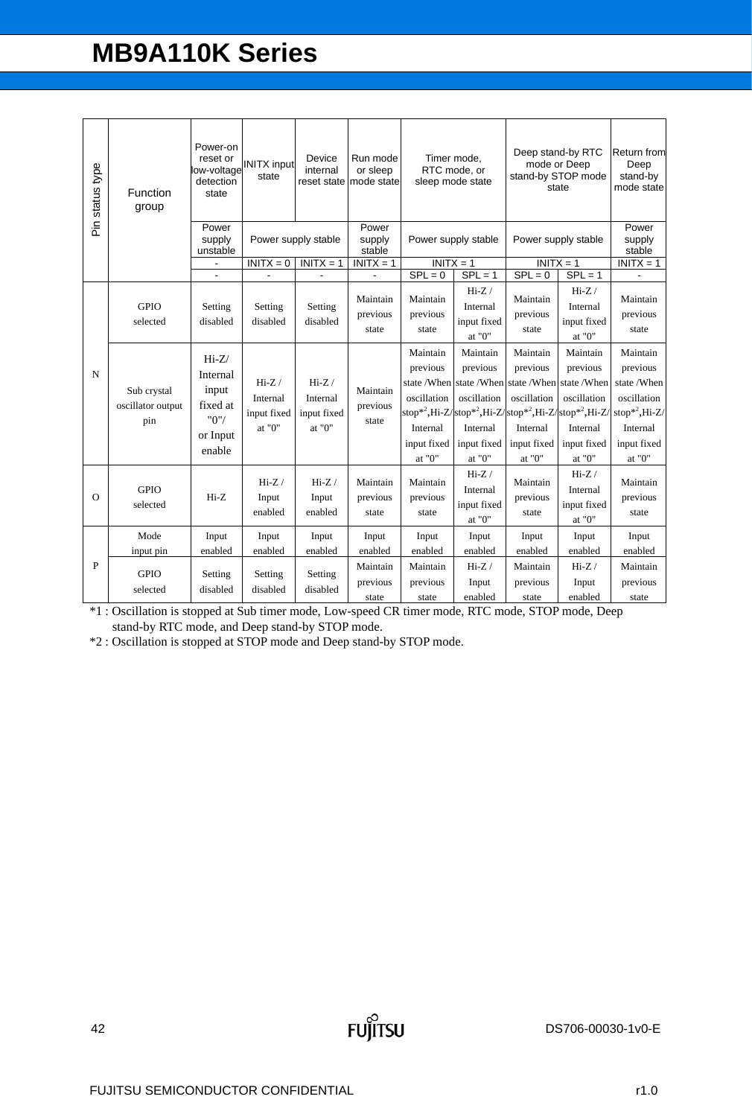| Pin status type | Function<br>group                       | Power-on<br>reset or<br>low-voltage<br>detection<br>state              | <b>INITX</b> input<br>state                  | Device<br>internal                          | Run mode<br>or sleep<br>reset state mode state |                                                                               | Timer mode,<br>RTC mode, or<br>sleep mode state                                                     |                                                                                                                                                        | Deep stand-by RTC<br>mode or Deep<br>stand-by STOP mode<br>state         |                                                                                                                |  |
|-----------------|-----------------------------------------|------------------------------------------------------------------------|----------------------------------------------|---------------------------------------------|------------------------------------------------|-------------------------------------------------------------------------------|-----------------------------------------------------------------------------------------------------|--------------------------------------------------------------------------------------------------------------------------------------------------------|--------------------------------------------------------------------------|----------------------------------------------------------------------------------------------------------------|--|
|                 |                                         | Power<br>supply<br>unstable                                            | Power supply stable                          |                                             | Power<br>supply<br>stable                      |                                                                               | Power supply stable                                                                                 |                                                                                                                                                        | Power supply stable                                                      |                                                                                                                |  |
|                 |                                         |                                                                        | $\overline{IN}$ ITX = 0                      | $INITX = 1$                                 | $INITX = 1$                                    | $INITX = 1$                                                                   |                                                                                                     | $INITX = 1$                                                                                                                                            |                                                                          | $INITX = 1$                                                                                                    |  |
|                 |                                         |                                                                        |                                              |                                             |                                                | $SPL = 0$                                                                     | $SPL = 1$                                                                                           | $SPL = 0$                                                                                                                                              | $SPL = 1$                                                                |                                                                                                                |  |
|                 | <b>GPIO</b><br>selected                 | Setting<br>disabled                                                    | Setting<br>disabled                          | Setting<br>disabled                         | Maintain<br>previous<br>state                  | Maintain<br>previous<br>state                                                 | $Hi-Z/$<br>Internal<br>input fixed<br>at "0"                                                        | Maintain<br>previous<br>state                                                                                                                          | $Hi-Z/$<br>Internal<br>input fixed<br>at "0"                             | Maintain<br>previous<br>state                                                                                  |  |
| N               | Sub crystal<br>oscillator output<br>pin | $Hi-Z/$<br>Internal<br>input<br>fixed at<br>"0"/<br>or Input<br>enable | $Hi-Z/$<br>Internal<br>input fixed<br>at "0" | $Hi-Z$<br>Internal<br>input fixed<br>at "0" | Maintain<br>previous<br>state                  | Maintain<br>previous<br>oscillation<br>Internal<br>input fixed<br>at "0" $\,$ | Maintain<br>previous<br>state /When state /When<br>oscillation<br>Internal<br>input fixed<br>at "0" | Maintain<br>previous<br>state /When state /When<br>oscillation<br>stop*2,Hi-Z/stop*2,Hi-Z/stop*2,Hi-Z/stop*2,Hi-Z<br>Internal<br>input fixed<br>at "0" | Maintain<br>previous<br>oscillation<br>Internal<br>input fixed<br>at "0" | Maintain<br>previous<br>state/When<br>oscillation<br>$stop*^2, Hi-Z/$<br>Internal<br>input fixed<br>at " $0$ " |  |
| $\Omega$        | <b>GPIO</b><br>selected                 | Hi-Z                                                                   | $Hi-Z/$<br>Input<br>enabled                  | $Hi-Z/$<br>Input<br>enabled                 | Maintain<br>previous<br>state                  | Maintain<br>previous<br>state                                                 | $Hi-Z$<br>Internal<br>input fixed<br>at "0"                                                         | Maintain<br>previous<br>state                                                                                                                          | $Hi-Z/$<br>Internal<br>input fixed<br>at "0"                             | Maintain<br>previous<br>state                                                                                  |  |
|                 | Mode                                    | Input                                                                  | Input                                        | Input                                       | Input                                          | Input                                                                         | Input                                                                                               | Input                                                                                                                                                  | Input                                                                    | Input                                                                                                          |  |
|                 | input pin                               | enabled                                                                | enabled                                      | enabled                                     | enabled                                        | enabled                                                                       | enabled                                                                                             | enabled                                                                                                                                                | enabled                                                                  | enabled                                                                                                        |  |
| P               | <b>GPIO</b><br>selected                 | Setting<br>disabled                                                    | Setting<br>disabled                          | Setting<br>disabled                         | Maintain<br>previous                           | Maintain<br>previous                                                          | $Hi-Z/$<br>Input                                                                                    | Maintain<br>previous                                                                                                                                   | $Hi-Z/$<br>Input                                                         | Maintain<br>previous                                                                                           |  |
|                 |                                         |                                                                        |                                              |                                             | state                                          | state                                                                         | enabled                                                                                             | state                                                                                                                                                  | enabled                                                                  | state                                                                                                          |  |

\*1 : Oscillation is stopped at Sub timer mode, Low-speed CR timer mode, RTC mode, STOP mode, Deep stand-by RTC mode, and Deep stand-by STOP mode.

\*2 : Oscillation is stopped at STOP mode and Deep stand-by STOP mode.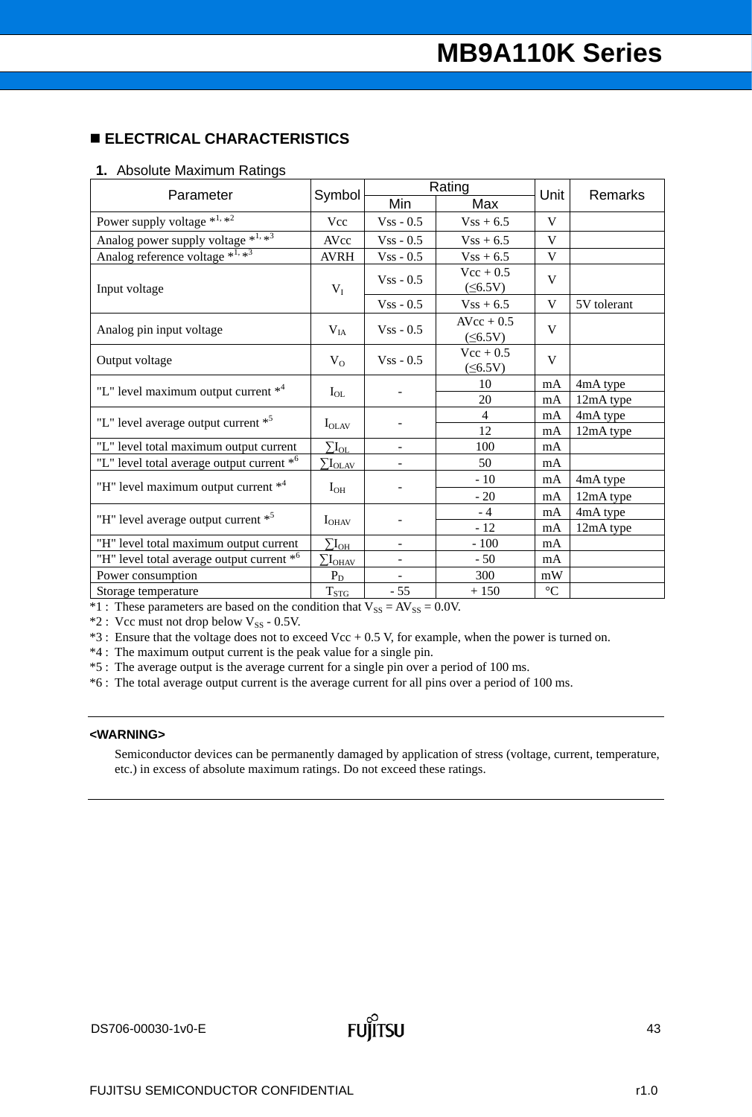### **ELECTRICAL CHARACTERISTICS**

#### **1.** Absolute Maximum Ratings

| Parameter                                             |                                     |                          | Rating                        | Unit            | Remarks     |  |
|-------------------------------------------------------|-------------------------------------|--------------------------|-------------------------------|-----------------|-------------|--|
|                                                       | Symbol                              | Min                      | Max                           |                 |             |  |
| Power supply voltage $*^{1, *2}$                      | Vcc                                 | $Vss - 0.5$              | $Vss + 6.5$                   | V               |             |  |
| Analog power supply voltage *1, *3                    | AVcc                                | $Vss - 0.5$              | $Vss + 6.5$                   | V               |             |  |
| Analog reference voltage $*^{1,\overline{**}^3}$      | <b>AVRH</b>                         | $Vss - 0.5$              | $Vss + 6.5$                   | V               |             |  |
| Input voltage                                         | $V_I$                               | $Vss - 0.5$              | $Vec + 0.5$<br>$(\leq 6.5V)$  | V               |             |  |
|                                                       |                                     | $Vss - 0.5$              | $Vss + 6.5$                   | V               | 5V tolerant |  |
| Analog pin input voltage                              | $V_{IA}$                            | $Vss - 0.5$              | $AVcc + 0.5$<br>$(\leq 6.5V)$ | V               |             |  |
| Output voltage                                        | $V_{O}$                             | $V$ ss - 0.5             | $Vec + 0.5$<br>$(\leq 6.5V)$  | V               |             |  |
| "L" level maximum output current *4                   |                                     |                          | 10                            | mA              | 4mA type    |  |
|                                                       | $I_{OL}$                            |                          | 20                            | mA              | 12mA type   |  |
| "L" level average output current * <sup>5</sup>       | $I_{OLAV}$                          |                          | 4                             | mA              | 4mA type    |  |
|                                                       |                                     |                          | 12                            | mA              | 12mA type   |  |
| "L" level total maximum output current                | $\rm \Sigma I_{OL}$                 | $\overline{\phantom{0}}$ | 100                           | mA              |             |  |
| "L" level total average output current * <sup>6</sup> | $\sum \rm{I_{OLAV}}$                |                          | 50                            | mA              |             |  |
| "H" level maximum output current * <sup>4</sup>       | $I_{OH}$                            |                          | $-10$                         | mA              | 4mA type    |  |
|                                                       |                                     |                          | $-20$                         | mA              | 12mA type   |  |
| "H" level average output current * <sup>5</sup>       |                                     |                          | $-4$                          | mA              | 4mA type    |  |
|                                                       | $I_{OHAV}$                          |                          | $-12$                         | mA              | 12mA type   |  |
| "H" level total maximum output current                | $\Sigma I_{OH}$                     | $\overline{\phantom{0}}$ | $-100$                        | mA              |             |  |
| "H" level total average output current * <sup>6</sup> | $\sum\!I_{\underline{\text{OHAV}}}$ |                          | $-50$                         | mA              |             |  |
| Power consumption                                     | $P_D$                               |                          | 300                           | mW              |             |  |
| Storage temperature                                   | $T_{STG}$                           | $-55$                    | $+150$                        | $\rm ^{\circ}C$ |             |  |

 $*1$ : These parameters are based on the condition that  $V_{SS} = AV_{SS} = 0.0V$ .

 $*2$ : Vcc must not drop below V<sub>SS</sub> - 0.5V.

\*3 : Ensure that the voltage does not to exceed Vcc + 0.5 V, for example, when the power is turned on.

\*4 : The maximum output current is the peak value for a single pin.

\*5 : The average output is the average current for a single pin over a period of 100 ms.

\*6 : The total average output current is the average current for all pins over a period of 100 ms.

#### **<WARNING>**

Semiconductor devices can be permanently damaged by application of stress (voltage, current, temperature, etc.) in excess of absolute maximum ratings. Do not exceed these ratings.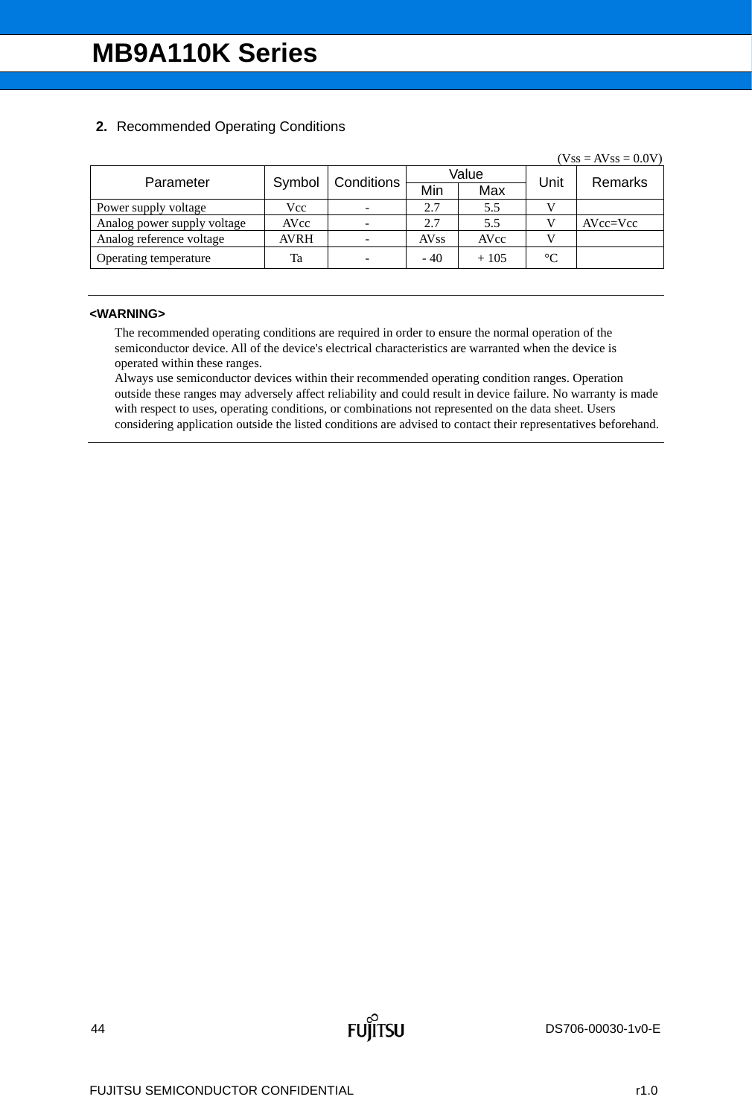### **2.** Recommended Operating Conditions

|             |        |             |        |                 | $(Vss = AVss = 0.0V)$ |
|-------------|--------|-------------|--------|-----------------|-----------------------|
|             |        |             |        |                 | Remarks               |
|             |        | Min         | Max    |                 |                       |
| Vcc         |        | 2.7         | 5.5    |                 |                       |
| AVcc        |        | 2.7         | 5.5    |                 | $AVcc=Vec$            |
| <b>AVRH</b> |        | <b>AVss</b> | AVcc   |                 |                       |
| Ta          |        | $-40$       | $+105$ | $\rm ^{\circ}C$ |                       |
|             | Symbol | Conditions  |        | Value           | Unit                  |

#### **<WARNING>**

The recommended operating conditions are required in order to ensure the normal operation of the semiconductor device. All of the device's electrical characteristics are warranted when the device is operated within these ranges.

Always use semiconductor devices within their recommended operating condition ranges. Operation outside these ranges may adversely affect reliability and could result in device failure. No warranty is made with respect to uses, operating conditions, or combinations not represented on the data sheet. Users considering application outside the listed conditions are advised to contact their representatives beforehand.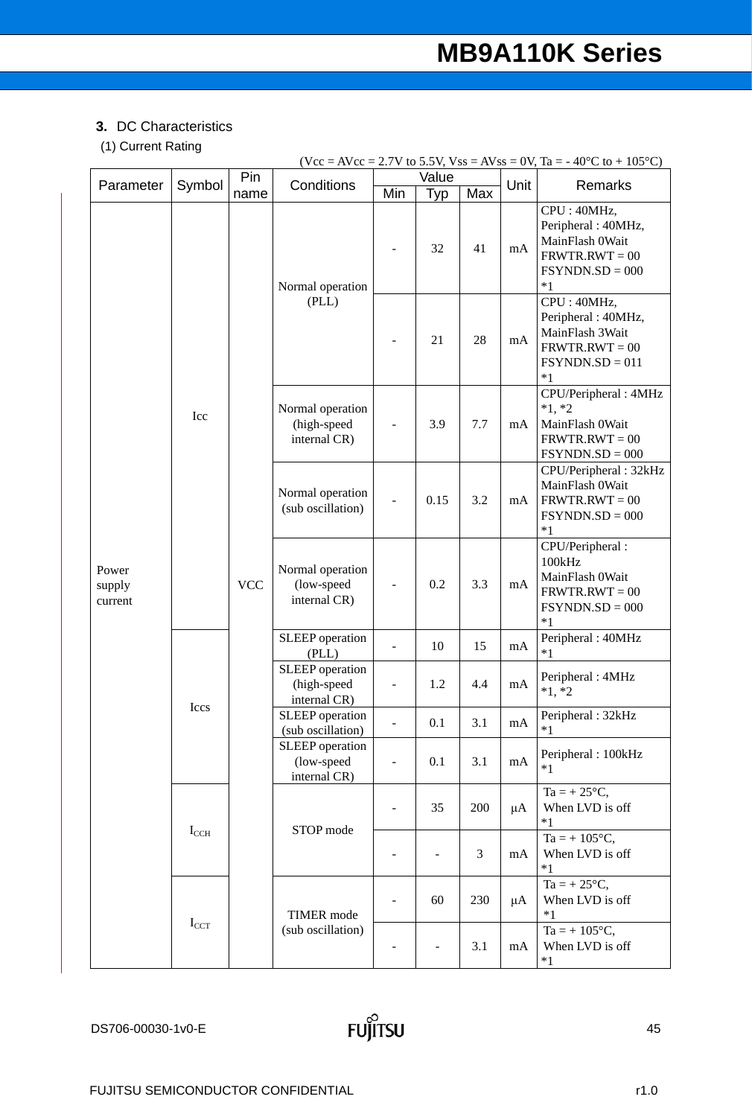## **3.** DC Characteristics

# (1) Current Rating

|                            |                  |             |                                                |                          |              |     |         | $(Vcc = AVec = 2.7V$ to 5.5V, $Vss = AVss = 0V$ , Ta = -40°C to +105°C)                               |                                                 |  |     |     |    |                                                                                              |
|----------------------------|------------------|-------------|------------------------------------------------|--------------------------|--------------|-----|---------|-------------------------------------------------------------------------------------------------------|-------------------------------------------------|--|-----|-----|----|----------------------------------------------------------------------------------------------|
| Parameter                  | Symbol           | Pin<br>name | Conditions                                     | Min                      | Value<br>Typ | Max | Unit    | Remarks                                                                                               |                                                 |  |     |     |    |                                                                                              |
|                            |                  |             | Normal operation                               |                          | 32           | 41  | mA      | CPU: 40MHz,<br>Peripheral: 40MHz,<br>MainFlash 0Wait<br>$FRWTR.RWT = 00$<br>$FSYNDN.SD = 000$<br>$*1$ |                                                 |  |     |     |    |                                                                                              |
|                            |                  |             | (PLL)                                          |                          | 21           | 28  | mA      | CPU: 40MHz,<br>Peripheral: 40MHz,<br>MainFlash 3Wait<br>$FRWTR.RWT = 00$<br>$FSYNDN.SD = 011$<br>$*1$ |                                                 |  |     |     |    |                                                                                              |
|                            | Icc              | <b>VCC</b>  |                                                |                          |              |     |         |                                                                                                       | Normal operation<br>(high-speed<br>internal CR) |  | 3.9 | 7.7 | mA | CPU/Peripheral: 4MHz<br>$*1, *2$<br>MainFlash 0Wait<br>$FRWTR.RWT = 00$<br>$FSYNDN.SD = 000$ |
|                            |                  |             | Normal operation<br>(sub oscillation)          |                          | 0.15         | 3.2 | mA      | CPU/Peripheral: 32kHz<br>MainFlash 0Wait<br>$FRWTR.RWT = 00$<br>$FSYNDN.SD = 000$<br>$*1$             |                                                 |  |     |     |    |                                                                                              |
| Power<br>supply<br>current |                  |             | Normal operation<br>(low-speed<br>internal CR) | $\overline{\phantom{a}}$ | 0.2          | 3.3 | mA      | CPU/Peripheral:<br>100kHz<br>MainFlash 0Wait<br>$FRWTR.RWT = 00$<br>$FSYNDN.SD = 000$<br>$*1$         |                                                 |  |     |     |    |                                                                                              |
|                            |                  |             | SLEEP operation<br>(PLL)                       | $\blacksquare$           | 10           | 15  | mA      | Peripheral: 40MHz<br>$*1$                                                                             |                                                 |  |     |     |    |                                                                                              |
|                            | Iccs             |             | SLEEP operation<br>(high-speed<br>internal CR) | $\overline{\phantom{0}}$ | 1.2          | 4.4 | mA      | Peripheral: 4MHz<br>$*1, *2$                                                                          |                                                 |  |     |     |    |                                                                                              |
|                            |                  |             | SLEEP operation<br>(sub oscillation)           |                          | 0.1          | 3.1 | mA      | Peripheral: 32kHz<br>$*1$                                                                             |                                                 |  |     |     |    |                                                                                              |
|                            |                  |             | SLEEP operation<br>(low-speed<br>internal CR)  | $\overline{\phantom{a}}$ | 0.1          | 3.1 | mA      | Peripheral: 100kHz<br>$*1$                                                                            |                                                 |  |     |     |    |                                                                                              |
|                            |                  |             | STOP mode                                      |                          | 35           | 200 | $\mu A$ | $Ta = +25^{\circ}C,$<br>When LVD is off<br>$*1$                                                       |                                                 |  |     |     |    |                                                                                              |
|                            | $I_{CCH}$        |             |                                                | $\overline{\phantom{a}}$ |              | 3   | mA      | $Ta = +105^{\circ}C$ ,<br>When LVD is off<br>$*1$                                                     |                                                 |  |     |     |    |                                                                                              |
|                            | $I_{\text{CCT}}$ |             | <b>TIMER</b> mode                              | $\overline{\phantom{a}}$ | 60           | 230 | $\mu A$ | $Ta = +25^{\circ}C$ ,<br>When LVD is off<br>$*1$                                                      |                                                 |  |     |     |    |                                                                                              |
|                            |                  |             | (sub oscillation)                              |                          |              | 3.1 | mA      | $Ta = +105^{\circ}C,$<br>When LVD is off<br>$*1$                                                      |                                                 |  |     |     |    |                                                                                              |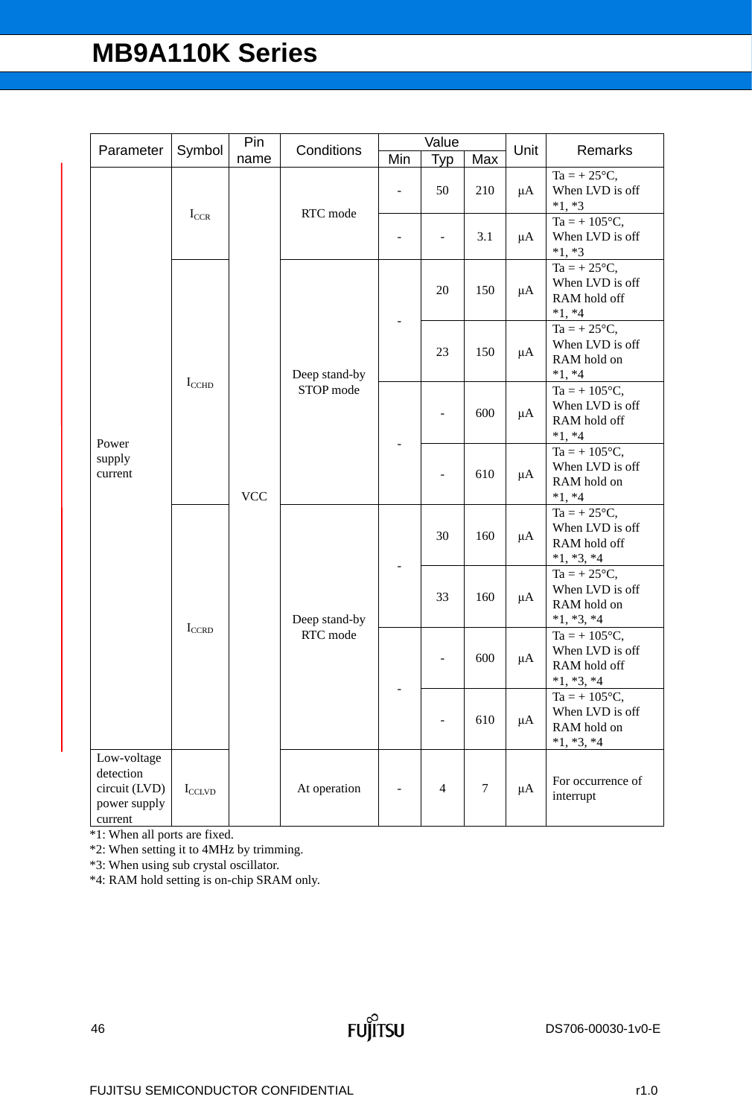| Parameter                                                            | Symbol              | Pin        | Conditions                 |                          | Value          |        | Unit    | Remarks                                                                  |                                                                         |    |                                                                      |
|----------------------------------------------------------------------|---------------------|------------|----------------------------|--------------------------|----------------|--------|---------|--------------------------------------------------------------------------|-------------------------------------------------------------------------|----|----------------------------------------------------------------------|
|                                                                      |                     | name       |                            | Min                      | Typ            | Max    |         |                                                                          |                                                                         |    |                                                                      |
|                                                                      |                     |            | RTC mode                   | $\overline{\phantom{a}}$ | 50             | 210    | $\mu A$ | $Ta = +25^{\circ}C$ ,<br>When LVD is off<br>$*1, *3$                     |                                                                         |    |                                                                      |
|                                                                      | $I_{CCR}$           |            |                            | $\overline{\phantom{m}}$ | -              | 3.1    | μA      | $Ta = +105^{\circ}C,$<br>When LVD is off<br>$*1, *3$                     |                                                                         |    |                                                                      |
|                                                                      |                     | <b>VCC</b> |                            |                          | 20             | 150    | μA      | $Ta = +25^{\circ}C,$<br>When LVD is off<br>RAM hold off<br>$*1, *4$      |                                                                         |    |                                                                      |
|                                                                      | $I_{\text{CCHD}}$   |            | Deep stand-by              |                          | 23             | 150    | μA      | $Ta = +25^{\circ}C,$<br>When LVD is off<br>RAM hold on<br>$*1, *4$       |                                                                         |    |                                                                      |
|                                                                      |                     |            | STOP mode<br>Deep stand-by |                          |                |        |         |                                                                          | 600                                                                     | μA | $Ta = +105^{\circ}C,$<br>When LVD is off<br>RAM hold off<br>$*1, *4$ |
| Power<br>supply<br>current                                           |                     |            |                            |                          |                | 610    | $\mu A$ | $Ta = +105^{\circ}C,$<br>When LVD is off<br>RAM hold on<br>$*1, *4$      |                                                                         |    |                                                                      |
|                                                                      |                     |            |                            |                          |                | 30     | 160     | $\mu A$                                                                  | $Ta = +25^{\circ}C,$<br>When LVD is off<br>RAM hold off<br>$*1, *3, *4$ |    |                                                                      |
|                                                                      | $\mathbf{I}_{CCRD}$ |            |                            |                          | 33             | 160    | μA      | $Ta = +25^{\circ}C,$<br>When LVD is off<br>RAM hold on<br>$*1, *3, *4$   |                                                                         |    |                                                                      |
|                                                                      |                     |            | RTC mode                   |                          |                | 600    | $\mu A$ | $Ta = +105^{\circ}C,$<br>When LVD is off<br>RAM hold off<br>$*1, *3, *4$ |                                                                         |    |                                                                      |
|                                                                      |                     |            |                            |                          |                | 610    | μA      | $Ta = +105^{\circ}C,$<br>When LVD is off<br>RAM hold on<br>$*1, *3, *4$  |                                                                         |    |                                                                      |
| Low-voltage<br>detection<br>circuit (LVD)<br>power supply<br>current | $I_{\text{CCLVD}}$  |            | At operation               |                          | $\overline{4}$ | $\tau$ | $\mu A$ | For occurrence of<br>interrupt                                           |                                                                         |    |                                                                      |

\*1: When all ports are fixed.

\*2: When setting it to 4MHz by trimming.

\*3: When using sub crystal oscillator.

\*4: RAM hold setting is on-chip SRAM only.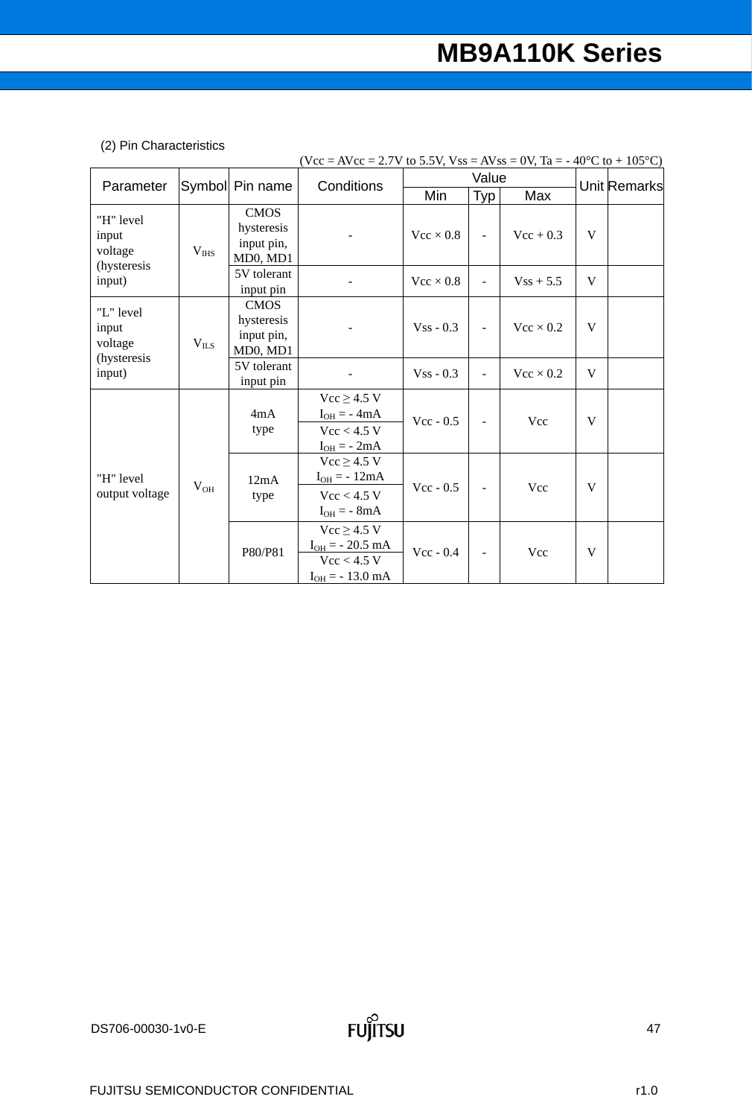## (2) Pin Characteristics

|                                  |           |                 | $(Vcc = AVec = 2.7V$ to 5.5V, $Vss = AVss = 0V$ , Ta = -40°C to +105°C) |                  |                          |                  |   |              |
|----------------------------------|-----------|-----------------|-------------------------------------------------------------------------|------------------|--------------------------|------------------|---|--------------|
| Parameter                        |           | Symbol Pin name | Conditions                                                              |                  | Value                    |                  |   | Unit Remarks |
|                                  |           |                 |                                                                         | Min              | <b>Typ</b>               | Max              |   |              |
| "H" level                        |           | CMOS            |                                                                         |                  |                          |                  |   |              |
| input                            |           | hysteresis      |                                                                         | $Vec \times 0.8$ | $\overline{\phantom{a}}$ | $Vec + 0.3$      | V |              |
| voltage                          | $V_{IHS}$ | input pin,      |                                                                         |                  |                          |                  |   |              |
| (hysteresis                      |           | MD0, MD1        |                                                                         |                  |                          |                  |   |              |
| input)                           |           | 5V tolerant     |                                                                         | $Vec \times 0.8$ | ÷,                       | $Vss + 5.5$      | V |              |
|                                  |           | input pin       |                                                                         |                  |                          |                  |   |              |
| "L" level                        |           | <b>CMOS</b>     |                                                                         |                  |                          |                  |   |              |
| input                            |           | hysteresis      |                                                                         | $V$ ss - 0.3     | $\overline{\phantom{m}}$ | $Vec \times 0.2$ | V |              |
| voltage<br>(hysteresis<br>input) | $V_{ILS}$ | input pin,      |                                                                         |                  |                          |                  |   |              |
|                                  |           | MD0, MD1        |                                                                         |                  |                          |                  |   |              |
|                                  |           | 5V tolerant     |                                                                         | $Vss - 0.3$      |                          | $Vec \times 0.2$ | V |              |
|                                  |           | input pin       |                                                                         |                  |                          |                  |   |              |
|                                  |           |                 | $Vcc \geq 4.5$ V                                                        |                  |                          |                  |   |              |
|                                  |           | 4mA             | $I_{OH} = -4mA$                                                         | $Vec - 0.5$      | $\blacksquare$           | Vcc              | V |              |
|                                  |           | type            | $Vcc < 4.5$ V                                                           |                  |                          |                  |   |              |
|                                  |           |                 | $I_{OH} = -2mA$                                                         |                  |                          |                  |   |              |
|                                  |           |                 | $Vcc \geq 4.5 V$                                                        |                  |                          |                  |   |              |
| "H" level                        |           | 12mA            | $I_{OH} = -12mA$                                                        |                  |                          |                  |   |              |
| output voltage                   | $V_{OH}$  | type            | $Vcc < 4.5$ V                                                           | $Vec - 0.5$      | $\overline{\phantom{0}}$ | Vcc              | V |              |
|                                  |           |                 | $I_{OH} = - 8mA$                                                        |                  |                          |                  |   |              |
|                                  |           |                 | $Vcc \geq 4.5 V$                                                        |                  |                          |                  |   |              |
|                                  |           | P80/P81         | $I_{OH} = -20.5$ mA                                                     | $Vec - 0.4$      |                          |                  | V |              |
|                                  |           |                 | $Vcc < 4.5$ V                                                           |                  | Vcc                      |                  |   |              |
|                                  |           |                 | $I_{OH} = -13.0$ mA                                                     |                  |                          |                  |   |              |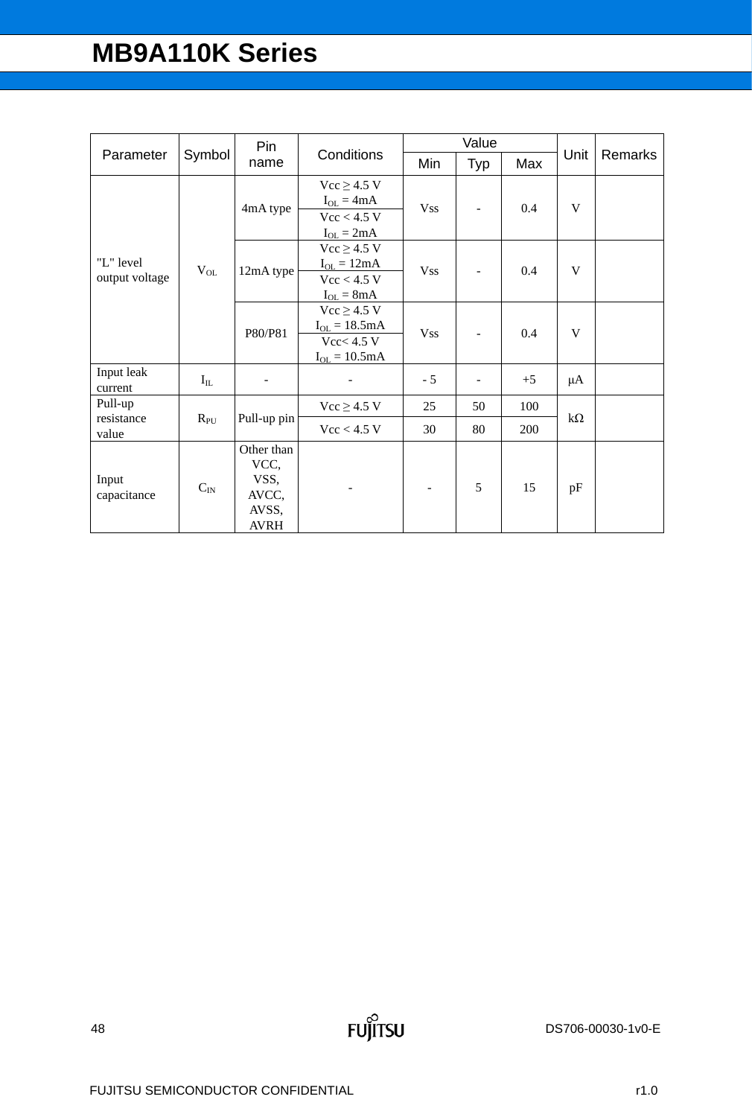|                       |          | Pin                                          |                   |            | Value          |      |           | Remarks |
|-----------------------|----------|----------------------------------------------|-------------------|------------|----------------|------|-----------|---------|
| Parameter             | Symbol   | name                                         | Conditions        | Min        | Typ            | Max  | Unit      |         |
|                       |          |                                              | $Vcc \geq 4.5 V$  |            |                |      |           |         |
|                       |          | 4mA type                                     | $I_{OL} = 4mA$    | <b>Vss</b> |                | 0.4  | V         |         |
|                       |          |                                              | $Vcc < 4.5$ V     |            |                |      |           |         |
|                       |          |                                              | $I_{OL} = 2mA$    |            |                |      |           |         |
|                       |          |                                              | $Vcc \geq 4.5 V$  |            |                |      |           |         |
| "L" level             | $V_{OL}$ | 12mA type                                    | $I_{OL} = 12mA$   | <b>Vss</b> |                | 0.4  | V         |         |
| output voltage        |          |                                              | Vcc < 4.5 V       |            |                |      |           |         |
|                       |          |                                              | $I_{OL} = 8mA$    |            |                |      |           |         |
|                       |          | P80/P81                                      | $Vcc \geq 4.5 V$  |            |                |      |           |         |
|                       |          |                                              | $I_{OL} = 18.5mA$ | <b>Vss</b> |                |      | V         |         |
|                       |          |                                              | Vcc< 4.5 V        |            | $\overline{a}$ | 0.4  |           |         |
|                       |          |                                              | $I_{OL} = 10.5mA$ |            |                |      |           |         |
| Input leak<br>current | $I_{IL}$ |                                              |                   | $-5$       | $\overline{a}$ | $+5$ | μA        |         |
| Pull-up               |          |                                              | $Vcc \geq 4.5 V$  | 25         | 50             | 100  |           |         |
| resistance<br>value   | $R_{PU}$ | Pull-up pin                                  | $Vcc < 4.5$ V     | 30         | 80             | 200  | $k\Omega$ |         |
| Input<br>capacitance  | $C_{IN}$ | Other than<br>VCC,<br>VSS,<br>AVCC,<br>AVSS, |                   |            | 5              | 15   | pF        |         |
|                       |          | <b>AVRH</b>                                  |                   |            |                |      |           |         |

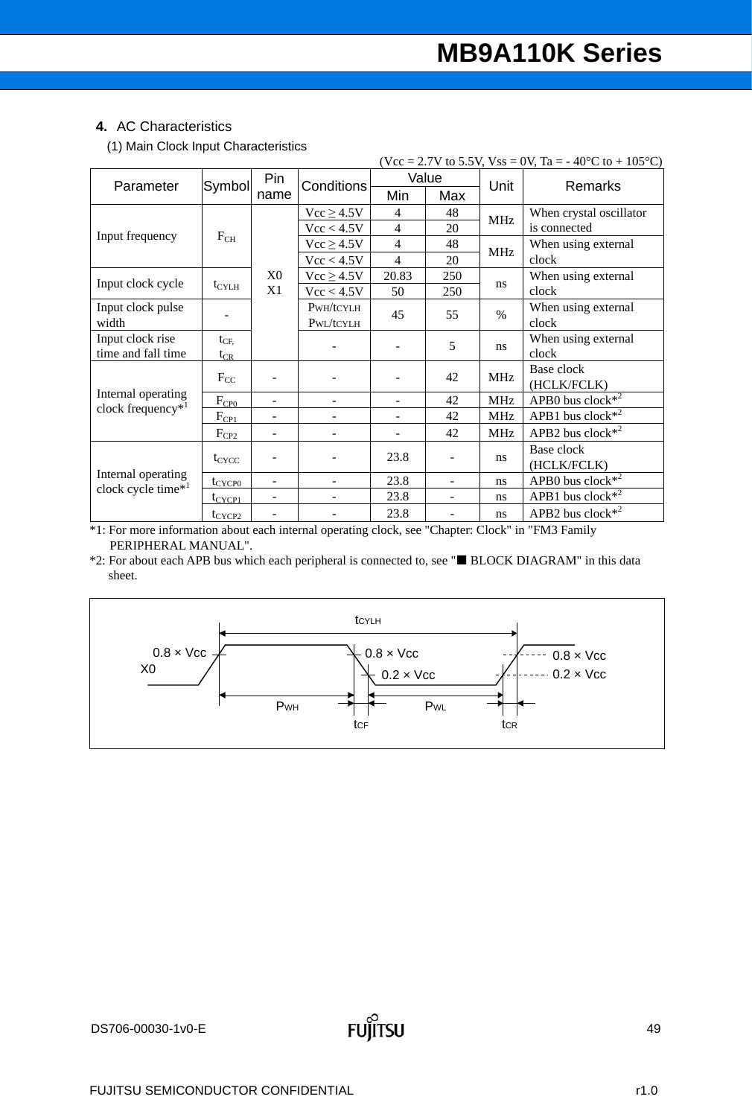### **4.** AC Characteristics

(1) Main Clock Input Characteristics

|                                              |                   |                          |                | (Vcc = 2.7V to 5.5V, Vss = 0V, Ta = -40°C to + 105°C) |            |               |                         |  |
|----------------------------------------------|-------------------|--------------------------|----------------|-------------------------------------------------------|------------|---------------|-------------------------|--|
| Parameter                                    | Symbol            | Pin                      | Conditions     |                                                       | Value      | Unit          | <b>Remarks</b>          |  |
|                                              |                   | name                     |                | Min                                                   | Max        |               |                         |  |
|                                              |                   |                          | $Vcc \ge 4.5V$ | 4                                                     | 48         | <b>MHz</b>    | When crystal oscillator |  |
| Input frequency                              |                   |                          | Vcc < 4.5V     | $\overline{4}$                                        | 20         |               | is connected            |  |
|                                              | $F_{CH}$          |                          | $Vcc \ge 4.5V$ | $\overline{4}$                                        | 48         | <b>MHz</b>    | When using external     |  |
|                                              |                   |                          | Vcc < 4.5V     | $\overline{4}$                                        | 20         |               | clock                   |  |
| Input clock cycle                            |                   | X0                       | $Vcc \ge 4.5V$ | 20.83                                                 | 250        | ns            | When using external     |  |
|                                              | $t_{\text{CYLH}}$ | X1                       | Vcc < 4.5V     | 50                                                    | 250        |               | clock                   |  |
| Input clock pulse                            |                   |                          | PWH/tCYLH      | 45                                                    | 55         | $\frac{0}{0}$ | When using external     |  |
| width                                        |                   |                          | PWL/tCYLH      |                                                       |            |               | clock                   |  |
| Input clock rise                             | $t_{\text{CF}}$   |                          |                |                                                       | 5          | ns            | When using external     |  |
| time and fall time                           | $t_{CR}$          |                          |                |                                                       |            |               | clock                   |  |
|                                              | $F_{CC}$          |                          |                | 42                                                    | <b>MHz</b> | Base clock    |                         |  |
| Internal operating                           |                   |                          |                |                                                       |            |               | (HCLK/FCLK)             |  |
| clock frequency <sup>*1</sup>                | F <sub>CP0</sub>  |                          |                |                                                       | 42         | <b>MHz</b>    | APB0 bus clock $*^2$    |  |
|                                              | $F_{CPL}$         | -                        |                | $\qquad \qquad -$                                     | 42         | <b>MHz</b>    | APB1 bus clock $*^2$    |  |
|                                              | $F_{CP2}$         |                          |                |                                                       | 42         | <b>MHz</b>    | APB2 bus clock $*^2$    |  |
|                                              |                   |                          |                | 23.8                                                  | ÷          |               | Base clock              |  |
|                                              | $t_{CYCC}$        |                          |                |                                                       |            | ns.           | (HCLK/FCLK)             |  |
| Internal operating<br>clock cycle time $*^1$ | $t_{CYCP0}$       | $\overline{\phantom{0}}$ |                | 23.8                                                  | ÷          | ns            | APB0 bus clock $*^2$    |  |
|                                              | $t_{CYCP1}$       |                          |                | 23.8                                                  |            | ns.           | APB1 bus clock $*^2$    |  |
|                                              | $t_{CYCP2}$       |                          |                | 23.8                                                  |            | ns.           | APB2 bus clock $*^2$    |  |

\*1: For more information about each internal operating clock, see "Chapter: Clock" in "FM3 Family PERIPHERAL MANUAL".

\*2: For about each APB bus which each peripheral is connected to, see " BLOCK DIAGRAM" in this data sheet.

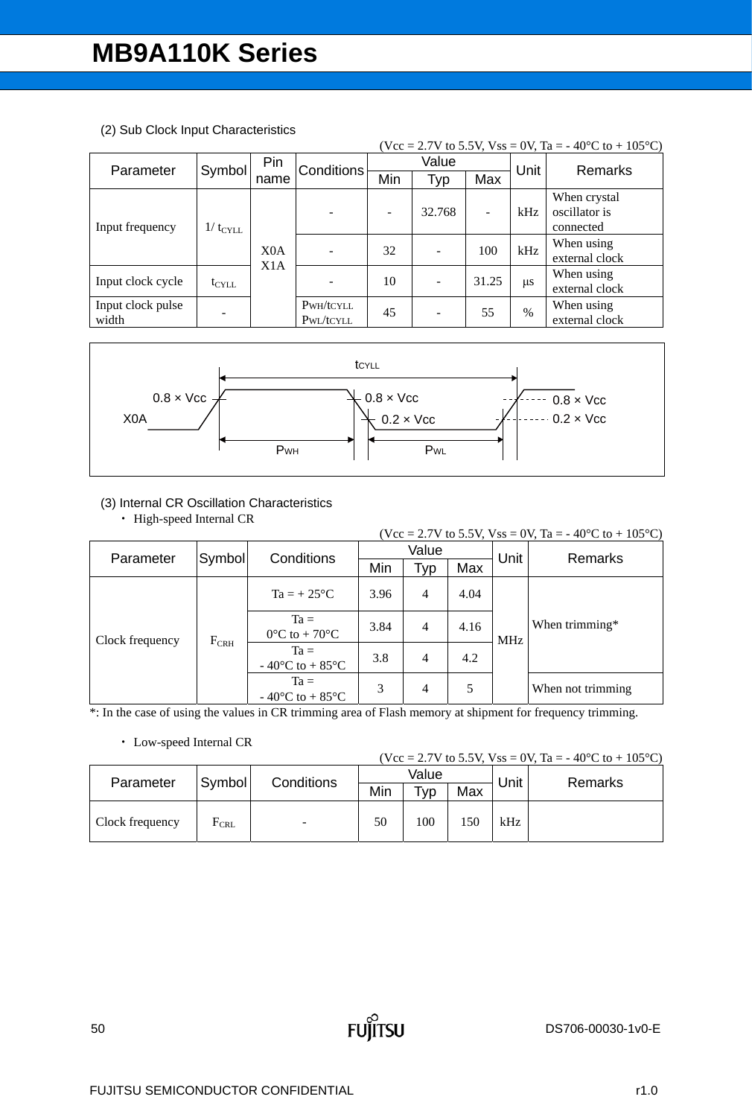| (Vcc = 2.7V to 5.5V, Vss = 0V, Ta = -40°C to + 105°C) |                  |                  |                   |     |        |                   |               |                |  |  |
|-------------------------------------------------------|------------------|------------------|-------------------|-----|--------|-------------------|---------------|----------------|--|--|
| Parameter                                             | Symbol           | Pin              | <b>Conditions</b> |     | Value  |                   | Unit          | <b>Remarks</b> |  |  |
|                                                       |                  | name             |                   | Min | Typ    | Max               |               |                |  |  |
|                                                       |                  |                  |                   |     | 32.768 |                   |               | When crystal   |  |  |
| Input frequency                                       | $1/t_{\rm CYLL}$ |                  |                   |     |        | $\qquad \qquad -$ | kHz           | oscillator is  |  |  |
|                                                       |                  |                  |                   |     |        |                   |               | connected      |  |  |
|                                                       |                  | X <sub>0</sub> A |                   | 32  |        | 100               | kHz           | When using     |  |  |
|                                                       |                  | X1A              |                   |     |        |                   |               | external clock |  |  |
| Input clock cycle                                     |                  |                  |                   | 10  |        | 31.25             |               | When using     |  |  |
|                                                       | $t_{\rm CYLL}$   |                  |                   |     | -      |                   | $\mu$ s       | external clock |  |  |
| Input clock pulse                                     |                  |                  | PWH/tCYLL         | 45  |        | 55                | $\frac{0}{0}$ | When using     |  |  |
| width                                                 |                  |                  | PWL/tCYLL         |     |        |                   |               | external clock |  |  |

#### (2) Sub Clock Input Characteristics



#### (3) Internal CR Oscillation Characteristics

• High-speed Internal CR

|                                  |        |                                                          |      |                |      |            | (Vcc = 2.7V to 5.5V, Vss = 0V, Ta = -40°C to + 105°C) |  |
|----------------------------------|--------|----------------------------------------------------------|------|----------------|------|------------|-------------------------------------------------------|--|
| Parameter                        | Symbol | Conditions                                               |      | Value          |      | Unit       | Remarks                                               |  |
|                                  |        |                                                          | Min  | Typ            | Max  |            |                                                       |  |
| Clock frequency<br>$F_{\rm CRH}$ |        | $Ta = +25^{\circ}C$                                      | 3.96 | $\overline{4}$ | 4.04 |            |                                                       |  |
|                                  |        | $Ta =$<br>$0^{\circ}$ C to + 70 $^{\circ}$ C             | 3.84 | $\overline{4}$ | 4.16 | <b>MHz</b> | When trimming*                                        |  |
|                                  |        | $Ta =$<br>- 40 $\rm{^{\circ}C}$ to + 85 $\rm{^{\circ}C}$ | 3.8  | $\overline{4}$ | 4.2  |            |                                                       |  |
|                                  |        | $Ta =$<br>$-40^{\circ}$ C to $+85^{\circ}$ C             | 3    | $\overline{4}$ | 5    |            | When not trimming                                     |  |

\*: In the case of using the values in CR trimming area of Flash memory at shipment for frequency trimming.

#### Low-speed Internal CR

(Vcc = 2.7V to 5.5V, Vss = 0V, Ta = -40°C to + 105°C)

|                 |           |            |     | --------------  | .   |      |                |  |
|-----------------|-----------|------------|-----|-----------------|-----|------|----------------|--|
| Parameter       | Symbol    |            |     | Value           |     | Unit | <b>Remarks</b> |  |
|                 |           | Conditions | Min | T <sub>VP</sub> | Max |      |                |  |
| Clock frequency | $F_{CRL}$ | -          | 50  | 100             | 150 | kHz  |                |  |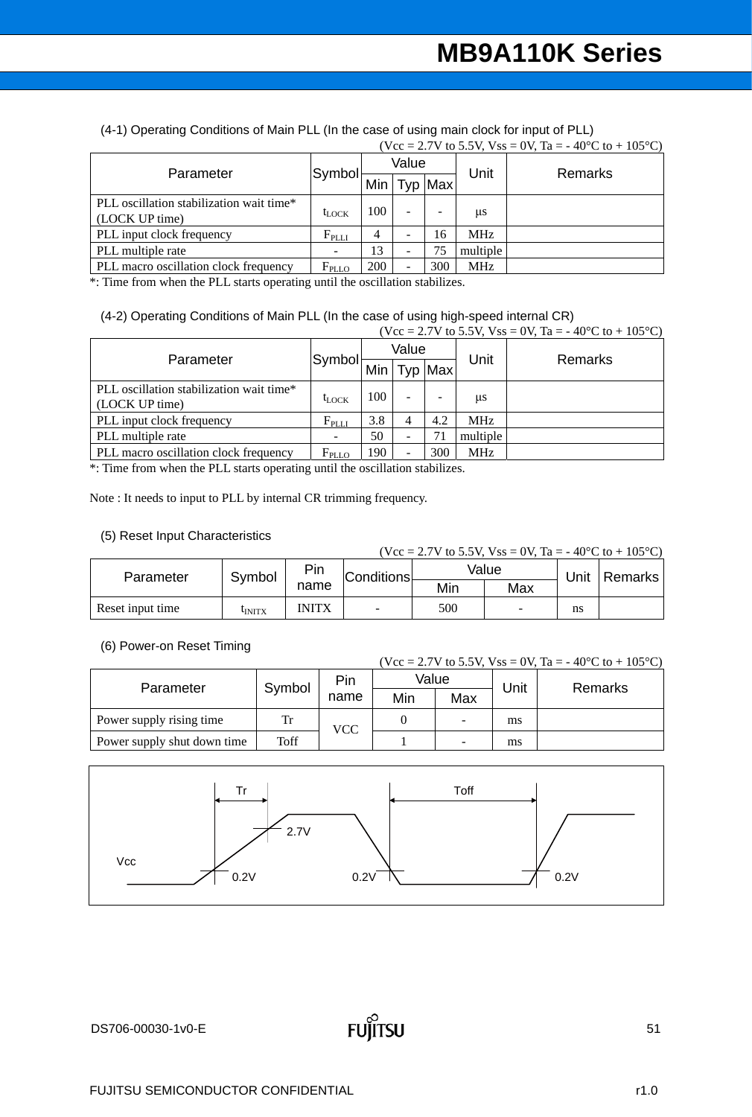(4-1) Operating Conditions of Main PLL (In the case of using main clock for input of PLL)  $(Vcc = 2.7V$  to 5.5V,  $V_{SS} = 0V$ ,  $Ta = -40°C$  to  $+ 105°C$ )

|                                                            |                   |       | $\frac{1}{2}$ $\frac{1}{2}$ $\frac{1}{2}$ $\frac{1}{2}$ $\frac{1}{2}$ $\frac{1}{2}$ $\frac{1}{2}$ $\frac{1}{2}$ $\frac{1}{2}$ $\frac{1}{2}$ $\frac{1}{2}$ $\frac{1}{2}$ $\frac{1}{2}$ $\frac{1}{2}$ $\frac{1}{2}$ $\frac{1}{2}$ $\frac{1}{2}$ $\frac{1}{2}$ $\frac{1}{2}$ $\frac{1}{2}$ $\frac{1}{2}$ $\frac{1}{2}$ |         |            |         |
|------------------------------------------------------------|-------------------|-------|---------------------------------------------------------------------------------------------------------------------------------------------------------------------------------------------------------------------------------------------------------------------------------------------------------------------|---------|------------|---------|
| Parameter                                                  | Symbol            | Value |                                                                                                                                                                                                                                                                                                                     |         | Unit       |         |
|                                                            |                   |       |                                                                                                                                                                                                                                                                                                                     | Typ Max |            | Remarks |
| PLL oscillation stabilization wait time*<br>(LOCK UP time) | $t_{\text{LOCK}}$ | 100   |                                                                                                                                                                                                                                                                                                                     |         | us         |         |
| PLL input clock frequency                                  | $F_{\rm PLLI}$    |       | -                                                                                                                                                                                                                                                                                                                   | 16      | <b>MHz</b> |         |
| PLL multiple rate                                          |                   | 13    | -                                                                                                                                                                                                                                                                                                                   | 75      | multiple   |         |
| PLL macro oscillation clock frequency                      | $F_{\text{PLLO}}$ | 200   |                                                                                                                                                                                                                                                                                                                     | 300     | <b>MHz</b> |         |

\*: Time from when the PLL starts operating until the oscillation stabilizes.

# (4-2) Operating Conditions of Main PLL (In the case of using high-speed internal CR)<br>( $V_{\text{C}} = 2.7$  V to 5.5 V V<sub>SS</sub> = 0.V To = 40<sup>o</sup>C to +105<sup>o</sup>C)

|                                                            |                   |       |   |         |                 | (Vcc = 2.7V to 5.5V, Vss = 0V, Ta = -40°C to + 105°C) |
|------------------------------------------------------------|-------------------|-------|---|---------|-----------------|-------------------------------------------------------|
| Parameter                                                  |                   | Value |   |         | Unit            | Remarks                                               |
|                                                            | Symbol            | Min   |   | Typ Max |                 |                                                       |
| PLL oscillation stabilization wait time*<br>(LOCK UP time) | $t_{\text{LOCK}}$ | 100   |   |         | us              |                                                       |
| PLL input clock frequency                                  | $F_{\rm PLLI}$    | 3.8   | 4 | 4.2     | MH <sub>z</sub> |                                                       |
| PLL multiple rate                                          |                   | 50    |   | 71      | multiple        |                                                       |
| PLL macro oscillation clock frequency                      | $F_{\text{PLLO}}$ | 190   |   | 300     | <b>MHz</b>      |                                                       |

\*: Time from when the PLL starts operating until the oscillation stabilizes.

Note : It needs to input to PLL by internal CR trimming frequency.

#### (5) Reset Input Characteristics

| (Vcc = 2.7V to 5.5V, Vss = 0V, Ta = -40 °C to + 105 °C) |              |              |                          |     |       |      |         |  |  |  |  |
|---------------------------------------------------------|--------------|--------------|--------------------------|-----|-------|------|---------|--|--|--|--|
| Parameter                                               | Symbol       | Pin          | <b>Conditions</b>        |     | Value | Unit | Remarks |  |  |  |  |
|                                                         |              | name         |                          | Min | Max   |      |         |  |  |  |  |
| Reset input time                                        | <b>UNITX</b> | <b>INITX</b> | $\overline{\phantom{0}}$ | 500 |       | ns   |         |  |  |  |  |

#### (6) Power-on Reset Timing

|                             |        |            |       |                          |      | (Vcc = 2.7V to 5.5V, Vss = 0V, Ta = -40 °C to + 105 °C) |  |
|-----------------------------|--------|------------|-------|--------------------------|------|---------------------------------------------------------|--|
| Parameter                   | Symbol | Pin        | Value |                          | Unit |                                                         |  |
|                             |        | name       | Min   | Max                      |      | Remarks                                                 |  |
| Power supply rising time    | Tr     | <b>VCC</b> |       | $\overline{\phantom{0}}$ | ms   |                                                         |  |
| Power supply shut down time | Toff   |            |       | -                        | ms   |                                                         |  |

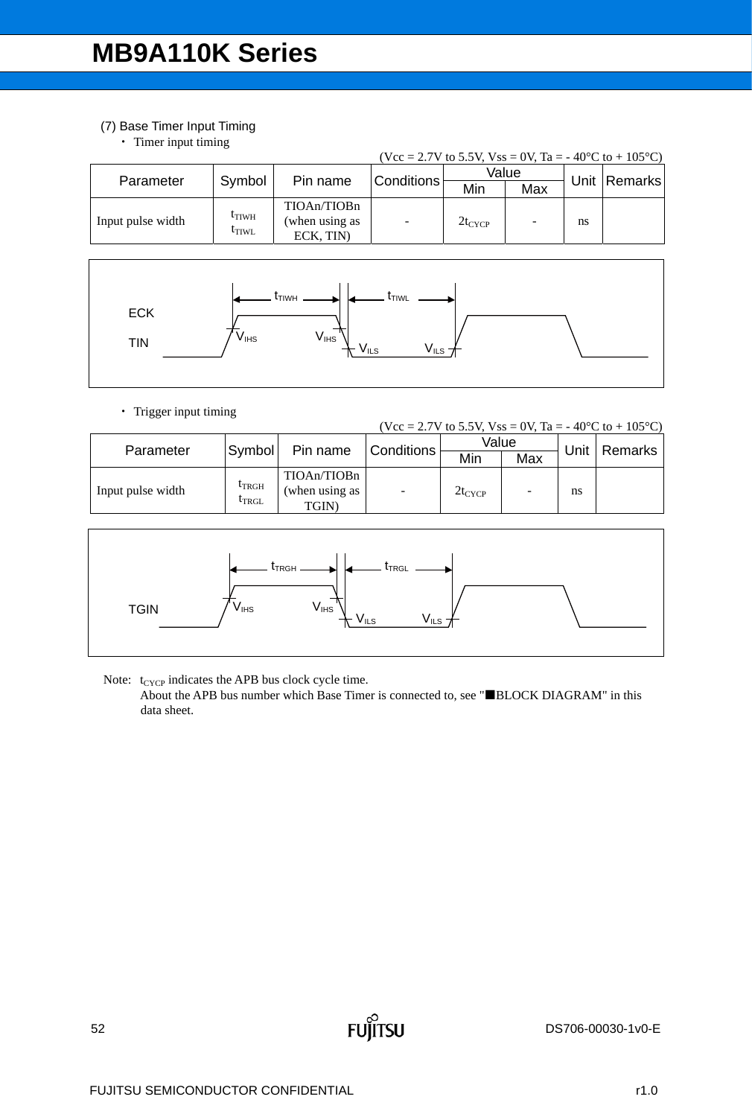### (7) Base Timer Input Timing

• Timer input timing

| (Vcc = 2.7V to 5.5V, Vss = 0V, Ta = -40 °C to + 105 °C) |                                        |                                           |                   |             |     |      |         |  |  |  |
|---------------------------------------------------------|----------------------------------------|-------------------------------------------|-------------------|-------------|-----|------|---------|--|--|--|
| Parameter                                               | Symbol                                 |                                           | <b>Conditions</b> | Value       |     | Unit | Remarks |  |  |  |
|                                                         |                                        | Pin name                                  |                   | Min         | Max |      |         |  |  |  |
| Input pulse width                                       | $t_{\text{TIWH}}$<br><sup>l</sup> tiwl | TIOAn/TIOBn<br>(when using as<br>ECK. TIN |                   | $2t_{CYCP}$ |     | ns   |         |  |  |  |



• Trigger input timing

|  | (Vcc = 2.7V to 5.5V, Vss = 0V, Ta = -40°C to + 105°C) |
|--|-------------------------------------------------------|
|  |                                                       |

| Parameter         | Symbol                            | Pin name                               | Conditions | Value       |     | Unit | Remarks |  |
|-------------------|-----------------------------------|----------------------------------------|------------|-------------|-----|------|---------|--|
|                   |                                   |                                        |            | Min         | Max |      |         |  |
| Input pulse width | <b>LTRGH</b><br><sup>L</sup> TRGL | TIOAn/TIOBn<br>(when using as<br>TGIN) | ٠          | $2t_{CYCP}$ | -   | ns   |         |  |



Note:  $t_{CYCP}$  indicates the APB bus clock cycle time.

About the APB bus number which Base Timer is connected to, see "BLOCK DIAGRAM" in this data sheet.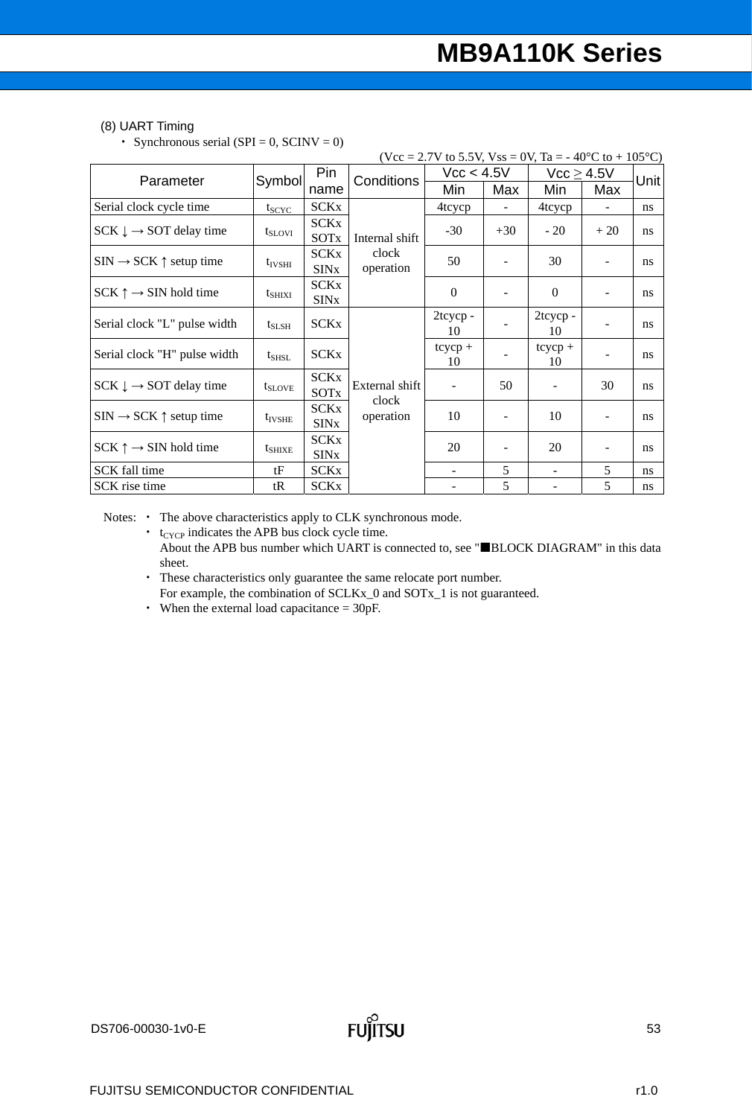#### (8) UART Timing

• Synchronous serial (SPI =  $0$ , SCINV = 0)

|                                                         |                  |                                        |                                      | (Vcc = 2.7V to 5.5V, Vss = 0V, Ta = - 40 <sup>o</sup> C to + 105 <sup>o</sup> C) |       |                          |                          |       |
|---------------------------------------------------------|------------------|----------------------------------------|--------------------------------------|----------------------------------------------------------------------------------|-------|--------------------------|--------------------------|-------|
| Parameter                                               | Symbol           | Pin                                    | Conditions                           | Vcc < 4.5V                                                                       |       | $Vcc \geq 4.5V$          |                          | Unitl |
|                                                         |                  | name                                   |                                      | Min                                                                              | Max   | Min                      | Max                      |       |
| Serial clock cycle time                                 | $t_{SCYC}$       | <b>SCKx</b>                            |                                      | 4tcycp                                                                           |       | 4tcycp                   |                          | ns    |
| $SCK \downarrow \rightarrow SOT$ delay time             | $t_{\rm{SLOVI}}$ | <b>SCKx</b><br><b>SOTx</b>             | Internal shift<br>clock<br>operation | $-30$                                                                            | $+30$ | $-20$                    | $+20$                    | ns    |
| $\text{SIN} \rightarrow \text{SCK} \uparrow$ setup time | $t_{IVSHI}$      | <b>SCKx</b><br><b>SIN</b> <sub>x</sub> |                                      | 50                                                                               |       | 30                       | $\overline{\phantom{a}}$ | ns    |
| $SCK \uparrow \rightarrow SIN$ hold time                | $t_{SHIXI}$      | <b>SCKx</b><br><b>SIN<sub>x</sub></b>  |                                      | $\Omega$                                                                         |       | $\mathbf{0}$             | $\blacksquare$           | ns    |
| Serial clock "L" pulse width                            | $t_{SLSH}$       | <b>SCKx</b>                            |                                      | 2tcycp-<br>10                                                                    |       | 2tcycp-<br>10            | $\blacksquare$           | ns    |
| Serial clock "H" pulse width                            | $t_{\rm SHSL}$   | <b>SCKx</b>                            |                                      | $tcycp +$<br>10                                                                  |       | $tcycp +$<br>10          | $\overline{\phantom{a}}$ | ns    |
| $SCK \downarrow \rightarrow SOT$ delay time             | $t_{SLOVE}$      | <b>SCKx</b><br>SOT <sub>x</sub>        | External shift<br>clock              |                                                                                  | 50    | $\overline{\phantom{a}}$ | 30                       | ns    |
| $\text{SIN} \rightarrow \text{SCK} \uparrow$ setup time | $t_{IVSHE}$      | <b>SCKx</b><br><b>SIN<sub>x</sub></b>  | operation                            | 10                                                                               |       | 10                       | $\overline{\phantom{a}}$ | ns    |
| $SCK \uparrow \rightarrow SIN$ hold time                | $t_{SHIXE}$      | <b>SCKx</b><br><b>SIN<sub>x</sub></b>  |                                      | 20                                                                               |       | 20                       | ۰                        | ns    |
| SCK fall time                                           | tF               | <b>SCKx</b>                            |                                      |                                                                                  | 5     | $\overline{\phantom{0}}$ | 5                        | ns    |
| SCK rise time                                           | tR               | <b>SCKx</b>                            |                                      |                                                                                  | 5     |                          | 5                        | ns    |

Notes: • The above characteristics apply to CLK synchronous mode.

- $\cdot$  t<sub>CYCP</sub> indicates the APB bus clock cycle time. About the APB bus number which UART is connected to, see "BLOCK DIAGRAM" in this data sheet.
- These characteristics only guarantee the same relocate port number. For example, the combination of SCLKx\_0 and SOTx\_1 is not guaranteed.
- When the external load capacitance  $= 30pF$ .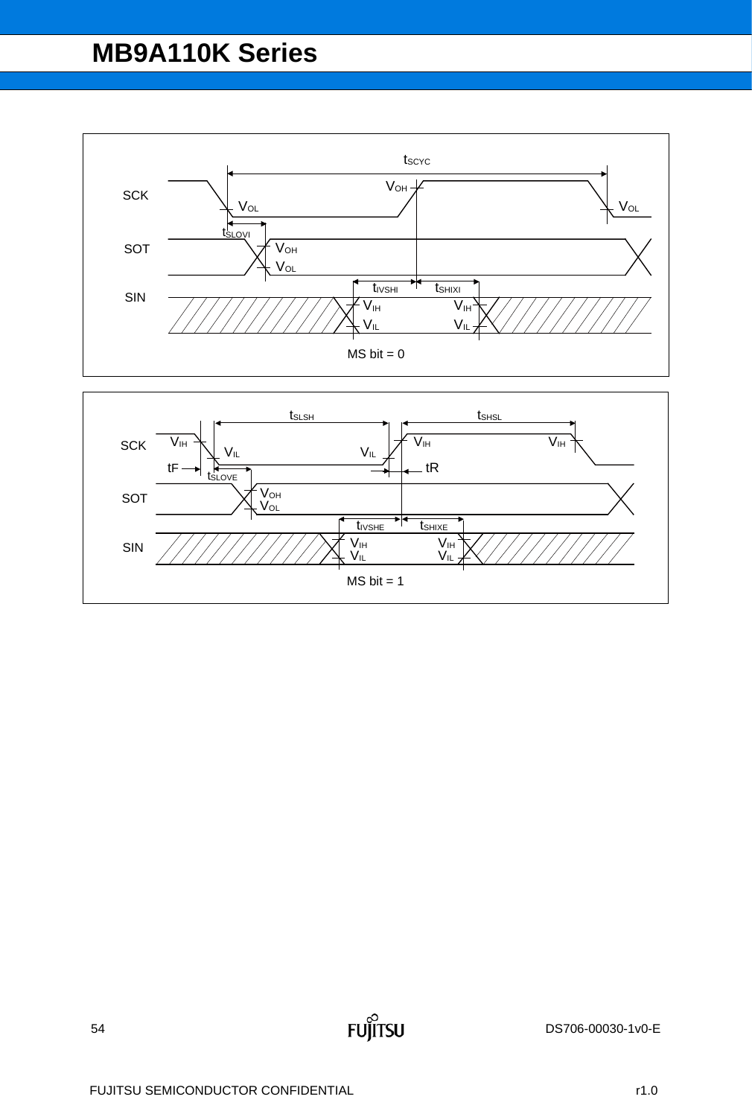

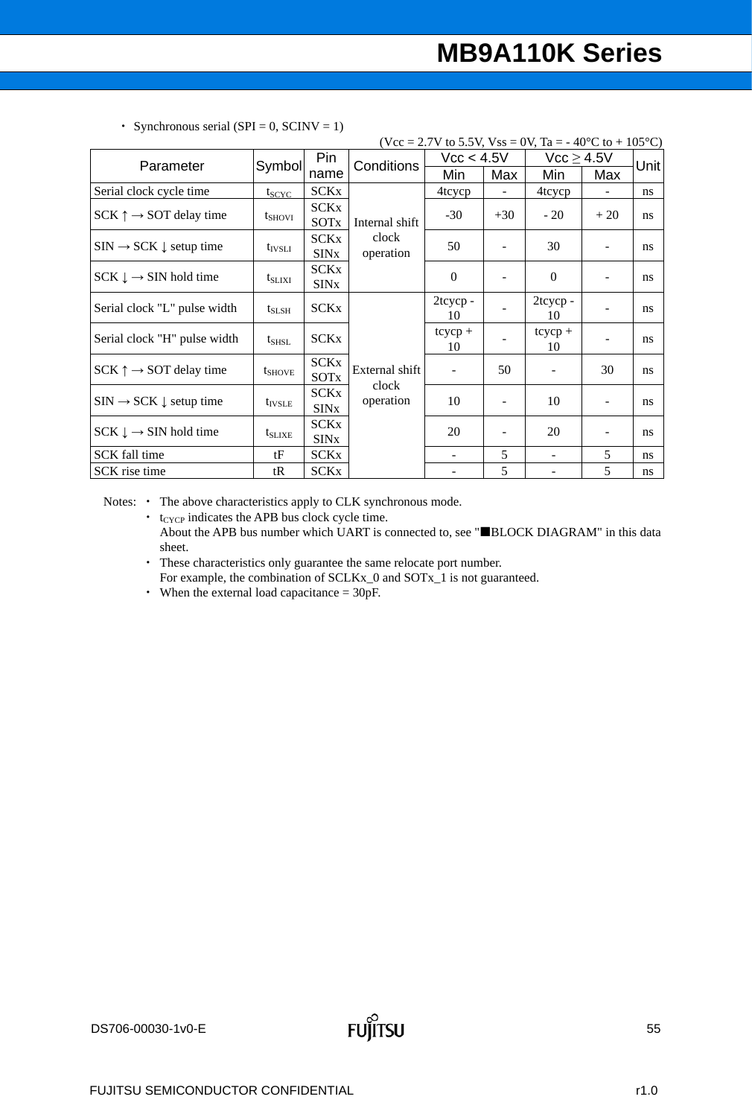|                                                           |                 |                                       |                         | (Vcc = 2.7V to 5.5V, Vss = 0V, Ta = - 40 <sup>o</sup> C to + 105 <sup>o</sup> C) |                          |                          |                          |               |
|-----------------------------------------------------------|-----------------|---------------------------------------|-------------------------|----------------------------------------------------------------------------------|--------------------------|--------------------------|--------------------------|---------------|
| Parameter                                                 | Symbol          | Pin                                   | Conditions              | Vcc < 4.5V                                                                       |                          | $Vcc \geq 4.5V$          |                          | Unitl         |
|                                                           |                 | name                                  |                         | Min                                                                              | Max                      | Min                      | Max                      |               |
| Serial clock cycle time                                   | $t_{SCYC}$      | <b>SCKx</b>                           |                         | 4tcycp                                                                           |                          | 4tcycp                   |                          | ns            |
| $SCK \uparrow \rightarrow SOT$ delay time                 | $t_{\rm SHOVI}$ | <b>SCKx</b><br><b>SOT<sub>x</sub></b> | Internal shift          | $-30$                                                                            | $+30$                    | $-20$                    | $+20$                    | ns            |
| $\text{SIN} \rightarrow \text{SCK} \downarrow$ setup time | $t_{IVSLI}$     | <b>SCKx</b><br><b>SIN<sub>x</sub></b> | clock<br>operation      | 50                                                                               |                          | 30                       | $\overline{\phantom{0}}$ | ns            |
| $SCK \downarrow \rightarrow SIN$ hold time                | $t_{SLIXI}$     | SCKx<br><b>SIN<sub>x</sub></b>        |                         | $\theta$                                                                         |                          | $\mathbf{0}$             | $\overline{\phantom{0}}$ | ns            |
| Serial clock "L" pulse width                              | $t_{SLSH}$      | <b>SCKx</b>                           |                         | 2tcycp-<br>10                                                                    |                          | 2tcycp-<br>10            | $\overline{\phantom{0}}$ | ns            |
| Serial clock "H" pulse width                              | $t_{SHSL}$      | <b>SCKx</b>                           |                         | $tcycp +$<br>10                                                                  |                          | $tcycp +$<br>10          | -                        | ns            |
| $SCK \uparrow \rightarrow SOT$ delay time                 | $t_{SHOVE}$     | <b>SCKx</b><br>SOTx                   | External shift<br>clock |                                                                                  | 50                       | $\overline{\phantom{a}}$ | 30                       | ns            |
| $\text{SIN} \rightarrow \text{SCK} \downarrow$ setup time | $t_{IVSLE}$     | SCKx<br><b>SIN<sub>x</sub></b>        | operation               | 10                                                                               | $\overline{\phantom{a}}$ | 10                       | $\overline{\phantom{a}}$ | ns            |
| $SCK \downarrow \rightarrow SIN$ hold time                | $t_{SLIXE}$     | <b>SCKx</b><br><b>SIN<sub>x</sub></b> |                         | 20                                                                               |                          | 20                       | -                        | ns            |
| SCK fall time                                             | tF              | <b>SCKx</b>                           |                         | ۰                                                                                | 5                        | $\overline{\phantom{a}}$ | 5                        | ns            |
| SCK rise time                                             | tR              | <b>SCKx</b>                           |                         |                                                                                  | 5                        |                          | 5                        | <sub>ns</sub> |

• Synchronous serial (SPI = 0, SCINV = 1)

Notes: • The above characteristics apply to CLK synchronous mode.

- $\cdot$  t<sub>CYCP</sub> indicates the APB bus clock cycle time. About the APB bus number which UART is connected to, see "BLOCK DIAGRAM" in this data sheet.
- These characteristics only guarantee the same relocate port number. For example, the combination of SCLKx\_0 and SOTx\_1 is not guaranteed.
- When the external load capacitance = 30pF.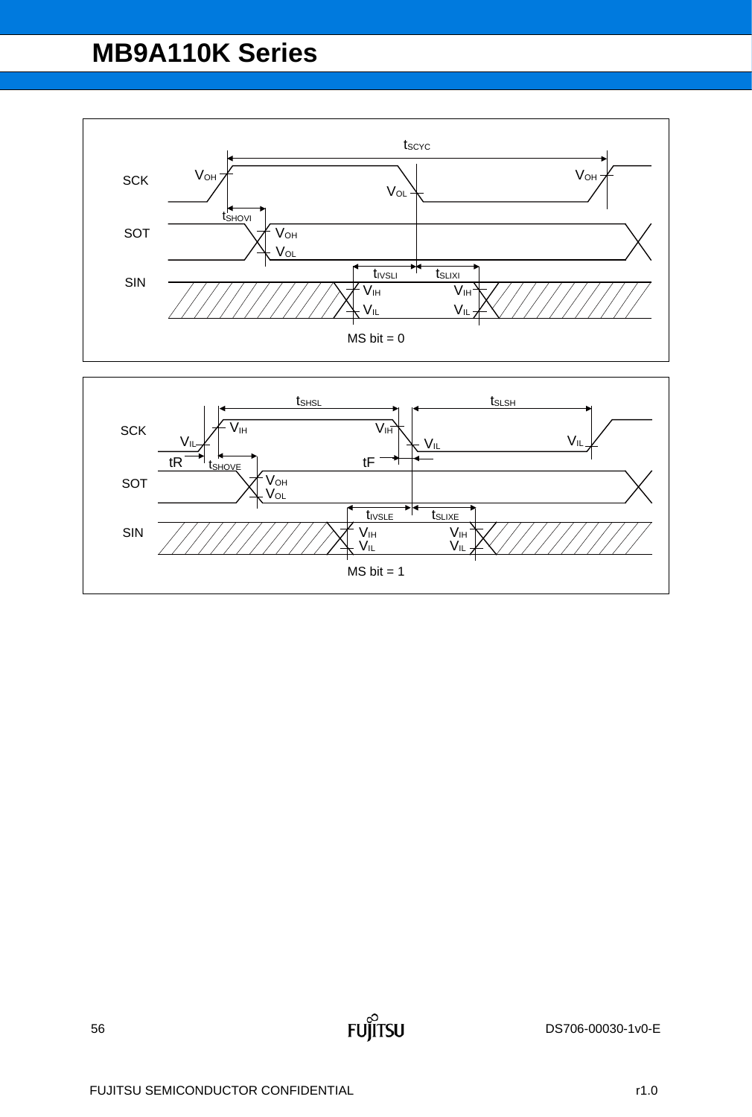

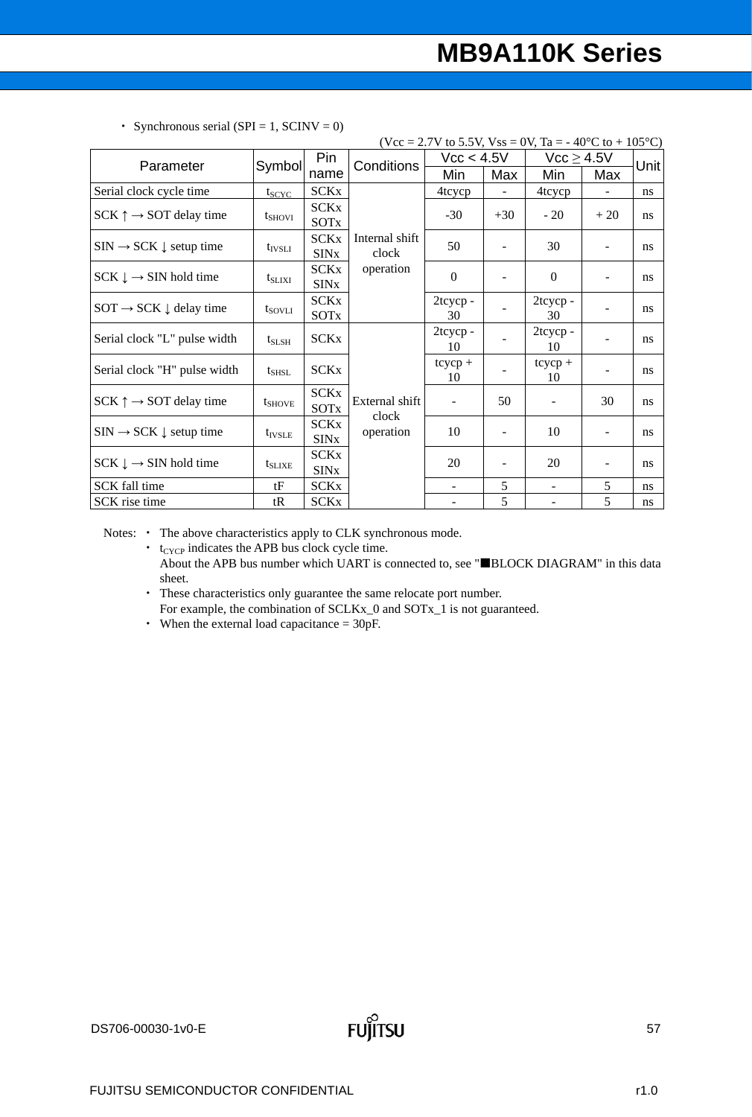|                                                           |                    |                                       |                         | (Vcc = 2.7V to 5.5V, Vss = 0V, Ta = - 40 <sup>o</sup> C to + 105 <sup>o</sup> C) |                          |                          |                          |               |
|-----------------------------------------------------------|--------------------|---------------------------------------|-------------------------|----------------------------------------------------------------------------------|--------------------------|--------------------------|--------------------------|---------------|
| Parameter                                                 | Symbol             | Pin                                   | Conditions              | Vcc < 4.5V                                                                       |                          | $Vcc \geq 4.5V$          |                          | Unit          |
|                                                           |                    | name                                  |                         | Min                                                                              | Max                      | Min                      | Max                      |               |
| Serial clock cycle time                                   | $t_{SCYC}$         | <b>SCKx</b>                           |                         | 4tcycp                                                                           |                          | 4tcycp                   |                          | <sub>ns</sub> |
| $SCK \uparrow \rightarrow SOT$ delay time                 | $t_{\rm SHOVI}$    | <b>SCKx</b><br><b>SOTx</b>            |                         | $-30$                                                                            | $+30$                    | $-20$                    | $+20$                    | ns            |
| $SIN \rightarrow SCK \downarrow$ setup time               | $t_{IVSLI}$        | <b>SCKx</b><br><b>SIN<sub>x</sub></b> | Internal shift<br>clock | 50                                                                               |                          | 30                       | $\blacksquare$           | ns            |
| $SCK \downarrow \rightarrow SIN$ hold time                | $t_{\rm SLIXI}$    | <b>SCKx</b><br><b>SIN<sub>x</sub></b> | operation               | $\Omega$                                                                         |                          | $\mathbf{0}$             |                          | ns            |
| $SOT \rightarrow SCK \downarrow$ delay time               | $t_{\text{SOVLI}}$ | <b>SCKx</b><br>SOTx                   |                         | 2tcycp-<br>30                                                                    |                          | 2tcycp-<br>30            |                          | ns            |
| Serial clock "L" pulse width                              | $t_{SLSH}$         | <b>SCKx</b>                           |                         | 2tcycp-<br>10                                                                    |                          | 2tcycp-<br>10            |                          | ns            |
| Serial clock "H" pulse width                              | $t_{SHSL}$         | <b>SCKx</b>                           |                         | $tcycp +$<br>10                                                                  |                          | $tcycp +$<br>10          | $\overline{\phantom{a}}$ | ns            |
| $SCK \uparrow \rightarrow SOT$ delay time                 | $t_{SHOVE}$        | <b>SCKx</b><br><b>SOTx</b>            | External shift<br>clock | $\blacksquare$                                                                   | 50                       | $\overline{\phantom{a}}$ | 30                       | ns            |
| $\text{SIN} \rightarrow \text{SCK} \downarrow$ setup time | $t_{IVSLE}$        | <b>SCKx</b><br><b>SIN<sub>x</sub></b> | operation               | 10                                                                               | $\overline{\phantom{0}}$ | 10                       | $\overline{\phantom{a}}$ | ns            |
| $SCK \downarrow \rightarrow SIN$ hold time                | $t_{SLIXE}$        | <b>SCKx</b><br><b>SIN<sub>x</sub></b> |                         | 20                                                                               |                          | 20                       | $\overline{\phantom{0}}$ | ns            |
| SCK fall time                                             | tF                 | <b>SCKx</b>                           |                         | $\overline{\phantom{a}}$                                                         | 5                        | $\blacksquare$           | 5                        | ns            |
| SCK rise time                                             | tR                 | <b>SCKx</b>                           |                         |                                                                                  | 5                        | $\qquad \qquad -$        | 5                        | ns            |

• Synchronous serial (SPI = 1, SCINV = 0)

Notes: • The above characteristics apply to CLK synchronous mode.

 $\cdot$  t<sub>CYCP</sub> indicates the APB bus clock cycle time. About the APB bus number which UART is connected to, see "BLOCK DIAGRAM" in this data sheet.

 These characteristics only guarantee the same relocate port number. For example, the combination of SCLKx\_0 and SOTx\_1 is not guaranteed.

When the external load capacitance = 30pF.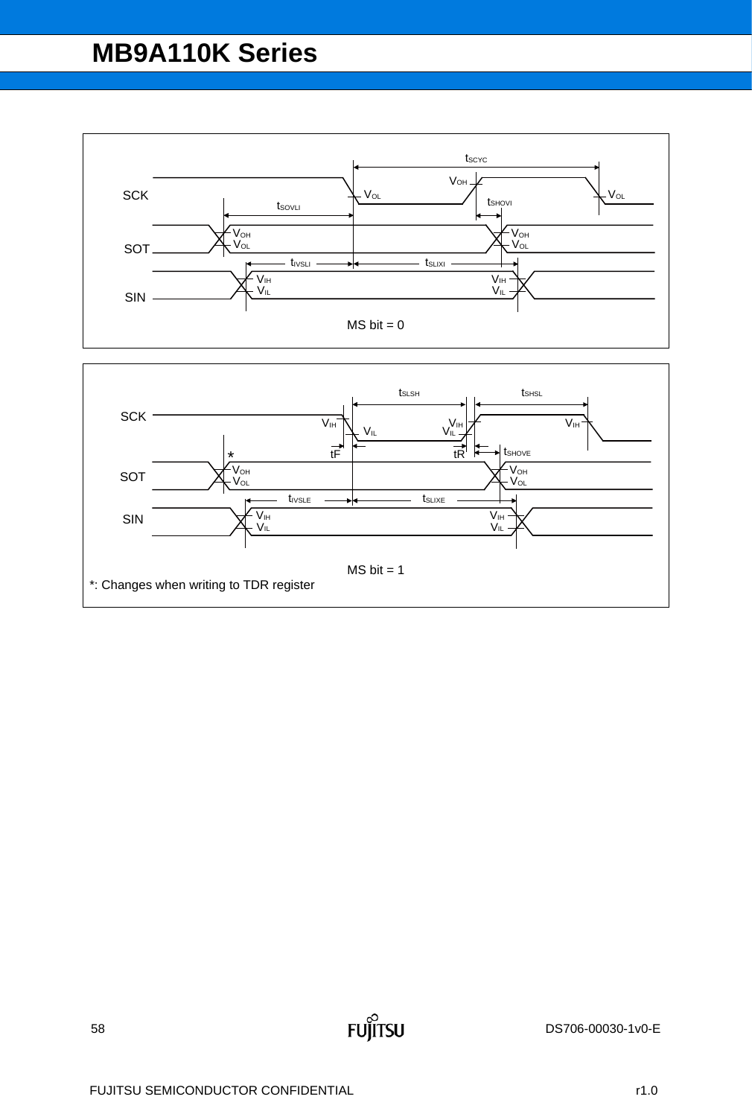

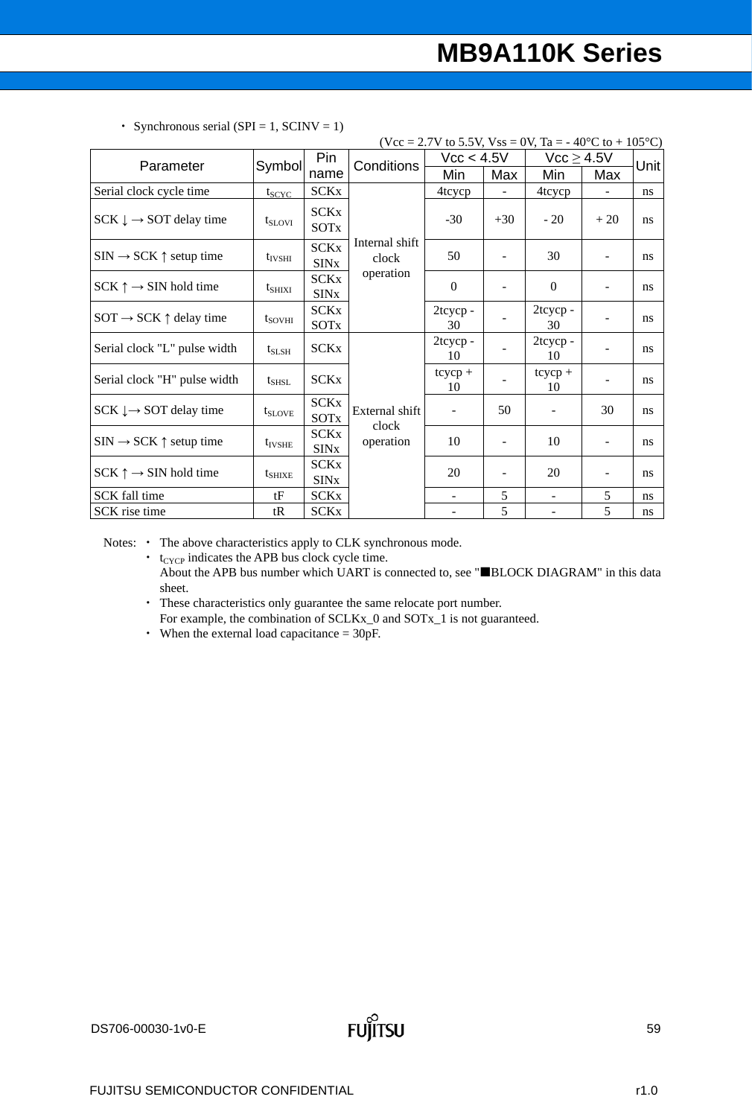|                                                         |                 |                                       |                         | (Vcc = 2.7V to 5.5V, Vss = 0V, Ta = - 40 <sup>o</sup> C to + 105 <sup>o</sup> C) |                            |                          |                          |               |
|---------------------------------------------------------|-----------------|---------------------------------------|-------------------------|----------------------------------------------------------------------------------|----------------------------|--------------------------|--------------------------|---------------|
| Parameter                                               | Symbol          | Pin                                   | Conditions              |                                                                                  | $\text{Vcc} < 4.5\text{V}$ | $Vcc \geq 4.5V$          |                          | Unit          |
|                                                         |                 | name                                  |                         | Min                                                                              | Max                        | Min                      | Max                      |               |
| Serial clock cycle time                                 | $t_{SCYC}$      | <b>SCKx</b>                           |                         | 4tcycp                                                                           |                            | 4tcycp                   |                          | ns            |
| $SCK \downarrow \rightarrow SOT$ delay time             | $t_{SLOVI}$     | <b>SCKx</b><br><b>SOT<sub>x</sub></b> |                         | $-30$                                                                            | $+30$                      | $-20$                    | $+20$                    | <sub>ns</sub> |
| $\text{SIN} \rightarrow \text{SCK} \uparrow$ setup time | $t_{IVSHI}$     | <b>SCKx</b><br><b>SIN<sub>x</sub></b> | Internal shift<br>clock | 50                                                                               |                            | 30                       | $\overline{\phantom{a}}$ | ns            |
| $SCK \uparrow \rightarrow SIN$ hold time                | $t_{SHIXI}$     | <b>SCKx</b><br><b>SIN<sub>x</sub></b> | operation               | $\Omega$                                                                         | $\overline{\phantom{0}}$   | $\mathbf{0}$             | $\overline{\phantom{a}}$ | ns            |
| $SOT \rightarrow SCK \uparrow$ delay time               | $t_{\rm SOVHI}$ | <b>SCKx</b><br><b>SOT<sub>x</sub></b> |                         | 2tcycp-<br>30                                                                    |                            | 2tcycp-<br>30            | $\overline{\phantom{a}}$ | ns            |
| Serial clock "L" pulse width                            | $t_{SLSH}$      | <b>SCKx</b>                           |                         | 2tcycp-<br>10                                                                    |                            | 2tcycp-<br>10            | $\overline{\phantom{a}}$ | ns            |
| Serial clock "H" pulse width                            | $t_{SHSL}$      | <b>SCKx</b>                           |                         | $tcycp +$<br>10                                                                  |                            | $tcycp +$<br>10          | $\overline{\phantom{a}}$ | ns            |
| $SCK \downarrow \rightarrow SOT$ delay time             | $t_{SLOVE}$     | <b>SCKx</b><br>SOTx                   | External shift<br>clock |                                                                                  | 50                         | $\overline{\phantom{a}}$ | 30                       | ns            |
| $\text{SIN} \rightarrow \text{SCK} \uparrow$ setup time | $t_{IVSHE}$     | <b>SCKx</b><br><b>SIN<sub>x</sub></b> | operation               | 10                                                                               | $\overline{\phantom{a}}$   | 10                       | $\overline{\phantom{a}}$ | ns            |
| $SCK \uparrow \rightarrow SIN$ hold time                | $t_{SHIXE}$     | <b>SCKx</b><br><b>SIN<sub>x</sub></b> |                         | 20                                                                               | -                          | 20                       | -                        | ns            |
| SCK fall time                                           | tF              | <b>SCKx</b>                           |                         |                                                                                  | 5                          | $\overline{\phantom{0}}$ | 5                        | ns            |
| SCK rise time                                           | tR              | <b>SCKx</b>                           |                         |                                                                                  | 5                          |                          | 5                        | ns            |

• Synchronous serial (SPI = 1, SCINV = 1)

Notes: • The above characteristics apply to CLK synchronous mode.

 $\cdot$  t<sub>CYCP</sub> indicates the APB bus clock cycle time. About the APB bus number which UART is connected to, see "BLOCK DIAGRAM" in this data sheet.

- These characteristics only guarantee the same relocate port number. For example, the combination of SCLKx\_0 and SOTx\_1 is not guaranteed.
- When the external load capacitance = 30pF.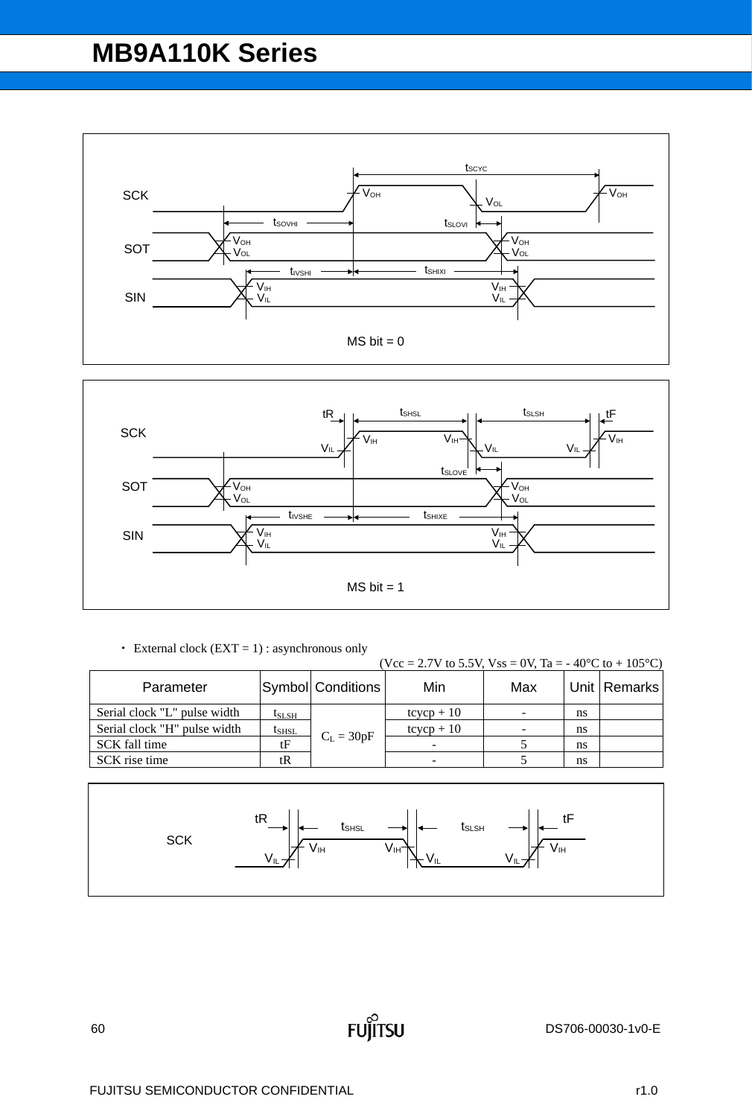



 $\cdot$  External clock (EXT = 1) : asynchronous only

|                              |            |                   | (Vcc = 2.7V to 5.5V, Vss = 0V, Ta = -40°C to + 105°C) |     |    |                |
|------------------------------|------------|-------------------|-------------------------------------------------------|-----|----|----------------|
| Parameter                    |            | Symbol Conditions | Min                                                   | Max |    | Unit   Remarks |
| Serial clock "L" pulse width | $t_{SLSH}$ |                   | $tcycp + 10$                                          |     | ns |                |
| Serial clock "H" pulse width | $t_{SHSL}$ | $C_L = 30pF$      | $tcycp + 10$                                          |     | ns |                |
| SCK fall time                | tF         |                   |                                                       |     | ns |                |
| SCK rise time                | tR         |                   |                                                       |     | ns |                |

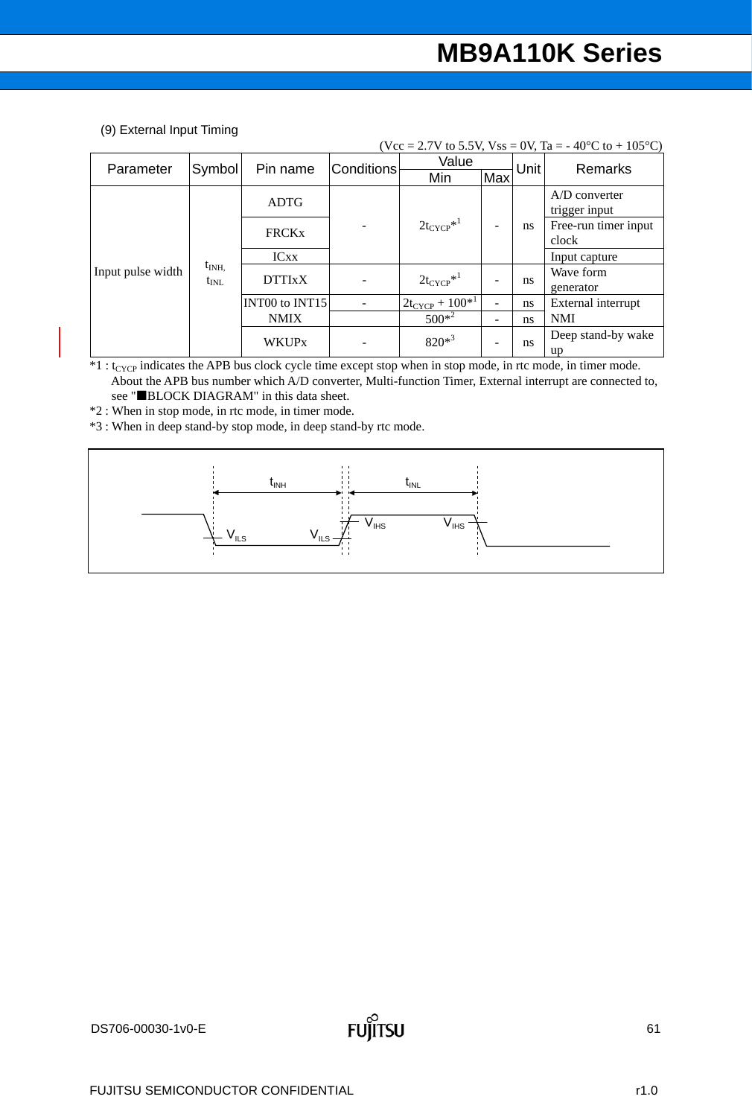(9) External Input Timing

|                   |               |                |                   |                        |     |      | (Vcc = 2.7V to 5.5V, Vss = 0V, Ta = - 40 <sup>o</sup> C to + 105 <sup>o</sup> C) |  |
|-------------------|---------------|----------------|-------------------|------------------------|-----|------|----------------------------------------------------------------------------------|--|
| Parameter         | Symbol        | Pin name       | <b>Conditions</b> | Value                  |     | Unit | Remarks                                                                          |  |
|                   |               |                |                   | Min                    | Max |      |                                                                                  |  |
|                   |               | <b>ADTG</b>    |                   |                        |     |      | A/D converter                                                                    |  |
|                   |               |                |                   |                        |     |      | trigger input                                                                    |  |
|                   |               | <b>FRCKx</b>   |                   | $2t_{CYCP}^{*1}$       |     | ns   | Free-run timer input                                                             |  |
|                   |               |                |                   |                        |     |      | clock                                                                            |  |
|                   |               | <b>ICxx</b>    |                   |                        |     |      | Input capture                                                                    |  |
| Input pulse width | $t_{\rm INH}$ | <b>DTTIxX</b>  |                   | $2t_{CYCP}^{*1}$       |     |      | Wave form                                                                        |  |
|                   | $t_{\rm INL}$ |                |                   |                        |     | ns   | generator                                                                        |  |
|                   |               | INT00 to INT15 |                   | $2t_{CYCP} + 100^{*1}$ |     | ns   | External interrupt                                                               |  |
|                   |               | <b>NMIX</b>    |                   | $500*^2$               |     | ns   | <b>NMI</b>                                                                       |  |
|                   |               | <b>WKUPx</b>   |                   | $820*^3$               |     |      | Deep stand-by wake                                                               |  |
|                   |               |                |                   |                        |     | ns   | up                                                                               |  |

 $*1:$  t<sub>CYCP</sub> indicates the APB bus clock cycle time except stop when in stop mode, in rtc mode, in timer mode. About the APB bus number which A/D converter, Multi-function Timer, External interrupt are connected to, see "BLOCK DIAGRAM" in this data sheet.

\*2 : When in stop mode, in rtc mode, in timer mode.

\*3 : When in deep stand-by stop mode, in deep stand-by rtc mode.

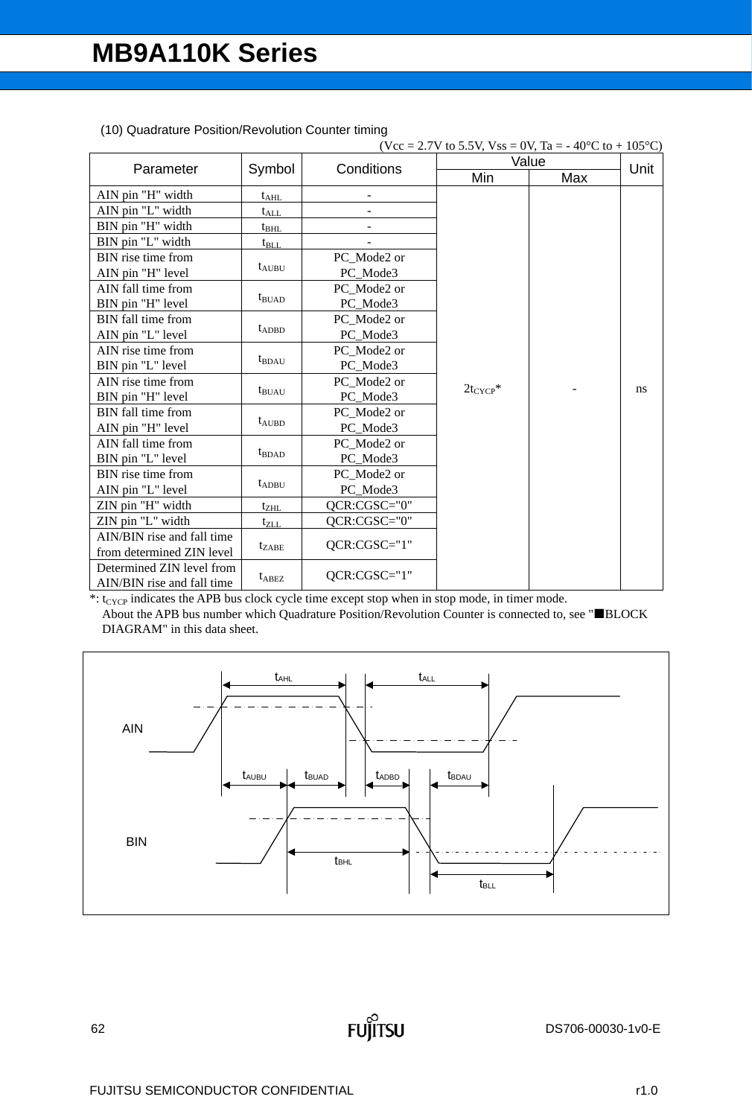|                            |                   |                 | (Vcc = 2.7V to 5.5V, Vss = 0V, Ta = -40°C to + 105°C) |       |      |
|----------------------------|-------------------|-----------------|-------------------------------------------------------|-------|------|
| Parameter                  | Symbol            | Conditions      |                                                       | Value | Unit |
|                            |                   |                 | Min                                                   | Max   |      |
| AIN pin "H" width          | $t_{\text{AHL}}$  |                 |                                                       |       |      |
| AIN pin "L" width          | $t_{ALL}$         |                 |                                                       |       |      |
| BIN pin "H" width          | $t_{\rm BHL}$     |                 |                                                       |       |      |
| BIN pin "L" width          | $t_{\rm BLL}$     |                 |                                                       |       |      |
| BIN rise time from         |                   | PC Mode2 or     |                                                       |       |      |
| AIN pin "H" level          | $t_{AUBU}$        | PC Mode3        |                                                       |       |      |
| AIN fall time from         |                   | PC Mode2 or     |                                                       |       |      |
| BIN pin "H" level          | $t_{\text{BUAD}}$ | PC_Mode3        |                                                       |       |      |
| BIN fall time from         |                   | PC Mode2 or     |                                                       |       |      |
| AIN pin "L" level          | $t_{ADBD}$        | PC_Mode3        |                                                       |       |      |
| AIN rise time from         |                   | PC Mode2 or     |                                                       |       |      |
| BIN pin "L" level          | $t_{\text{BDAU}}$ | PC_Mode3        |                                                       |       |      |
| AIN rise time from         |                   | PC Mode2 or     | $2t_{CYCP}$ *                                         |       | ns   |
| BIN pin "H" level          | $t_{BUAU}$        | PC_Mode3        |                                                       |       |      |
| BIN fall time from         |                   | PC Mode2 or     |                                                       |       |      |
| AIN pin "H" level          | $t_{AUBD}$        | PC_Mode3        |                                                       |       |      |
| AIN fall time from         |                   | PC Mode2 or     |                                                       |       |      |
| BIN pin "L" level          | $t_{\text{BDAD}}$ | PC_Mode3        |                                                       |       |      |
| BIN rise time from         |                   | PC_Mode2 or     |                                                       |       |      |
| AIN pin "L" level          | $t_{ADBU}$        | PC_Mode3        |                                                       |       |      |
| ZIN pin "H" width          | $t_{ZHL}$         | QCR:CGSC="0"    |                                                       |       |      |
| ZIN pin "L" width          | $t_{ZLL}$         | QCR:CGSC="0"    |                                                       |       |      |
| AIN/BIN rise and fall time |                   | QCR:CGSC="1"    |                                                       |       |      |
| from determined ZIN level  | $t_{ZABE}$        |                 |                                                       |       |      |
| Determined ZIN level from  | $t_{\rm ABEZ}$    | $QCR: CGSC="1"$ |                                                       |       |      |
| AIN/BIN rise and fall time |                   |                 |                                                       |       |      |

(10) Quadrature Position/Revolution Counter timing

 $*$ : t<sub>CYCP</sub> indicates the APB bus clock cycle time except stop when in stop mode, in timer mode. About the APB bus number which Quadrature Position/Revolution Counter is connected to, see "BLOCK DIAGRAM" in this data sheet.

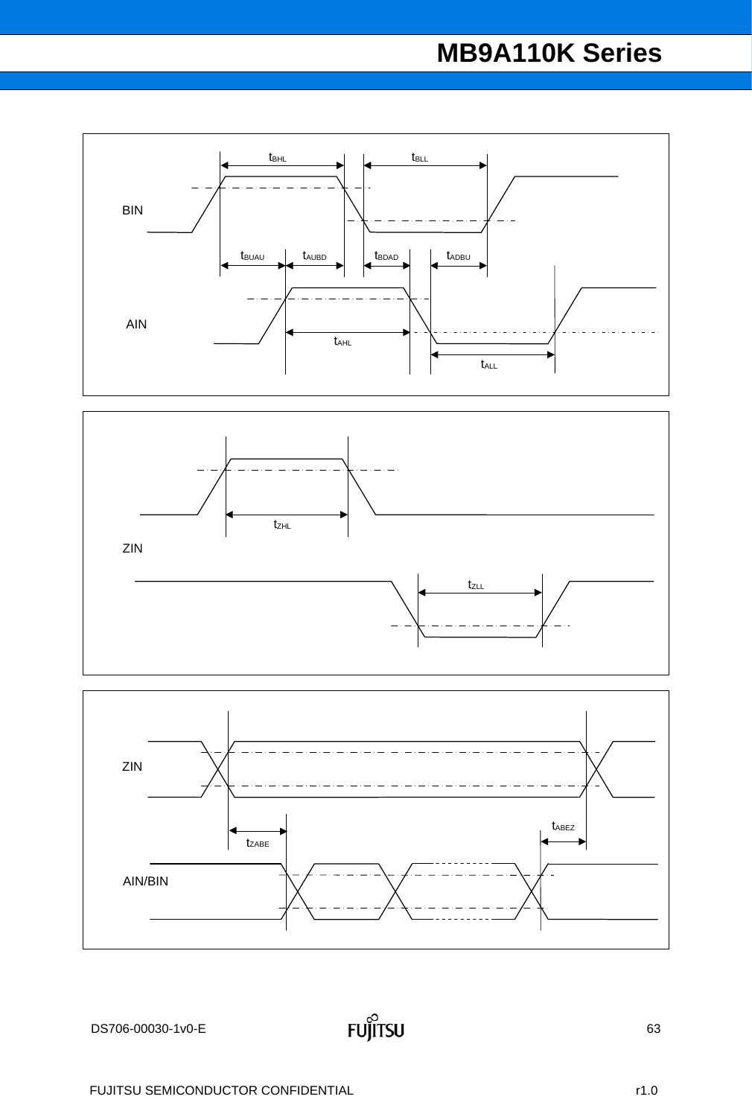



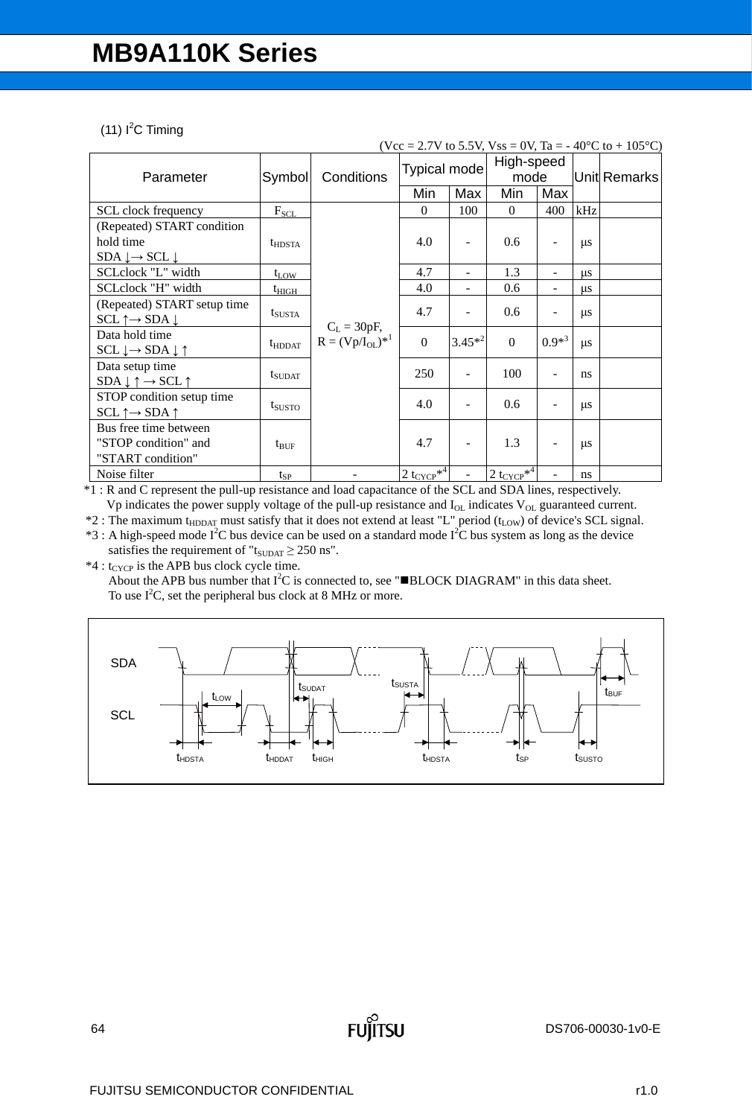#### $(11)$  l<sup>2</sup>C Timing

|                                                      |                    |                                         |                           |           |                                            |                          |               | (Vcc = 2.7V to 5.5V, Vss = 0V, Ta = -40°C to + 105°C) |
|------------------------------------------------------|--------------------|-----------------------------------------|---------------------------|-----------|--------------------------------------------|--------------------------|---------------|-------------------------------------------------------|
| Parameter                                            | Symbol             | Conditions                              | Typical mode              |           | High-speed<br>mode                         |                          |               | Unit Remarks                                          |
|                                                      |                    |                                         | Min                       | Max       | Min                                        | Max                      |               |                                                       |
| SCL clock frequency                                  | $F_{SCL}$          |                                         | $\Omega$                  | 100       | $\Omega$                                   | 400                      | kHz           |                                                       |
| (Repeated) START condition                           |                    |                                         |                           |           |                                            |                          |               |                                                       |
| hold time                                            | $t_{\text{HDSTA}}$ |                                         | 4.0                       | ۰         | 0.6                                        | $\overline{a}$           | $\mu$ s       |                                                       |
| $SDA \downarrow \rightarrow SCL \downarrow$          |                    |                                         |                           |           |                                            |                          |               |                                                       |
| SCLclock "L" width                                   | $t_{LOW}$          |                                         | 4.7                       |           | 1.3                                        | $\overline{\phantom{0}}$ | $\mu$ s       |                                                       |
| SCLclock "H" width                                   | $t_{\rm HIGH}$     |                                         | 4.0                       | -         | 0.6                                        | $\overline{\phantom{a}}$ | μs            |                                                       |
| (Repeated) START setup time                          |                    |                                         | 4.7                       |           | 0.6                                        |                          |               |                                                       |
| $SCL \uparrow \rightarrow SDA \downarrow$            | $t_{SUSTA}$        |                                         |                           |           |                                            | $\overline{a}$           | $\mu$ s       |                                                       |
| Data hold time                                       | $t_{HDDAT}$        | $C_L = 30pF,$<br>$R = (Vp/I_{OL})^{*1}$ | $\mathbf{0}$              | $3.45*^2$ | $\theta$                                   | $0.9*^3$                 |               |                                                       |
| $SCL \downarrow \rightarrow SDA \downarrow \uparrow$ |                    |                                         |                           |           |                                            |                          | $\mu s$       |                                                       |
| Data setup time                                      |                    |                                         | 250                       |           | 100                                        | ۰                        | ns            |                                                       |
| $SDA \downarrow \uparrow \rightarrow SCL \uparrow$   | $t_{\text{SUDAT}}$ |                                         |                           |           |                                            |                          |               |                                                       |
| STOP condition setup time                            |                    |                                         | 4.0                       |           | 0.6                                        | $\qquad \qquad -$        |               |                                                       |
| $SCL \uparrow \rightarrow SDA \uparrow$              | t <sub>susto</sub> |                                         |                           |           |                                            |                          | $\mu$ s       |                                                       |
| Bus free time between                                |                    |                                         |                           |           |                                            |                          |               |                                                       |
| "STOP condition" and                                 | $t_{\text{BUF}}$   |                                         | 4.7                       | -         | 1.3                                        | $\overline{\phantom{a}}$ | $\mu$ s       |                                                       |
| "START condition"                                    |                    |                                         |                           |           |                                            |                          |               |                                                       |
| Noise filter                                         | $t_{SP}$           |                                         | $2t_{CYCP}$ <sup>*4</sup> |           | $2 \text{ t}_{\text{CYCP}}$ * <sup>4</sup> |                          | <sub>ns</sub> |                                                       |

\*1 : R and C represent the pull-up resistance and load capacitance of the SCL and SDA lines, respectively. Vp indicates the power supply voltage of the pull-up resistance and  $I_{OL}$  indicates  $V_{OL}$  guaranteed current.

 $*2$ : The maximum t<sub>HDDAT</sub> must satisfy that it does not extend at least "L" period (t<sub>LOW</sub>) of device's SCL signal.

 $*3$ : A high-speed mode I<sup>2</sup>C bus device can be used on a standard mode I<sup>2</sup>C bus system as long as the device satisfies the requirement of " $t_{\text{SUBAT}} \geq 250$  ns".

 $*4$  : t<sub>CYCP</sub> is the APB bus clock cycle time.

About the APB bus number that  $I^2C$  is connected to, see " $\blacksquare BLOCK$  DIAGRAM" in this data sheet. To use  $I^2C$ , set the peripheral bus clock at 8 MHz or more.

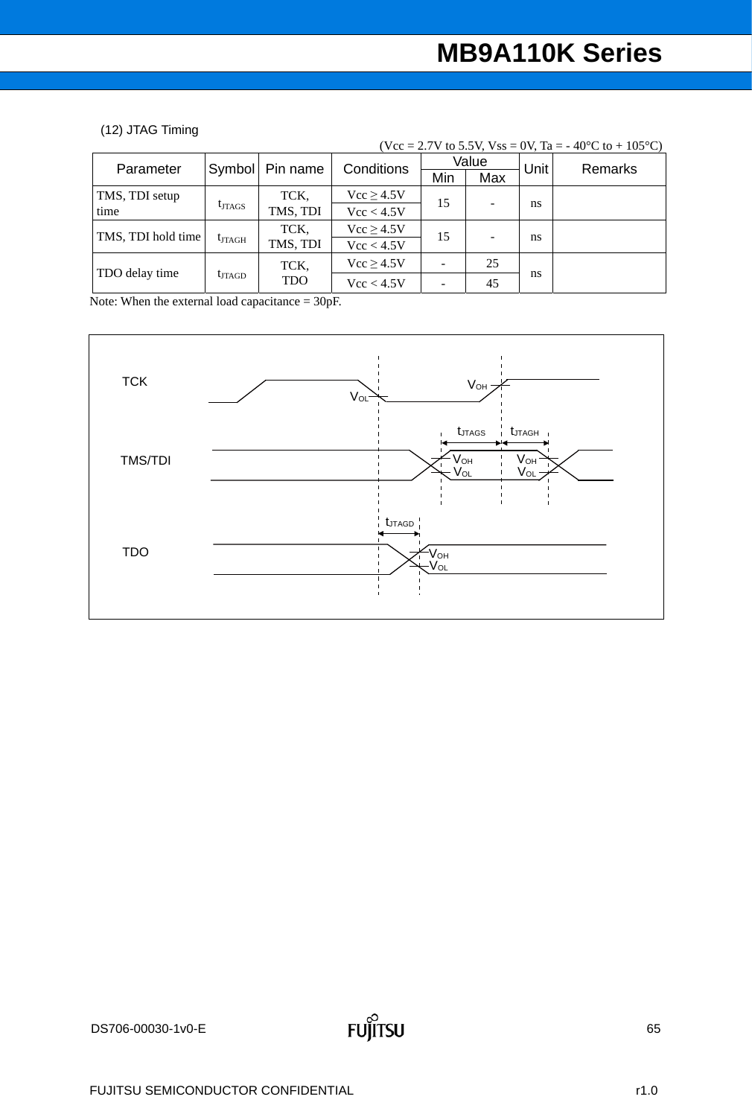#### (12) JTAG Timing

|                    |                 |            |                |     |       |      | $(Vcc = 2.7V$ to 5.5V, $Vss = 0V$ , Ta = -40°C to +105°C) |
|--------------------|-----------------|------------|----------------|-----|-------|------|-----------------------------------------------------------|
| Parameter          | Symbol          | Pin name   | Conditions     |     | Value | Unit | Remarks                                                   |
|                    |                 |            |                | Min | Max   |      |                                                           |
| TMS, TDI setup     |                 | TCK,       | $Vcc \ge 4.5V$ | 15  |       |      |                                                           |
| time               | $t_{JTAGS}$     | TMS, TDI   | Vcc < 4.5V     |     |       | ns   |                                                           |
| TMS, TDI hold time |                 | TCK,       | $Vcc \ge 4.5V$ | 15  |       |      |                                                           |
|                    | $t_{JTAGH}$     | TMS, TDI   | Vcc < 4.5V     |     |       | ns   |                                                           |
|                    |                 | TCK,       | Vcc > 4.5V     |     | 25    |      |                                                           |
| TDO delay time     | $t_{\rm JTAGD}$ | <b>TDO</b> | Vcc < 4.5V     |     | 45    | ns   |                                                           |

Note: When the external load capacitance = 30pF.

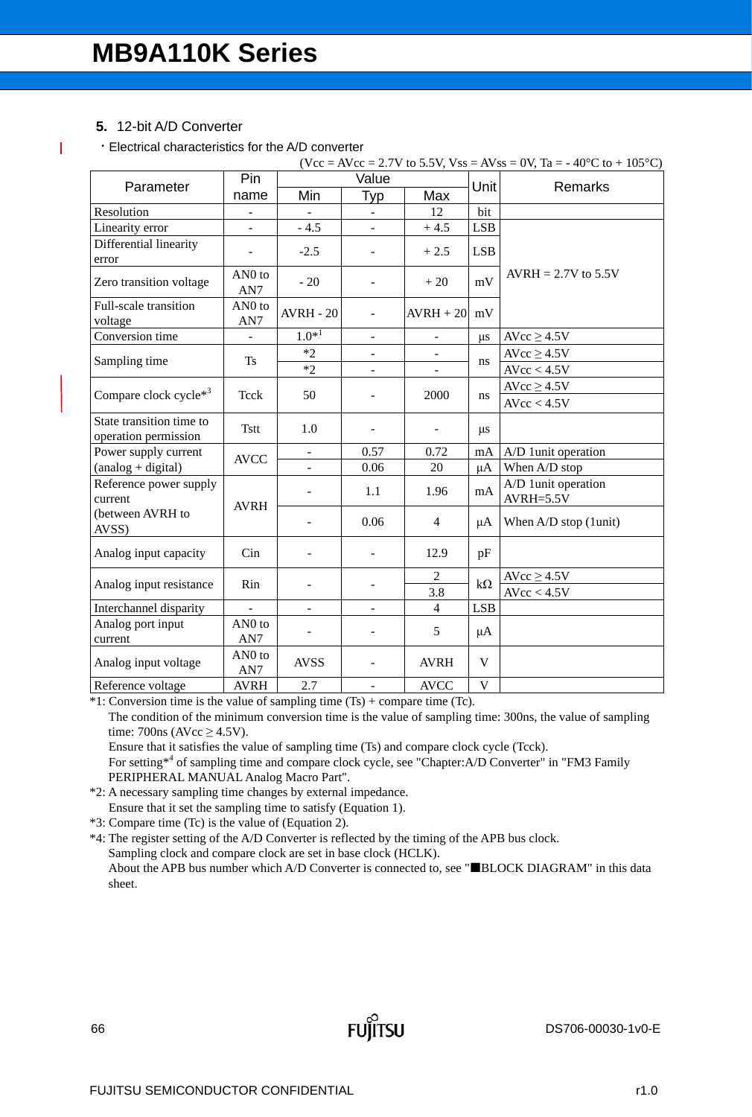### **5.** 12-bit A/D Converter

ı

Electrical characteristics for the A/D converter

|                                                  |                           |                              |                          |                              |              | $(Vcc = AVec = 2.7V$ to 5.5V, $Vss = AVss = 0V$ , Ta = -40°C to +105°C) |
|--------------------------------------------------|---------------------------|------------------------------|--------------------------|------------------------------|--------------|-------------------------------------------------------------------------|
| Parameter                                        | Pin                       |                              | Value                    |                              | Unit         | Remarks                                                                 |
|                                                  | name                      | Min                          | Typ                      | Max                          |              |                                                                         |
| Resolution                                       | $\frac{1}{2}$             | $\overline{\phantom{a}}$     | $\blacksquare$           | 12                           | bit          |                                                                         |
| Linearity error                                  | $\overline{a}$            | $-4.5$                       |                          | $+4.5$                       | <b>LSB</b>   |                                                                         |
| Differential linearity<br>error                  |                           | $-2.5$                       |                          | $+2.5$                       | <b>LSB</b>   |                                                                         |
| Zero transition voltage                          | AN <sub>0</sub> to<br>AN7 | $-20$                        | $\overline{\phantom{a}}$ | $+20$                        | mV           | $AVRH = 2.7V$ to 5.5V                                                   |
| Full-scale transition<br>voltage                 | AN <sub>0</sub> to<br>AN7 | <b>AVRH - 20</b>             | $\overline{\phantom{a}}$ | $AVRH + 20$                  | mV           |                                                                         |
| Conversion time                                  | $\blacksquare$            | $1.0*^{1}$                   |                          |                              | <b>us</b>    | $AVcc \ge 4.5V$                                                         |
|                                                  | <b>Ts</b>                 | $*2$                         |                          |                              |              | $AVcc \ge 4.5V$                                                         |
| Sampling time                                    |                           | $*2$                         | $\blacksquare$           |                              | ns           | AVcc < 4.5V                                                             |
|                                                  |                           |                              |                          |                              |              | AVcc $\geq$ 4.5V                                                        |
| Compare clock cycle*3                            | Tcck                      | 50                           |                          | 2000                         | ns           | AVcc < 4.5V                                                             |
| State transition time to<br>operation permission | <b>Tstt</b>               | 1.0                          |                          | $\qquad \qquad \blacksquare$ | $\mu s$      |                                                                         |
| Power supply current                             | <b>AVCC</b>               | $\qquad \qquad \blacksquare$ | 0.57                     | 0.72                         | mA           | A/D 1unit operation                                                     |
| (analog + digital)                               |                           |                              | 0.06                     | 20                           | $\mu A$      | When A/D stop                                                           |
| Reference power supply<br>current                | <b>AVRH</b>               |                              | 1.1                      | 1.96                         | mA           | A/D 1unit operation<br>$AVRH=5.5V$                                      |
| (between AVRH to<br>AVSS)                        |                           |                              | 0.06                     | $\overline{4}$               | μA           | When $A/D$ stop (1unit)                                                 |
| Analog input capacity                            | Cin                       | $\overline{\phantom{a}}$     |                          | 12.9                         | pF           |                                                                         |
|                                                  | Rin                       |                              |                          | $\overline{2}$               | $k\Omega$    | $AVcc \ge 4.5V$                                                         |
| Analog input resistance                          |                           |                              |                          | 3.8                          |              | AVcc < 4.5V                                                             |
| Interchannel disparity                           |                           | $\blacksquare$               |                          | $\overline{4}$               | <b>LSB</b>   |                                                                         |
| Analog port input<br>current                     | AN <sub>0</sub> to<br>AN7 | $\overline{a}$               | $\blacksquare$           | 5                            | $\mu A$      |                                                                         |
| Analog input voltage                             | AN <sub>0</sub> to<br>AN7 | <b>AVSS</b>                  | $\blacksquare$           | <b>AVRH</b>                  | V            |                                                                         |
| Reference voltage                                | <b>AVRH</b>               | 2.7                          |                          | <b>AVCC</b>                  | $\mathbf{V}$ |                                                                         |

\*1: Conversion time is the value of sampling time (Ts) + compare time (Tc). The condition of the minimum conversion time is the value of sampling time: 300ns, the value of sampling time:  $700ns$  (AVcc  $\geq 4.5V$ ).

Ensure that it satisfies the value of sampling time (Ts) and compare clock cycle (Tcck). For setting<sup>\*4</sup> of sampling time and compare clock cycle, see "Chapter:A/D Converter" in "FM3 Family

PERIPHERAL MANUAL Analog Macro Part". \*2: A necessary sampling time changes by external impedance.

Ensure that it set the sampling time to satisfy (Equation 1).

\*3: Compare time (Tc) is the value of (Equation 2).

\*4: The register setting of the A/D Converter is reflected by the timing of the APB bus clock. Sampling clock and compare clock are set in base clock (HCLK). About the APB bus number which A/D Converter is connected to, see "BLOCK DIAGRAM" in this data sheet.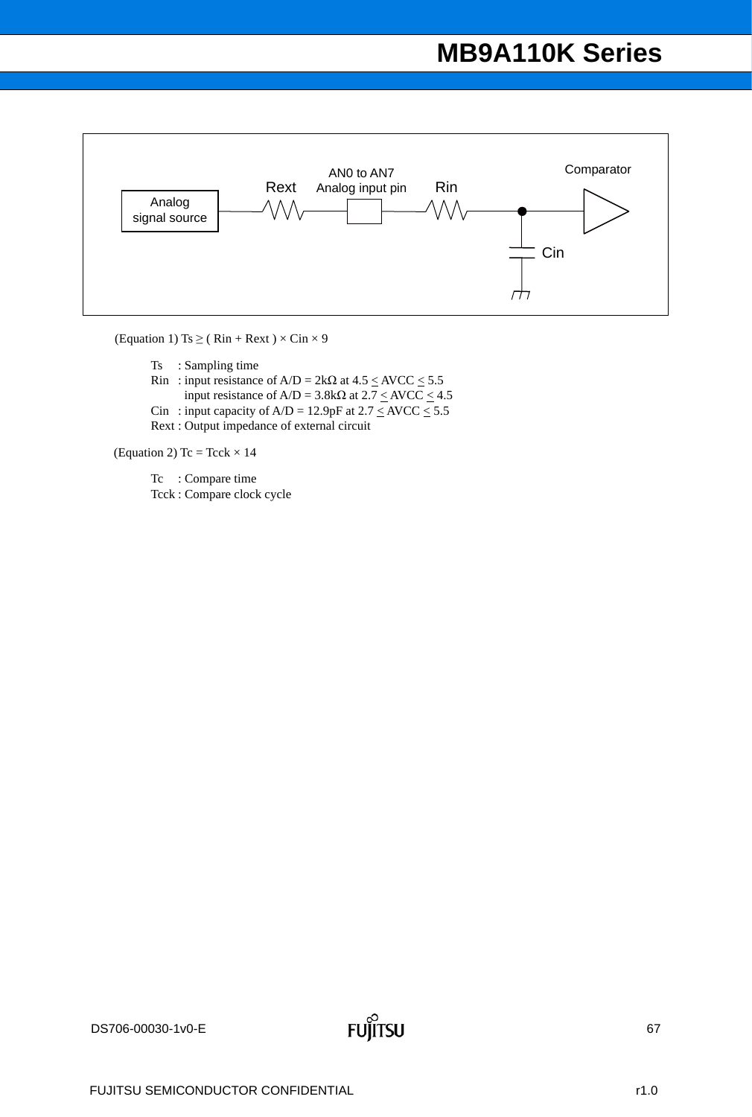

(Equation 1) Ts  $\geq$  (Rin + Rext)  $\times$  Cin  $\times$  9

Ts : Sampling time

- Rin : input resistance of  $A/D = 2k\Omega$  at  $4.5 \leq AVCC \leq 5.5$ input resistance of  $A/D = 3.8k\Omega$  at  $2.7 \leq AVCC \leq 4.5$
- Cin : input capacity of  $A/D = 12.9pF$  at  $2.7 \leq AVCC \leq 5.5$

Rext : Output impedance of external circuit

(Equation 2) Tc = Tcck  $\times$  14

Tc : Compare time Tcck : Compare clock cycle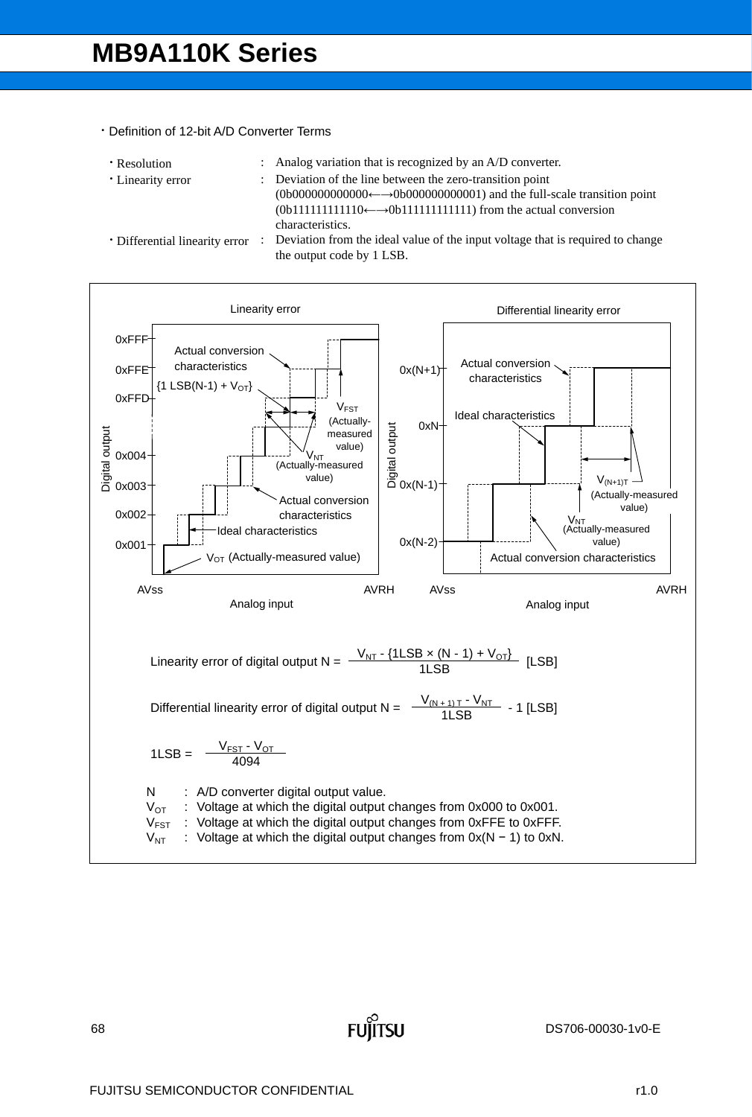- Definition of 12-bit A/D Converter Terms
	-
	-
	- Resolution : Analog variation that is recognized by an A/D converter.
	-
	- Linearity error : Deviation of the line between the zero-transition point
		- $(0b00000000000 \leftarrow \rightarrow 0b000000000001)$  and the full-scale transition point (0b111111111110←→0b111111111111) from the actual conversion characteristics.
	-
	- Differential linearity error : Deviation from the ideal value of the input voltage that is required to change the output code by 1 LSB.

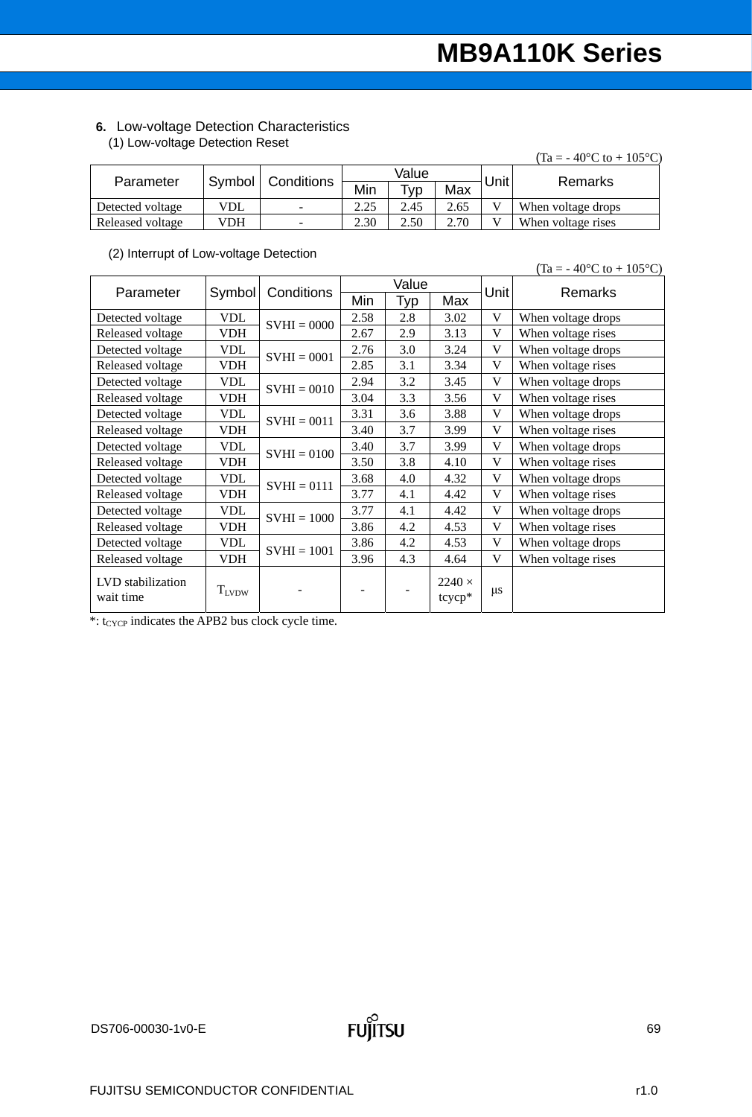### **6.** Low-voltage Detection Characteristics

(1) Low-voltage Detection Reset

|                  |                     |                          |      |       |      |             | $(Ta = -40^{\circ}C \text{ to } + 105^{\circ}C)$ |  |
|------------------|---------------------|--------------------------|------|-------|------|-------------|--------------------------------------------------|--|
|                  | Symbol   Conditions |                          |      | Value |      | <b>Unit</b> | Remarks                                          |  |
| Parameter        |                     |                          | Min  | ⊤ур⊣  | Max  |             |                                                  |  |
| Detected voltage | VDL                 | $\sim$                   | 2.25 | 2.45  | 2.65 |             | When voltage drops                               |  |
| Released voltage | VDH                 | $\overline{\phantom{a}}$ | 2.30 | 2.50  | 2.70 |             | When voltage rises                               |  |

#### (2) Interrupt of Low-voltage Detection

 $(Ta = -40^{\circ}C \text{ to } + 105^{\circ}C)$ 

| Parameter                      | Symbol     |               | Value<br>Conditions |     |                         | Unit        | Remarks            |  |
|--------------------------------|------------|---------------|---------------------|-----|-------------------------|-------------|--------------------|--|
|                                |            |               | Min                 | Typ | Max                     |             |                    |  |
| Detected voltage               | <b>VDL</b> | $SVHI = 0000$ | 2.58                | 2.8 | 3.02                    | V           | When voltage drops |  |
| Released voltage               | <b>VDH</b> |               | 2.67                | 2.9 | 3.13                    | V           | When voltage rises |  |
| Detected voltage               | <b>VDL</b> | $SVHI = 0001$ | 2.76                | 3.0 | 3.24                    | V           | When voltage drops |  |
| Released voltage               | <b>VDH</b> |               | 2.85                | 3.1 | 3.34                    | V           | When voltage rises |  |
| Detected voltage               | <b>VDL</b> | $SVHI = 0010$ | 2.94                | 3.2 | 3.45                    | $\mathbf V$ | When voltage drops |  |
| Released voltage               | <b>VDH</b> |               | 3.04                | 3.3 | 3.56                    | V           | When voltage rises |  |
| Detected voltage               | <b>VDL</b> | $SVHI = 0011$ | 3.31                | 3.6 | 3.88                    | V           | When voltage drops |  |
| Released voltage               | <b>VDH</b> |               | 3.40                | 3.7 | 3.99                    | V           | When voltage rises |  |
| Detected voltage               | <b>VDL</b> | $SVHI = 0100$ | 3.40                | 3.7 | 3.99                    | V           | When voltage drops |  |
| Released voltage               | VDH        |               | 3.50                | 3.8 | 4.10                    | V           | When voltage rises |  |
| Detected voltage               | <b>VDL</b> | $SVHI = 0111$ | 3.68                | 4.0 | 4.32                    | V           | When voltage drops |  |
| Released voltage               | <b>VDH</b> |               | 3.77                | 4.1 | 4.42                    | V           | When voltage rises |  |
| Detected voltage               | <b>VDL</b> | $SVHI = 1000$ | 3.77                | 4.1 | 4.42                    | V           | When voltage drops |  |
| Released voltage               | <b>VDH</b> |               | 3.86                | 4.2 | 4.53                    | V           | When voltage rises |  |
| Detected voltage               | <b>VDL</b> | $SVHI = 1001$ | 3.86                | 4.2 | 4.53                    | V           | When voltage drops |  |
| Released voltage               | <b>VDH</b> |               | 3.96                | 4.3 | 4.64                    | V           | When voltage rises |  |
| LVD stabilization<br>wait time | $T_{LVDW}$ |               |                     |     | $2240 \times$<br>tcycp* | $\mu$ s     |                    |  |

 $*$ : t<sub>CYCP</sub> indicates the APB2 bus clock cycle time.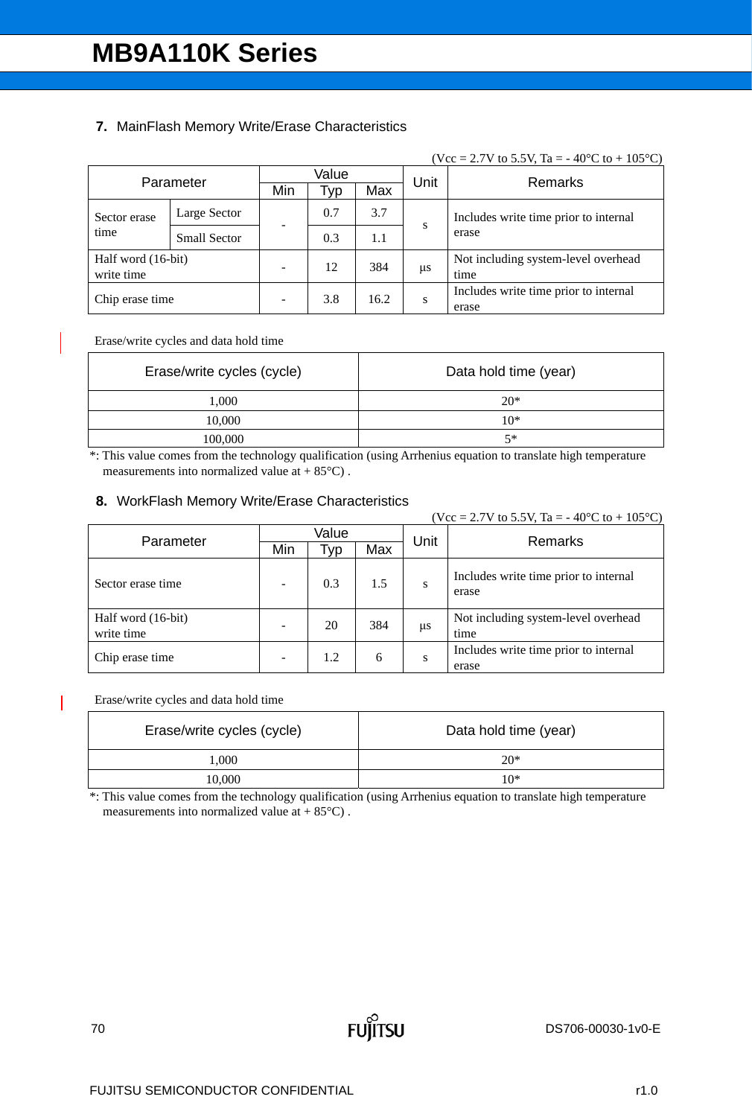### **7.** MainFlash Memory Write/Erase Characteristics

#### (Vcc = 2.7V to 5.5V, Ta = -40°C to + 105°C)

|                                  | Parameter           | Value                    |      |      | Unit | Remarks                                        |  |  |
|----------------------------------|---------------------|--------------------------|------|------|------|------------------------------------------------|--|--|
|                                  |                     | Min                      | l yp | Max  |      |                                                |  |  |
| Sector erase                     | Large Sector        |                          | 0.7  | 3.7  |      | Includes write time prior to internal          |  |  |
| time                             | <b>Small Sector</b> |                          | 0.3  | 1.1  | S    | erase                                          |  |  |
| Half word (16-bit)<br>write time |                     | $\overline{\phantom{a}}$ | 12   | 384  | μs   | Not including system-level overhead<br>time    |  |  |
| Chip erase time                  |                     | $\overline{\phantom{a}}$ | 3.8  | 16.2 | S    | Includes write time prior to internal<br>erase |  |  |

Erase/write cycles and data hold time

| Erase/write cycles (cycle) | Data hold time (year) |
|----------------------------|-----------------------|
| 1,000                      | $20*$                 |
| 10,000                     | $10*$                 |
| 100,000                    | $5*$                  |

\*: This value comes from the technology qualification (using Arrhenius equation to translate high temperature measurements into normalized value at  $+ 85^{\circ}$ C).

### **8.** WorkFlash Memory Write/Erase Characteristics

|                                  |       |     |     |      | (Vcc = 2.7V to 5.5V, Ta = -40°C to + 105°C)    |
|----------------------------------|-------|-----|-----|------|------------------------------------------------|
| Parameter                        | Value |     |     | Unit | Remarks                                        |
|                                  | Min   | Typ | Max |      |                                                |
| Sector erase time                |       | 0.3 | 1.5 | S    | Includes write time prior to internal<br>erase |
| Half word (16-bit)<br>write time |       | 20  | 384 | μs   | Not including system-level overhead<br>time    |
| Chip erase time                  | ۰     | 1.2 | 6   | S    | Includes write time prior to internal<br>erase |

#### Erase/write cycles and data hold time

| Erase/write cycles (cycle) | Data hold time (year) |
|----------------------------|-----------------------|
| 1.000                      | $20*$                 |
| 10,000                     | $10*$                 |

\*: This value comes from the technology qualification (using Arrhenius equation to translate high temperature measurements into normalized value at  $+ 85^{\circ}$ C).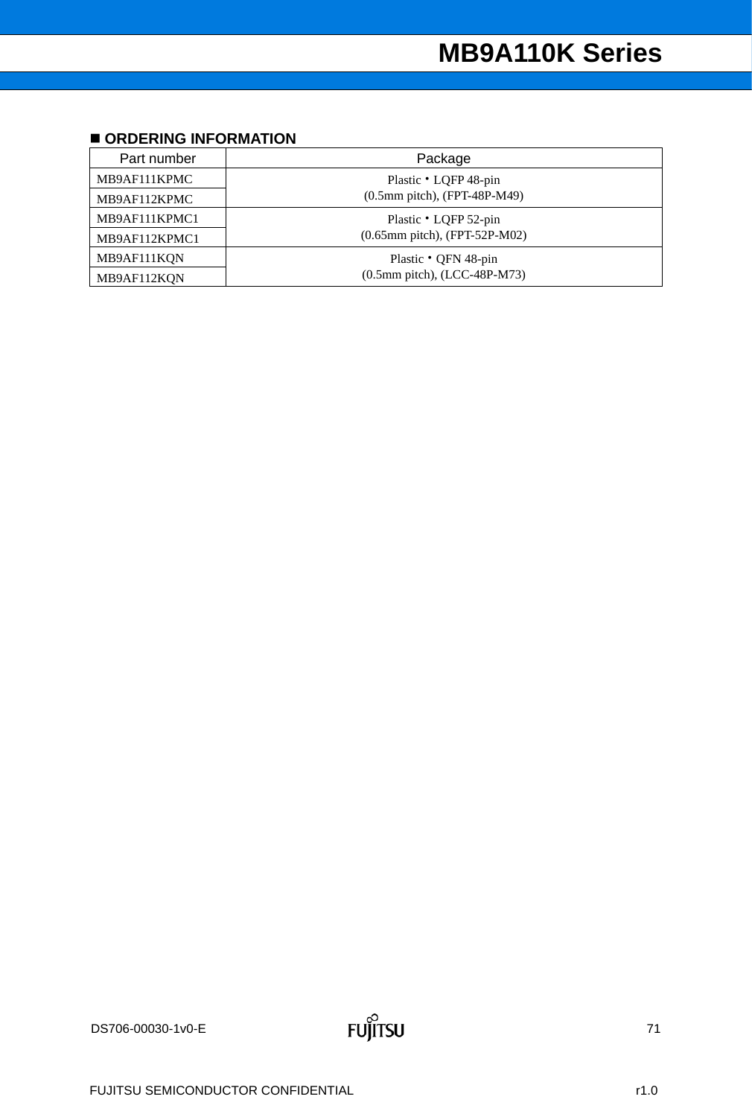# **ORDERING INFORMATION**

| Part number   | Package                                   |  |
|---------------|-------------------------------------------|--|
| MB9AF111KPMC  | Plastic • LQFP 48-pin                     |  |
| MB9AF112KPMC  | $(0.5 \text{mm pitch})$ , (FPT-48P-M49)   |  |
| MB9AF111KPMC1 | Plastic • LQFP 52-pin                     |  |
| MB9AF112KPMC1 | $(0.65$ mm pitch), (FPT-52P-M02)          |  |
| MB9AF111KQN   | Plastic • QFN 48-pin                      |  |
| MB9AF112KQN   | $(0.5 \text{mm pitch})$ , $(ICC-48P-M73)$ |  |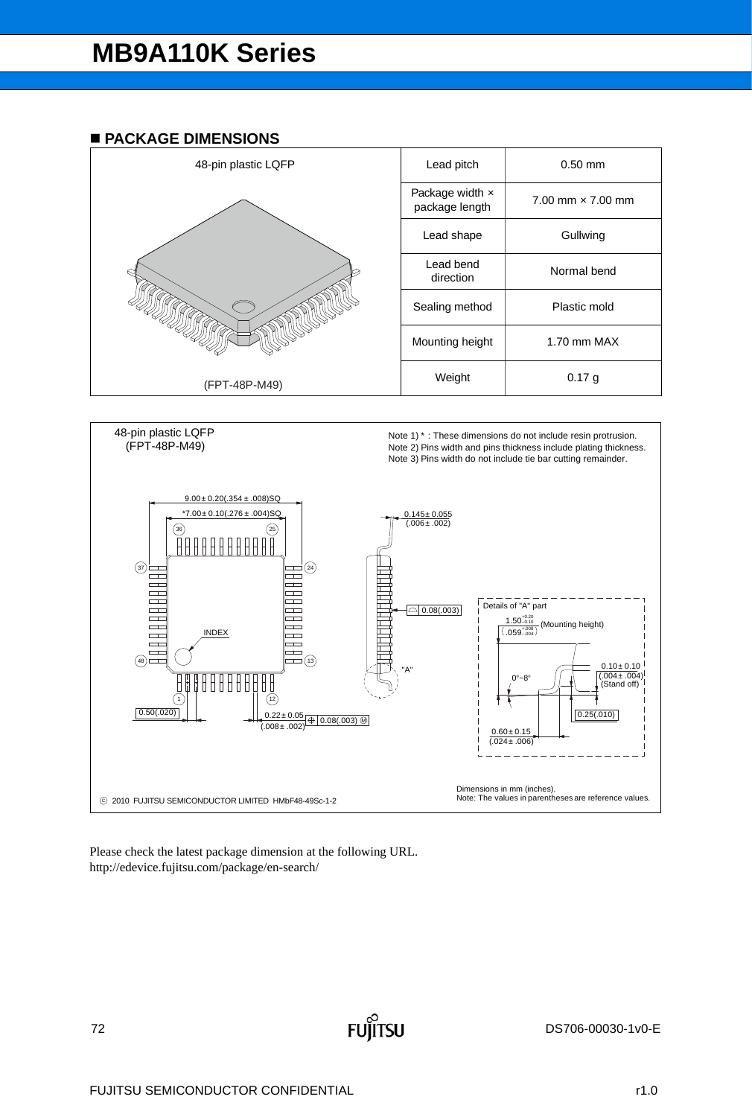### **PACKAGE DIMENSIONS**





Please check the latest package dimension at the following URL. http://edevice.fujitsu.com/package/en-search/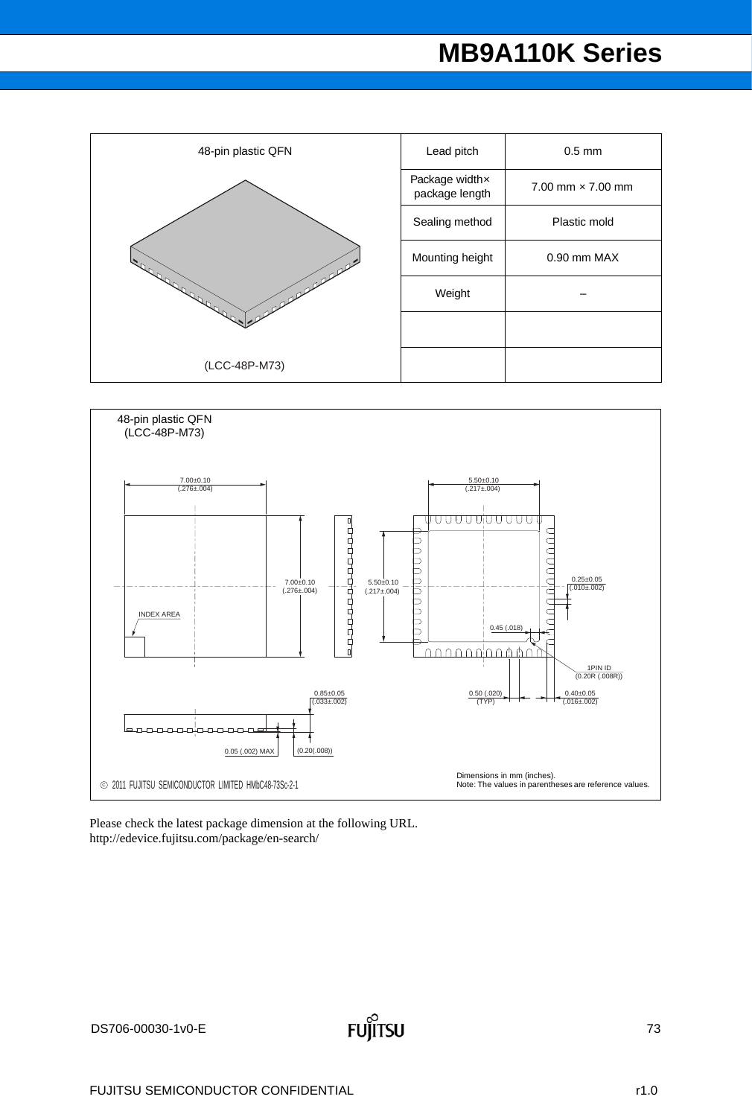# **MB9A110K Series**

| 48-pin plastic QFN                | Lead pitch                       | $0.5$ mm                     |
|-----------------------------------|----------------------------------|------------------------------|
| College of the College of<br>anne | Package widthx<br>package length | $7.00$ mm $\times$ $7.00$ mm |
|                                   | Sealing method                   | Plastic mold                 |
|                                   | Mounting height                  | 0.90 mm MAX                  |
|                                   | Weight                           |                              |
|                                   |                                  |                              |
| (LCC-48P-M73)                     |                                  |                              |



Please check the latest package dimension at the following URL. http://edevice.fujitsu.com/package/en-search/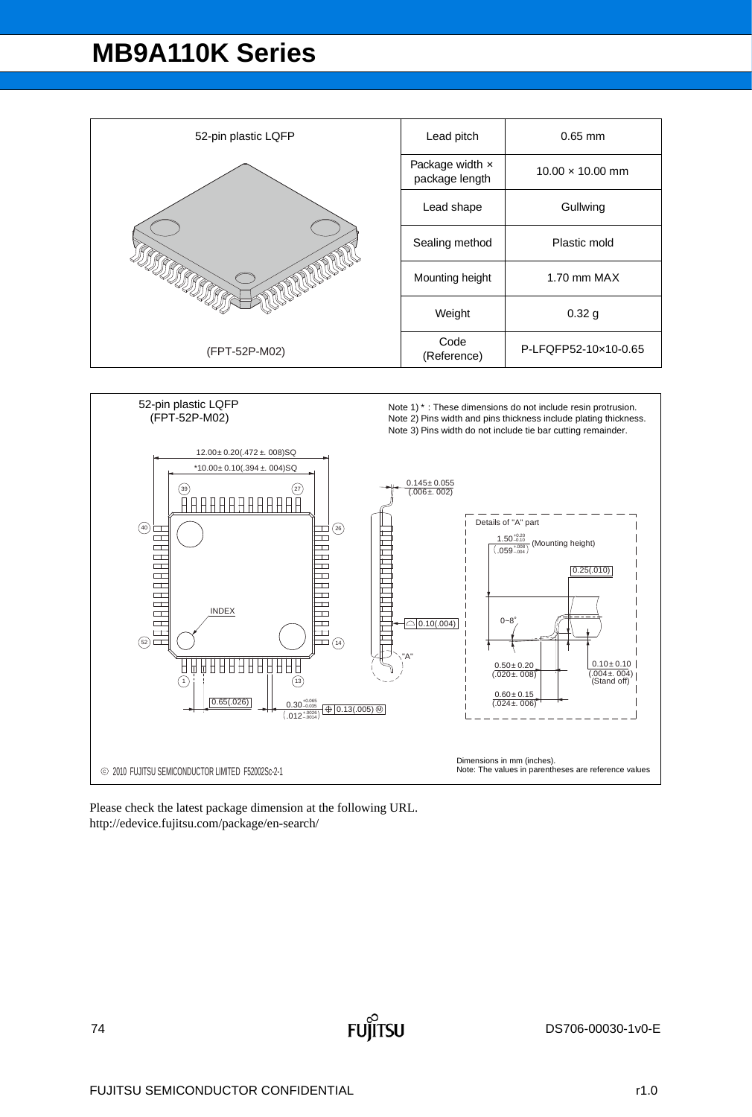## **MB9A110K Series**

| 52-pin plastic LQFP | Lead pitch                        | $0.65$ mm               |
|---------------------|-----------------------------------|-------------------------|
|                     | Package width x<br>package length | $10.00 \times 10.00$ mm |
|                     | Lead shape                        | Gullwing                |
|                     | Sealing method                    | Plastic mold            |
|                     | Mounting height                   | $1.70$ mm MAX           |
|                     | Weight                            | 0.32 <sub>g</sub>       |
| (FPT-52P-M02)       | Code<br>(Reference)               | P-LFQFP52-10x10-0.65    |



Please check the latest package dimension at the following URL. http://edevice.fujitsu.com/package/en-search/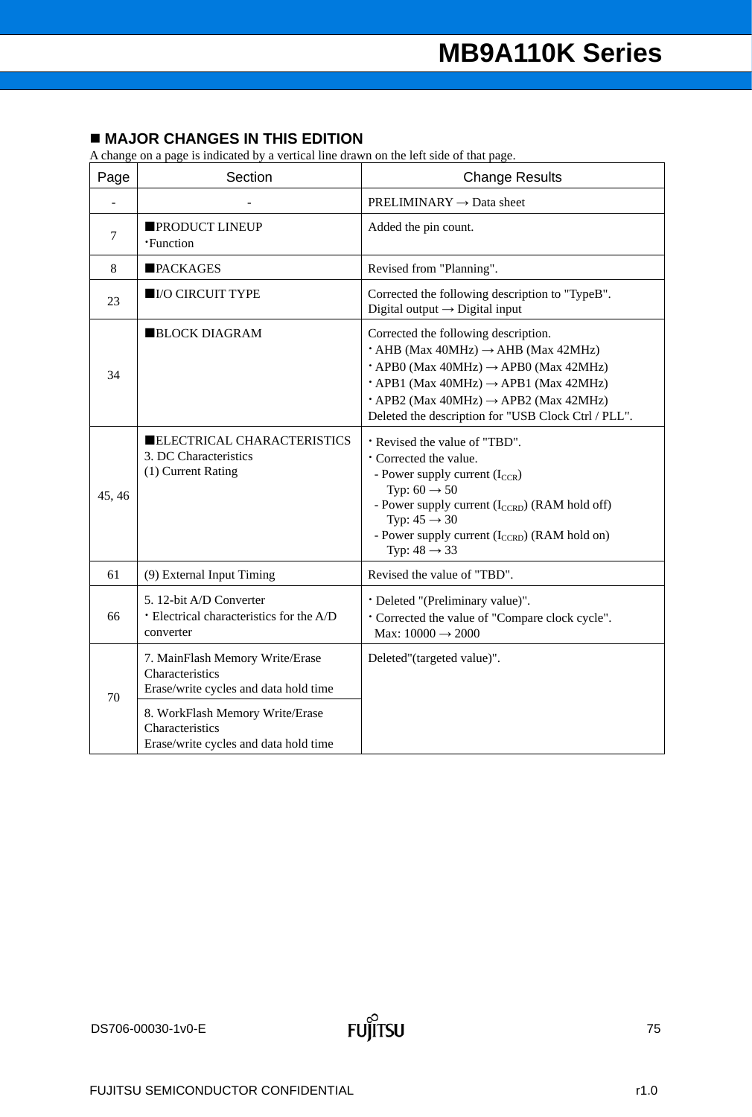### **MAJOR CHANGES IN THIS EDITION**

A change on a page is indicated by a vertical line drawn on the left side of that page.

| Page   | Section                                                                                     | <b>Change Results</b>                                                                                                                                                                                                                                                                                                                 |  |
|--------|---------------------------------------------------------------------------------------------|---------------------------------------------------------------------------------------------------------------------------------------------------------------------------------------------------------------------------------------------------------------------------------------------------------------------------------------|--|
|        |                                                                                             | $PRELIMINARY \rightarrow Data sheet$                                                                                                                                                                                                                                                                                                  |  |
| $\tau$ | <b>PRODUCT LINEUP</b><br><b>·Function</b>                                                   | Added the pin count.                                                                                                                                                                                                                                                                                                                  |  |
| 8      | <b>PACKAGES</b>                                                                             | Revised from "Planning".                                                                                                                                                                                                                                                                                                              |  |
| 23     | <b>IO CIRCUIT TYPE</b>                                                                      | Corrected the following description to "TypeB".<br>Digital output $\rightarrow$ Digital input                                                                                                                                                                                                                                         |  |
| 34     | <b>BLOCK DIAGRAM</b>                                                                        | Corrected the following description.<br>$\cdot$ AHB (Max 40MHz) $\rightarrow$ AHB (Max 42MHz)<br>$\cdot$ APB0 (Max 40MHz) $\rightarrow$ APB0 (Max 42MHz)<br>$\cdot$ APB1 (Max 40MHz) $\rightarrow$ APB1 (Max 42MHz)<br>$\cdot$ APB2 (Max 40MHz) $\rightarrow$ APB2 (Max 42MHz)<br>Deleted the description for "USB Clock Ctrl / PLL". |  |
| 45, 46 | ELECTRICAL CHARACTERISTICS<br>3. DC Characteristics<br>(1) Current Rating                   | * Revised the value of "TBD".<br><b>Corrected</b> the value.<br>- Power supply current $(I_{CCR})$<br>Typ: $60 \rightarrow 50$<br>- Power supply current (I <sub>CCRD</sub> ) (RAM hold off)<br>Typ: $45 \rightarrow 30$<br>- Power supply current (I <sub>CCRD</sub> ) (RAM hold on)<br>Typ: $48 \rightarrow 33$                     |  |
| 61     | (9) External Input Timing                                                                   | Revised the value of "TBD".                                                                                                                                                                                                                                                                                                           |  |
| 66     | 5. 12-bit A/D Converter<br>· Electrical characteristics for the A/D<br>converter            | · Deleted "(Preliminary value)".<br>* Corrected the value of "Compare clock cycle".<br>Max: $10000 \rightarrow 2000$                                                                                                                                                                                                                  |  |
| 70     | 7. MainFlash Memory Write/Erase<br>Characteristics<br>Erase/write cycles and data hold time | Deleted"(targeted value)".                                                                                                                                                                                                                                                                                                            |  |
|        | 8. WorkFlash Memory Write/Erase<br>Characteristics<br>Erase/write cycles and data hold time |                                                                                                                                                                                                                                                                                                                                       |  |